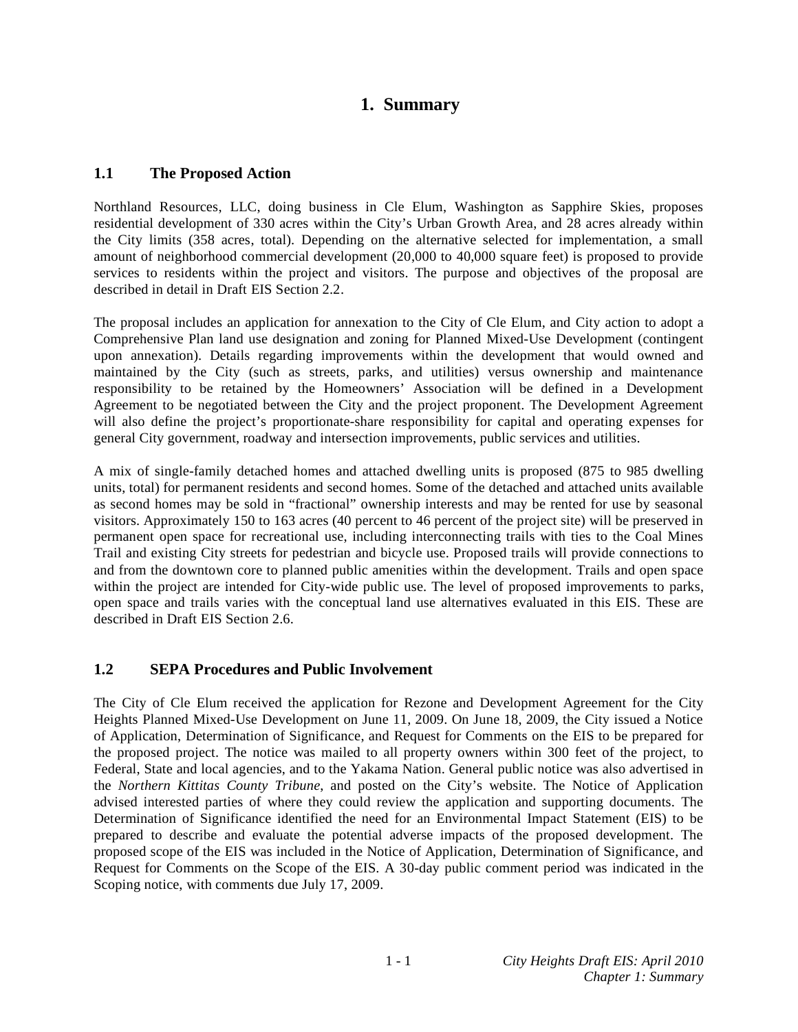# **1. Summary**

# **1.1 The Proposed Action**

Northland Resources, LLC, doing business in Cle Elum, Washington as Sapphire Skies, proposes residential development of 330 acres within the City's Urban Growth Area, and 28 acres already within the City limits (358 acres, total). Depending on the alternative selected for implementation, a small amount of neighborhood commercial development (20,000 to 40,000 square feet) is proposed to provide services to residents within the project and visitors. The purpose and objectives of the proposal are described in detail in Draft EIS Section 2.2.

The proposal includes an application for annexation to the City of Cle Elum, and City action to adopt a Comprehensive Plan land use designation and zoning for Planned Mixed-Use Development (contingent upon annexation). Details regarding improvements within the development that would owned and maintained by the City (such as streets, parks, and utilities) versus ownership and maintenance responsibility to be retained by the Homeowners' Association will be defined in a Development Agreement to be negotiated between the City and the project proponent. The Development Agreement will also define the project's proportionate-share responsibility for capital and operating expenses for general City government, roadway and intersection improvements, public services and utilities.

A mix of single-family detached homes and attached dwelling units is proposed (875 to 985 dwelling units, total) for permanent residents and second homes. Some of the detached and attached units available as second homes may be sold in "fractional" ownership interests and may be rented for use by seasonal visitors. Approximately 150 to 163 acres (40 percent to 46 percent of the project site) will be preserved in permanent open space for recreational use, including interconnecting trails with ties to the Coal Mines Trail and existing City streets for pedestrian and bicycle use. Proposed trails will provide connections to and from the downtown core to planned public amenities within the development. Trails and open space within the project are intended for City-wide public use. The level of proposed improvements to parks, open space and trails varies with the conceptual land use alternatives evaluated in this EIS. These are described in Draft EIS Section 2.6.

### **1.2 SEPA Procedures and Public Involvement**

The City of Cle Elum received the application for Rezone and Development Agreement for the City Heights Planned Mixed-Use Development on June 11, 2009. On June 18, 2009, the City issued a Notice of Application, Determination of Significance, and Request for Comments on the EIS to be prepared for the proposed project. The notice was mailed to all property owners within 300 feet of the project, to Federal, State and local agencies, and to the Yakama Nation. General public notice was also advertised in the *Northern Kittitas County Tribune*, and posted on the City's website. The Notice of Application advised interested parties of where they could review the application and supporting documents. The Determination of Significance identified the need for an Environmental Impact Statement (EIS) to be prepared to describe and evaluate the potential adverse impacts of the proposed development. The proposed scope of the EIS was included in the Notice of Application, Determination of Significance, and Request for Comments on the Scope of the EIS. A 30-day public comment period was indicated in the Scoping notice, with comments due July 17, 2009.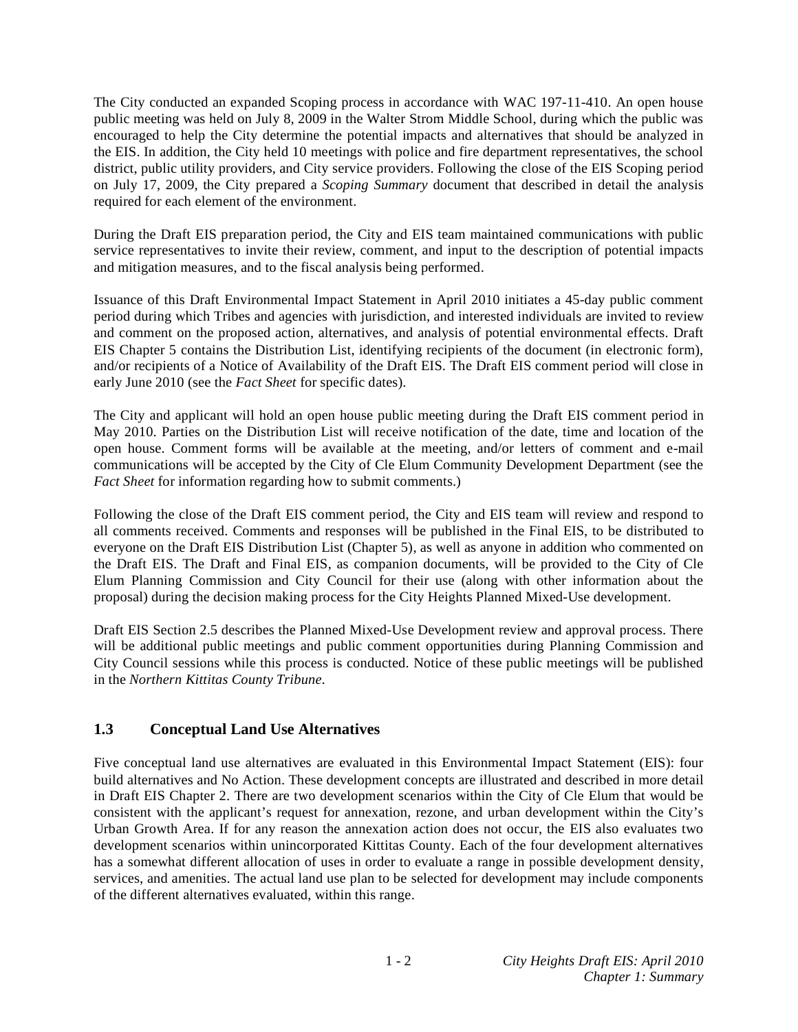The City conducted an expanded Scoping process in accordance with WAC 197-11-410. An open house public meeting was held on July 8, 2009 in the Walter Strom Middle School, during which the public was encouraged to help the City determine the potential impacts and alternatives that should be analyzed in the EIS. In addition, the City held 10 meetings with police and fire department representatives, the school district, public utility providers, and City service providers. Following the close of the EIS Scoping period on July 17, 2009, the City prepared a *Scoping Summary* document that described in detail the analysis required for each element of the environment.

During the Draft EIS preparation period, the City and EIS team maintained communications with public service representatives to invite their review, comment, and input to the description of potential impacts and mitigation measures, and to the fiscal analysis being performed.

Issuance of this Draft Environmental Impact Statement in April 2010 initiates a 45-day public comment period during which Tribes and agencies with jurisdiction, and interested individuals are invited to review and comment on the proposed action, alternatives, and analysis of potential environmental effects. Draft EIS Chapter 5 contains the Distribution List, identifying recipients of the document (in electronic form), and/or recipients of a Notice of Availability of the Draft EIS. The Draft EIS comment period will close in early June 2010 (see the *Fact Sheet* for specific dates).

The City and applicant will hold an open house public meeting during the Draft EIS comment period in May 2010. Parties on the Distribution List will receive notification of the date, time and location of the open house. Comment forms will be available at the meeting, and/or letters of comment and e-mail communications will be accepted by the City of Cle Elum Community Development Department (see the *Fact Sheet* for information regarding how to submit comments.)

Following the close of the Draft EIS comment period, the City and EIS team will review and respond to all comments received. Comments and responses will be published in the Final EIS, to be distributed to everyone on the Draft EIS Distribution List (Chapter 5), as well as anyone in addition who commented on the Draft EIS. The Draft and Final EIS, as companion documents, will be provided to the City of Cle Elum Planning Commission and City Council for their use (along with other information about the proposal) during the decision making process for the City Heights Planned Mixed-Use development.

Draft EIS Section 2.5 describes the Planned Mixed-Use Development review and approval process. There will be additional public meetings and public comment opportunities during Planning Commission and City Council sessions while this process is conducted. Notice of these public meetings will be published in the *Northern Kittitas County Tribune*.

# **1.3 Conceptual Land Use Alternatives**

Five conceptual land use alternatives are evaluated in this Environmental Impact Statement (EIS): four build alternatives and No Action. These development concepts are illustrated and described in more detail in Draft EIS Chapter 2. There are two development scenarios within the City of Cle Elum that would be consistent with the applicant's request for annexation, rezone, and urban development within the City's Urban Growth Area. If for any reason the annexation action does not occur, the EIS also evaluates two development scenarios within unincorporated Kittitas County. Each of the four development alternatives has a somewhat different allocation of uses in order to evaluate a range in possible development density, services, and amenities. The actual land use plan to be selected for development may include components of the different alternatives evaluated, within this range.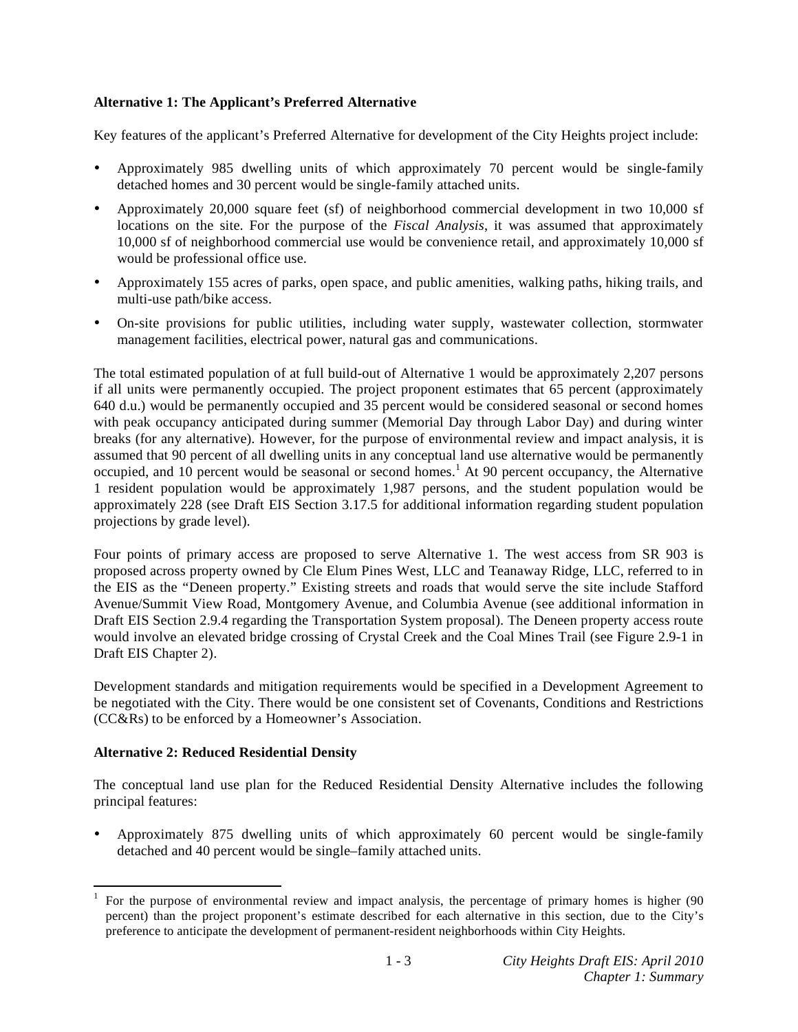### **Alternative 1: The Applicant's Preferred Alternative**

Key features of the applicant's Preferred Alternative for development of the City Heights project include:

- Approximately 985 dwelling units of which approximately 70 percent would be single-family detached homes and 30 percent would be single-family attached units.
- Approximately 20,000 square feet (sf) of neighborhood commercial development in two 10,000 sf locations on the site. For the purpose of the *Fiscal Analysis*, it was assumed that approximately 10,000 sf of neighborhood commercial use would be convenience retail, and approximately 10,000 sf would be professional office use.
- Approximately 155 acres of parks, open space, and public amenities, walking paths, hiking trails, and multi-use path/bike access.
- On-site provisions for public utilities, including water supply, wastewater collection, stormwater management facilities, electrical power, natural gas and communications.

The total estimated population of at full build-out of Alternative 1 would be approximately 2,207 persons if all units were permanently occupied. The project proponent estimates that 65 percent (approximately 640 d.u.) would be permanently occupied and 35 percent would be considered seasonal or second homes with peak occupancy anticipated during summer (Memorial Day through Labor Day) and during winter breaks (for any alternative). However, for the purpose of environmental review and impact analysis, it is assumed that 90 percent of all dwelling units in any conceptual land use alternative would be permanently occupied, and 10 percent would be seasonal or second homes.<sup>1</sup> At 90 percent occupancy, the Alternative 1 resident population would be approximately 1,987 persons, and the student population would be approximately 228 (see Draft EIS Section 3.17.5 for additional information regarding student population projections by grade level).

Four points of primary access are proposed to serve Alternative 1. The west access from SR 903 is proposed across property owned by Cle Elum Pines West, LLC and Teanaway Ridge, LLC, referred to in the EIS as the "Deneen property." Existing streets and roads that would serve the site include Stafford Avenue/Summit View Road, Montgomery Avenue, and Columbia Avenue (see additional information in Draft EIS Section 2.9.4 regarding the Transportation System proposal). The Deneen property access route would involve an elevated bridge crossing of Crystal Creek and the Coal Mines Trail (see Figure 2.9-1 in Draft EIS Chapter 2).

Development standards and mitigation requirements would be specified in a Development Agreement to be negotiated with the City. There would be one consistent set of Covenants, Conditions and Restrictions (CC&Rs) to be enforced by a Homeowner's Association.

#### **Alternative 2: Reduced Residential Density**

The conceptual land use plan for the Reduced Residential Density Alternative includes the following principal features:

• Approximately 875 dwelling units of which approximately 60 percent would be single-family detached and 40 percent would be single–family attached units.

<sup>1</sup> For the purpose of environmental review and impact analysis, the percentage of primary homes is higher (90 percent) than the project proponent's estimate described for each alternative in this section, due to the City's preference to anticipate the development of permanent-resident neighborhoods within City Heights.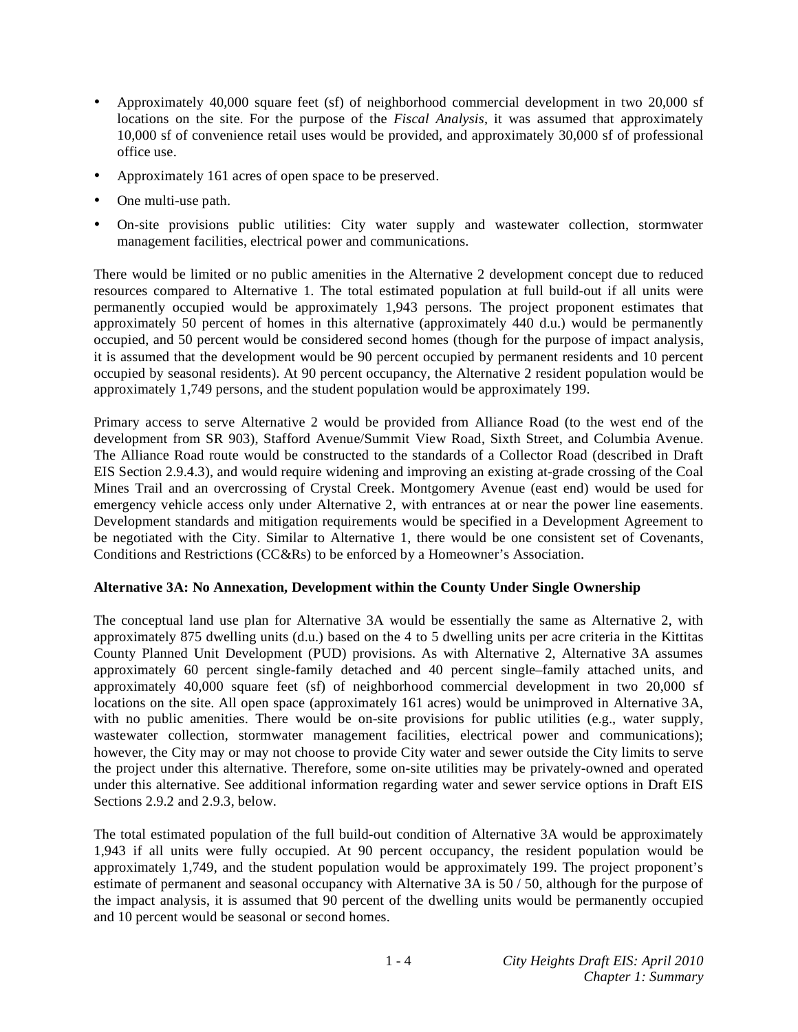- Approximately 40,000 square feet (sf) of neighborhood commercial development in two 20,000 sf locations on the site. For the purpose of the *Fiscal Analysis*, it was assumed that approximately 10,000 sf of convenience retail uses would be provided, and approximately 30,000 sf of professional office use.
- Approximately 161 acres of open space to be preserved.
- One multi-use path.
- On-site provisions public utilities: City water supply and wastewater collection, stormwater management facilities, electrical power and communications.

There would be limited or no public amenities in the Alternative 2 development concept due to reduced resources compared to Alternative 1. The total estimated population at full build-out if all units were permanently occupied would be approximately 1,943 persons. The project proponent estimates that approximately 50 percent of homes in this alternative (approximately 440 d.u.) would be permanently occupied, and 50 percent would be considered second homes (though for the purpose of impact analysis, it is assumed that the development would be 90 percent occupied by permanent residents and 10 percent occupied by seasonal residents). At 90 percent occupancy, the Alternative 2 resident population would be approximately 1,749 persons, and the student population would be approximately 199.

Primary access to serve Alternative 2 would be provided from Alliance Road (to the west end of the development from SR 903), Stafford Avenue/Summit View Road, Sixth Street, and Columbia Avenue. The Alliance Road route would be constructed to the standards of a Collector Road (described in Draft EIS Section 2.9.4.3), and would require widening and improving an existing at-grade crossing of the Coal Mines Trail and an overcrossing of Crystal Creek. Montgomery Avenue (east end) would be used for emergency vehicle access only under Alternative 2, with entrances at or near the power line easements. Development standards and mitigation requirements would be specified in a Development Agreement to be negotiated with the City. Similar to Alternative 1, there would be one consistent set of Covenants, Conditions and Restrictions (CC&Rs) to be enforced by a Homeowner's Association.

#### **Alternative 3A: No Annexation, Development within the County Under Single Ownership**

The conceptual land use plan for Alternative 3A would be essentially the same as Alternative 2, with approximately 875 dwelling units (d.u.) based on the 4 to 5 dwelling units per acre criteria in the Kittitas County Planned Unit Development (PUD) provisions. As with Alternative 2, Alternative 3A assumes approximately 60 percent single-family detached and 40 percent single–family attached units, and approximately 40,000 square feet (sf) of neighborhood commercial development in two 20,000 sf locations on the site. All open space (approximately 161 acres) would be unimproved in Alternative 3A, with no public amenities. There would be on-site provisions for public utilities (e.g., water supply, wastewater collection, stormwater management facilities, electrical power and communications); however, the City may or may not choose to provide City water and sewer outside the City limits to serve the project under this alternative. Therefore, some on-site utilities may be privately-owned and operated under this alternative. See additional information regarding water and sewer service options in Draft EIS Sections 2.9.2 and 2.9.3, below.

The total estimated population of the full build-out condition of Alternative 3A would be approximately 1,943 if all units were fully occupied. At 90 percent occupancy, the resident population would be approximately 1,749, and the student population would be approximately 199. The project proponent's estimate of permanent and seasonal occupancy with Alternative 3A is 50 / 50, although for the purpose of the impact analysis, it is assumed that 90 percent of the dwelling units would be permanently occupied and 10 percent would be seasonal or second homes.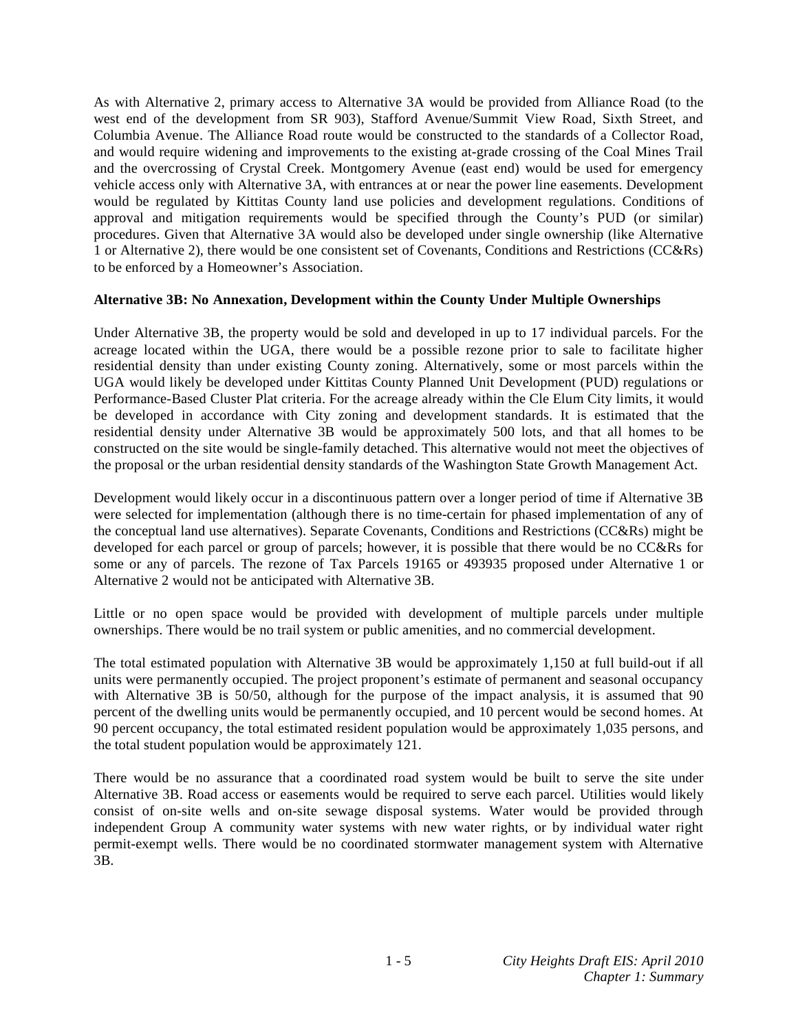As with Alternative 2, primary access to Alternative 3A would be provided from Alliance Road (to the west end of the development from SR 903), Stafford Avenue/Summit View Road, Sixth Street, and Columbia Avenue. The Alliance Road route would be constructed to the standards of a Collector Road, and would require widening and improvements to the existing at-grade crossing of the Coal Mines Trail and the overcrossing of Crystal Creek. Montgomery Avenue (east end) would be used for emergency vehicle access only with Alternative 3A, with entrances at or near the power line easements. Development would be regulated by Kittitas County land use policies and development regulations. Conditions of approval and mitigation requirements would be specified through the County's PUD (or similar) procedures. Given that Alternative 3A would also be developed under single ownership (like Alternative 1 or Alternative 2), there would be one consistent set of Covenants, Conditions and Restrictions (CC&Rs) to be enforced by a Homeowner's Association.

#### **Alternative 3B: No Annexation, Development within the County Under Multiple Ownerships**

Under Alternative 3B, the property would be sold and developed in up to 17 individual parcels. For the acreage located within the UGA, there would be a possible rezone prior to sale to facilitate higher residential density than under existing County zoning. Alternatively, some or most parcels within the UGA would likely be developed under Kittitas County Planned Unit Development (PUD) regulations or Performance-Based Cluster Plat criteria. For the acreage already within the Cle Elum City limits, it would be developed in accordance with City zoning and development standards. It is estimated that the residential density under Alternative 3B would be approximately 500 lots, and that all homes to be constructed on the site would be single-family detached. This alternative would not meet the objectives of the proposal or the urban residential density standards of the Washington State Growth Management Act.

Development would likely occur in a discontinuous pattern over a longer period of time if Alternative 3B were selected for implementation (although there is no time-certain for phased implementation of any of the conceptual land use alternatives). Separate Covenants, Conditions and Restrictions (CC&Rs) might be developed for each parcel or group of parcels; however, it is possible that there would be no CC&Rs for some or any of parcels. The rezone of Tax Parcels 19165 or 493935 proposed under Alternative 1 or Alternative 2 would not be anticipated with Alternative 3B.

Little or no open space would be provided with development of multiple parcels under multiple ownerships. There would be no trail system or public amenities, and no commercial development.

The total estimated population with Alternative 3B would be approximately 1,150 at full build-out if all units were permanently occupied. The project proponent's estimate of permanent and seasonal occupancy with Alternative 3B is 50/50, although for the purpose of the impact analysis, it is assumed that 90 percent of the dwelling units would be permanently occupied, and 10 percent would be second homes. At 90 percent occupancy, the total estimated resident population would be approximately 1,035 persons, and the total student population would be approximately 121.

There would be no assurance that a coordinated road system would be built to serve the site under Alternative 3B. Road access or easements would be required to serve each parcel. Utilities would likely consist of on-site wells and on-site sewage disposal systems. Water would be provided through independent Group A community water systems with new water rights, or by individual water right permit-exempt wells. There would be no coordinated stormwater management system with Alternative 3B.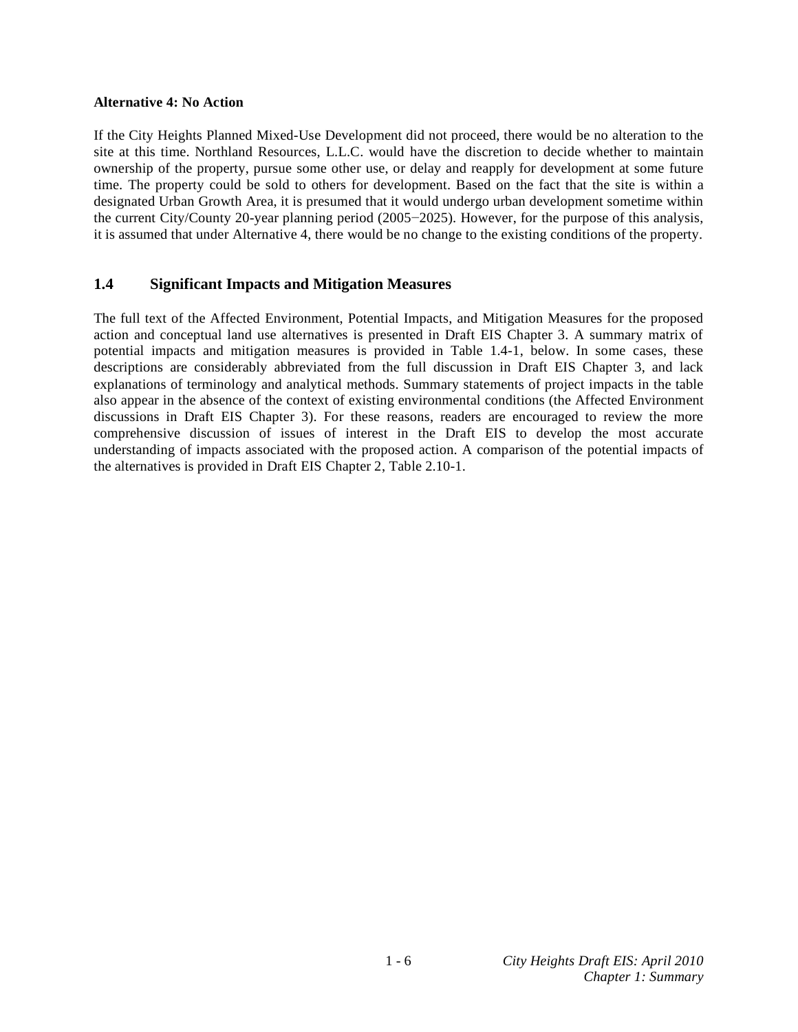#### **Alternative 4: No Action**

If the City Heights Planned Mixed-Use Development did not proceed, there would be no alteration to the site at this time. Northland Resources, L.L.C. would have the discretion to decide whether to maintain ownership of the property, pursue some other use, or delay and reapply for development at some future time. The property could be sold to others for development. Based on the fact that the site is within a designated Urban Growth Area, it is presumed that it would undergo urban development sometime within the current City/County 20-year planning period  $(2005-2025)$ . However, for the purpose of this analysis, it is assumed that under Alternative 4, there would be no change to the existing conditions of the property.

### **1.4 Significant Impacts and Mitigation Measures**

The full text of the Affected Environment, Potential Impacts, and Mitigation Measures for the proposed action and conceptual land use alternatives is presented in Draft EIS Chapter 3. A summary matrix of potential impacts and mitigation measures is provided in Table 1.4-1, below. In some cases, these descriptions are considerably abbreviated from the full discussion in Draft EIS Chapter 3, and lack explanations of terminology and analytical methods. Summary statements of project impacts in the table also appear in the absence of the context of existing environmental conditions (the Affected Environment discussions in Draft EIS Chapter 3). For these reasons, readers are encouraged to review the more comprehensive discussion of issues of interest in the Draft EIS to develop the most accurate understanding of impacts associated with the proposed action. A comparison of the potential impacts of the alternatives is provided in Draft EIS Chapter 2, Table 2.10-1.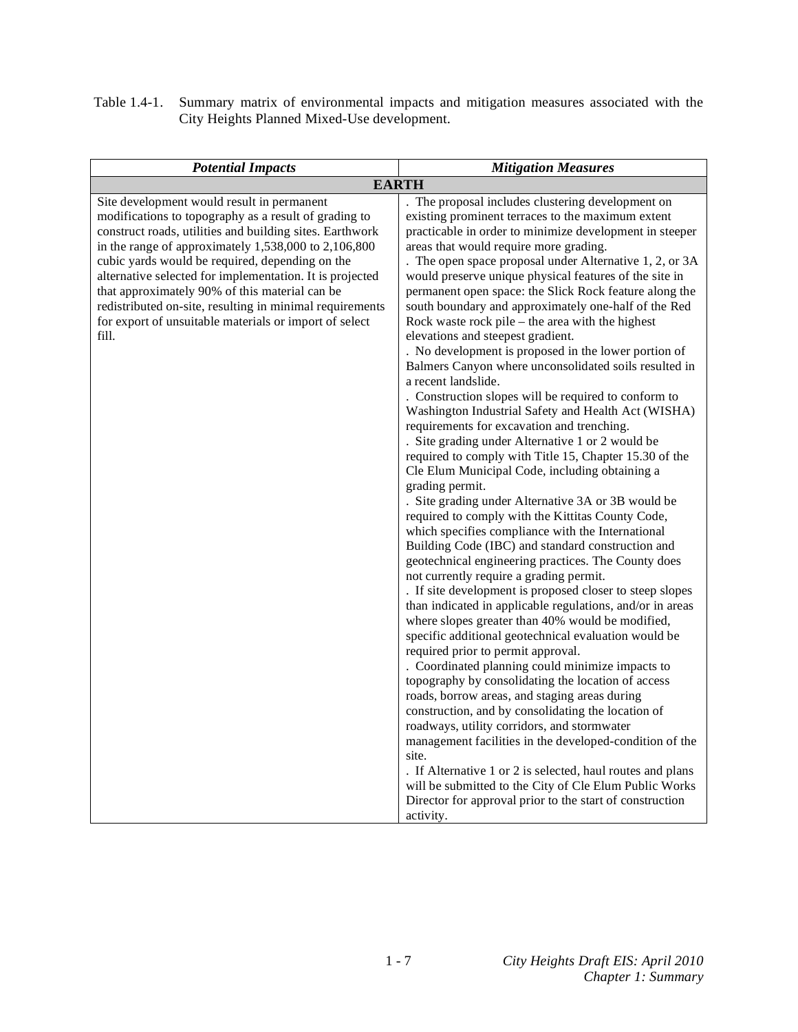| <b>Potential Impacts</b>                                                                                                                                                                                                                                                                                                                                                                                                                                                                                                | <b>Mitigation Measures</b>                                                                                                                                                                                                                                                                                                                                                                                                                                                                                                                                                                                                                                                                                                                                                                                                                                                                                                                                                                                                                                                                                                                                                                                                                                                                                                                                                                                                                                                                                                                                                                                                                                                                                                                                                                                                                                                                                                                                                                                                                                                                                                                                               |
|-------------------------------------------------------------------------------------------------------------------------------------------------------------------------------------------------------------------------------------------------------------------------------------------------------------------------------------------------------------------------------------------------------------------------------------------------------------------------------------------------------------------------|--------------------------------------------------------------------------------------------------------------------------------------------------------------------------------------------------------------------------------------------------------------------------------------------------------------------------------------------------------------------------------------------------------------------------------------------------------------------------------------------------------------------------------------------------------------------------------------------------------------------------------------------------------------------------------------------------------------------------------------------------------------------------------------------------------------------------------------------------------------------------------------------------------------------------------------------------------------------------------------------------------------------------------------------------------------------------------------------------------------------------------------------------------------------------------------------------------------------------------------------------------------------------------------------------------------------------------------------------------------------------------------------------------------------------------------------------------------------------------------------------------------------------------------------------------------------------------------------------------------------------------------------------------------------------------------------------------------------------------------------------------------------------------------------------------------------------------------------------------------------------------------------------------------------------------------------------------------------------------------------------------------------------------------------------------------------------------------------------------------------------------------------------------------------------|
|                                                                                                                                                                                                                                                                                                                                                                                                                                                                                                                         | <b>EARTH</b>                                                                                                                                                                                                                                                                                                                                                                                                                                                                                                                                                                                                                                                                                                                                                                                                                                                                                                                                                                                                                                                                                                                                                                                                                                                                                                                                                                                                                                                                                                                                                                                                                                                                                                                                                                                                                                                                                                                                                                                                                                                                                                                                                             |
| Site development would result in permanent<br>modifications to topography as a result of grading to<br>construct roads, utilities and building sites. Earthwork<br>in the range of approximately 1,538,000 to 2,106,800<br>cubic yards would be required, depending on the<br>alternative selected for implementation. It is projected<br>that approximately 90% of this material can be<br>redistributed on-site, resulting in minimal requirements<br>for export of unsuitable materials or import of select<br>fill. | The proposal includes clustering development on<br>existing prominent terraces to the maximum extent<br>practicable in order to minimize development in steeper<br>areas that would require more grading.<br>. The open space proposal under Alternative 1, 2, or 3A<br>would preserve unique physical features of the site in<br>permanent open space: the Slick Rock feature along the<br>south boundary and approximately one-half of the Red<br>Rock waste rock pile – the area with the highest<br>elevations and steepest gradient.<br>. No development is proposed in the lower portion of<br>Balmers Canyon where unconsolidated soils resulted in<br>a recent landslide.<br>. Construction slopes will be required to conform to<br>Washington Industrial Safety and Health Act (WISHA)<br>requirements for excavation and trenching.<br>. Site grading under Alternative 1 or 2 would be<br>required to comply with Title 15, Chapter 15.30 of the<br>Cle Elum Municipal Code, including obtaining a<br>grading permit.<br>. Site grading under Alternative 3A or 3B would be<br>required to comply with the Kittitas County Code,<br>which specifies compliance with the International<br>Building Code (IBC) and standard construction and<br>geotechnical engineering practices. The County does<br>not currently require a grading permit.<br>. If site development is proposed closer to steep slopes<br>than indicated in applicable regulations, and/or in areas<br>where slopes greater than 40% would be modified,<br>specific additional geotechnical evaluation would be<br>required prior to permit approval.<br>. Coordinated planning could minimize impacts to<br>topography by consolidating the location of access<br>roads, borrow areas, and staging areas during<br>construction, and by consolidating the location of<br>roadways, utility corridors, and stormwater<br>management facilities in the developed-condition of the<br>site.<br>. If Alternative 1 or 2 is selected, haul routes and plans<br>will be submitted to the City of Cle Elum Public Works<br>Director for approval prior to the start of construction<br>activity. |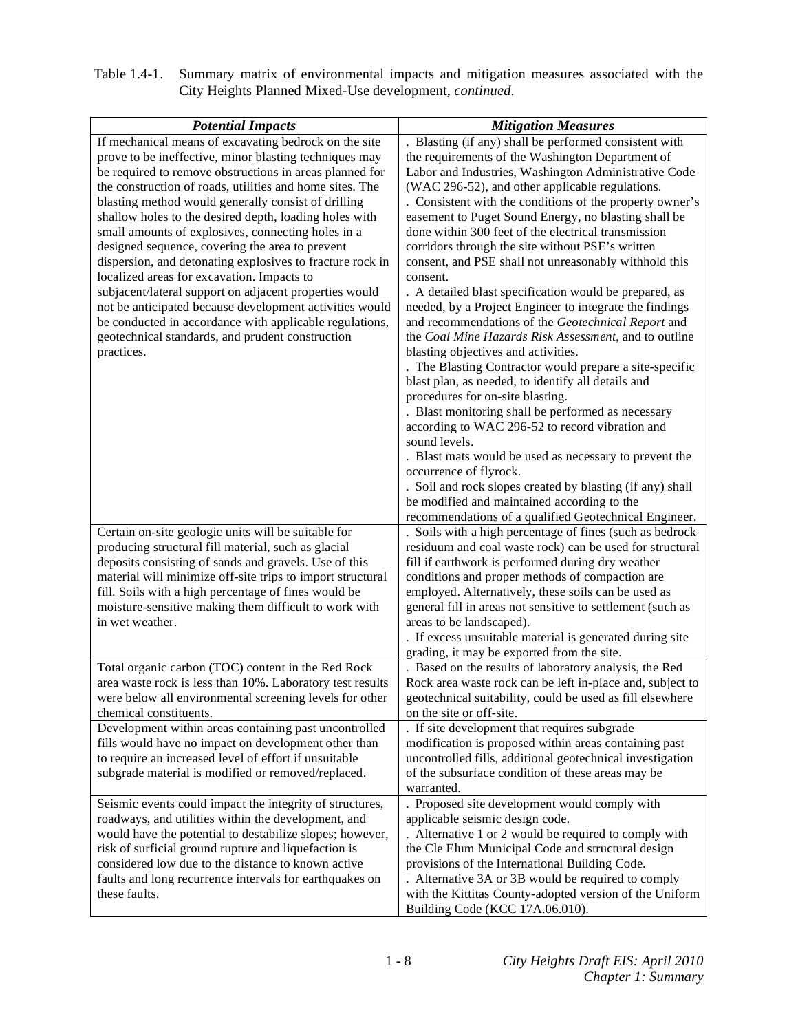| Table 1.4-1. Summary matrix of environmental impacts and mitigation measures associated with the |
|--------------------------------------------------------------------------------------------------|
| City Heights Planned Mixed-Use development, <i>continued</i> .                                   |

| <b>Potential Impacts</b>                                                          | <b>Mitigation Measures</b>                                                            |
|-----------------------------------------------------------------------------------|---------------------------------------------------------------------------------------|
| If mechanical means of excavating bedrock on the site                             | . Blasting (if any) shall be performed consistent with                                |
| prove to be ineffective, minor blasting techniques may                            | the requirements of the Washington Department of                                      |
| be required to remove obstructions in areas planned for                           | Labor and Industries, Washington Administrative Code                                  |
| the construction of roads, utilities and home sites. The                          | (WAC 296-52), and other applicable regulations.                                       |
| blasting method would generally consist of drilling                               | . Consistent with the conditions of the property owner's                              |
| shallow holes to the desired depth, loading holes with                            | easement to Puget Sound Energy, no blasting shall be                                  |
| small amounts of explosives, connecting holes in a                                | done within 300 feet of the electrical transmission                                   |
| designed sequence, covering the area to prevent                                   | corridors through the site without PSE's written                                      |
| dispersion, and detonating explosives to fracture rock in                         | consent, and PSE shall not unreasonably withhold this                                 |
| localized areas for excavation. Impacts to                                        | consent.                                                                              |
| subjacent/lateral support on adjacent properties would                            | . A detailed blast specification would be prepared, as                                |
| not be anticipated because development activities would                           | needed, by a Project Engineer to integrate the findings                               |
| be conducted in accordance with applicable regulations,                           | and recommendations of the Geotechnical Report and                                    |
| geotechnical standards, and prudent construction                                  | the Coal Mine Hazards Risk Assessment, and to outline                                 |
| practices.                                                                        | blasting objectives and activities.                                                   |
|                                                                                   | . The Blasting Contractor would prepare a site-specific                               |
|                                                                                   | blast plan, as needed, to identify all details and                                    |
|                                                                                   | procedures for on-site blasting.                                                      |
|                                                                                   | . Blast monitoring shall be performed as necessary                                    |
|                                                                                   | according to WAC 296-52 to record vibration and<br>sound levels.                      |
|                                                                                   |                                                                                       |
|                                                                                   | . Blast mats would be used as necessary to prevent the<br>occurrence of flyrock.      |
|                                                                                   | . Soil and rock slopes created by blasting (if any) shall                             |
|                                                                                   | be modified and maintained according to the                                           |
|                                                                                   | recommendations of a qualified Geotechnical Engineer.                                 |
| Certain on-site geologic units will be suitable for                               | . Soils with a high percentage of fines (such as bedrock                              |
| producing structural fill material, such as glacial                               | residuum and coal waste rock) can be used for structural                              |
| deposits consisting of sands and gravels. Use of this                             | fill if earthwork is performed during dry weather                                     |
| material will minimize off-site trips to import structural                        | conditions and proper methods of compaction are                                       |
| fill. Soils with a high percentage of fines would be                              | employed. Alternatively, these soils can be used as                                   |
| moisture-sensitive making them difficult to work with                             | general fill in areas not sensitive to settlement (such as                            |
| in wet weather.                                                                   | areas to be landscaped).                                                              |
|                                                                                   | . If excess unsuitable material is generated during site                              |
|                                                                                   | grading, it may be exported from the site.                                            |
| Total organic carbon (TOC) content in the Red Rock                                | . Based on the results of laboratory analysis, the Red                                |
| area waste rock is less than 10%. Laboratory test results                         | Rock area waste rock can be left in-place and, subject to                             |
| were below all environmental screening levels for other<br>chemical constituents. | geotechnical suitability, could be used as fill elsewhere<br>on the site or off-site. |
| Development within areas containing past uncontrolled                             | . If site development that requires subgrade                                          |
| fills would have no impact on development other than                              | modification is proposed within areas containing past                                 |
| to require an increased level of effort if unsuitable                             | uncontrolled fills, additional geotechnical investigation                             |
| subgrade material is modified or removed/replaced.                                | of the subsurface condition of these areas may be                                     |
|                                                                                   | warranted.                                                                            |
| Seismic events could impact the integrity of structures,                          | . Proposed site development would comply with                                         |
| roadways, and utilities within the development, and                               | applicable seismic design code.                                                       |
| would have the potential to destabilize slopes; however,                          | . Alternative 1 or 2 would be required to comply with                                 |
| risk of surficial ground rupture and liquefaction is                              | the Cle Elum Municipal Code and structural design                                     |
| considered low due to the distance to known active                                | provisions of the International Building Code.                                        |
| faults and long recurrence intervals for earthquakes on                           | . Alternative 3A or 3B would be required to comply                                    |
| these faults.                                                                     | with the Kittitas County-adopted version of the Uniform                               |
|                                                                                   | Building Code (KCC 17A.06.010).                                                       |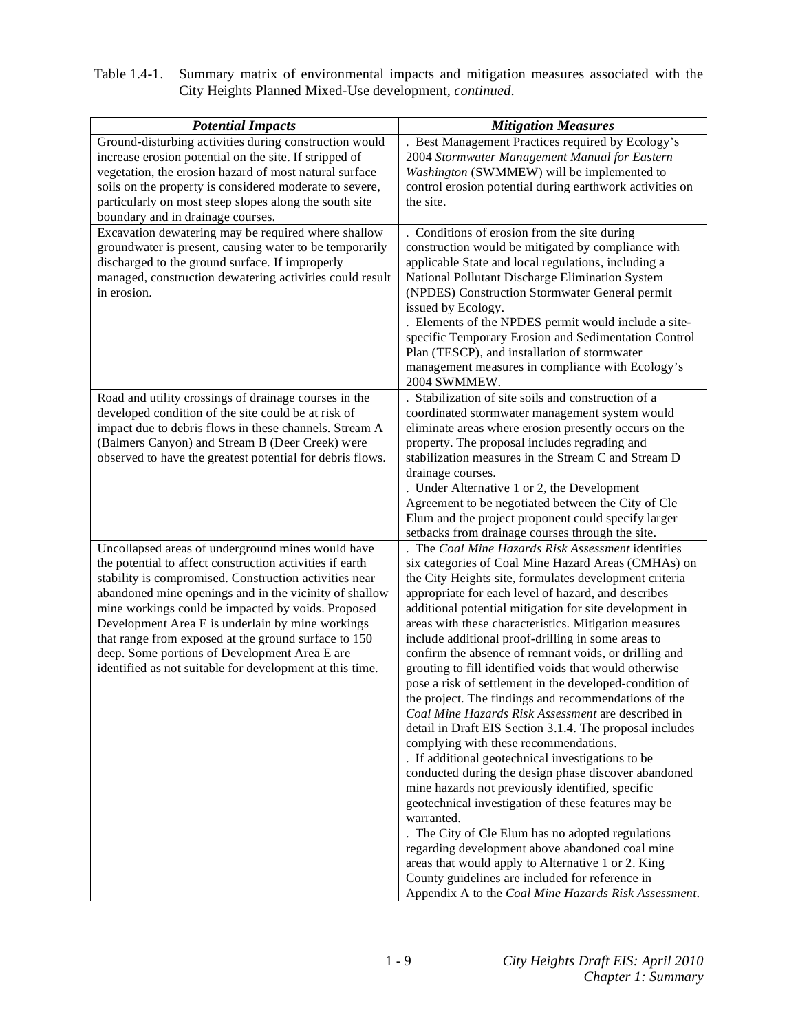| Table 1.4-1. Summary matrix of environmental impacts and mitigation measures associated with the |
|--------------------------------------------------------------------------------------------------|
| City Heights Planned Mixed-Use development, <i>continued</i> .                                   |

| <b>Potential Impacts</b>                                                                                       | <b>Mitigation Measures</b>                                                                                       |
|----------------------------------------------------------------------------------------------------------------|------------------------------------------------------------------------------------------------------------------|
| Ground-disturbing activities during construction would                                                         | Best Management Practices required by Ecology's                                                                  |
| increase erosion potential on the site. If stripped of                                                         | 2004 Stormwater Management Manual for Eastern                                                                    |
| vegetation, the erosion hazard of most natural surface                                                         | Washington (SWMMEW) will be implemented to                                                                       |
| soils on the property is considered moderate to severe,                                                        | control erosion potential during earthwork activities on                                                         |
| particularly on most steep slopes along the south site                                                         | the site.                                                                                                        |
| boundary and in drainage courses.                                                                              | Conditions of erosion from the site during                                                                       |
| Excavation dewatering may be required where shallow<br>groundwater is present, causing water to be temporarily | construction would be mitigated by compliance with                                                               |
| discharged to the ground surface. If improperly                                                                | applicable State and local regulations, including a                                                              |
| managed, construction dewatering activities could result                                                       | National Pollutant Discharge Elimination System                                                                  |
| in erosion.                                                                                                    | (NPDES) Construction Stormwater General permit                                                                   |
|                                                                                                                | issued by Ecology.                                                                                               |
|                                                                                                                | . Elements of the NPDES permit would include a site-                                                             |
|                                                                                                                | specific Temporary Erosion and Sedimentation Control                                                             |
|                                                                                                                | Plan (TESCP), and installation of stormwater                                                                     |
|                                                                                                                | management measures in compliance with Ecology's                                                                 |
|                                                                                                                | 2004 SWMMEW.                                                                                                     |
| Road and utility crossings of drainage courses in the                                                          | Stabilization of site soils and construction of a                                                                |
| developed condition of the site could be at risk of                                                            | coordinated stormwater management system would                                                                   |
| impact due to debris flows in these channels. Stream A                                                         | eliminate areas where erosion presently occurs on the                                                            |
| (Balmers Canyon) and Stream B (Deer Creek) were                                                                | property. The proposal includes regrading and                                                                    |
| observed to have the greatest potential for debris flows.                                                      | stabilization measures in the Stream C and Stream D                                                              |
|                                                                                                                | drainage courses.                                                                                                |
|                                                                                                                | . Under Alternative 1 or 2, the Development                                                                      |
|                                                                                                                | Agreement to be negotiated between the City of Cle                                                               |
|                                                                                                                | Elum and the project proponent could specify larger                                                              |
|                                                                                                                | setbacks from drainage courses through the site.                                                                 |
| Uncollapsed areas of underground mines would have                                                              | The Coal Mine Hazards Risk Assessment identifies                                                                 |
| the potential to affect construction activities if earth                                                       | six categories of Coal Mine Hazard Areas (CMHAs) on                                                              |
| stability is compromised. Construction activities near                                                         | the City Heights site, formulates development criteria                                                           |
| abandoned mine openings and in the vicinity of shallow                                                         | appropriate for each level of hazard, and describes                                                              |
| mine workings could be impacted by voids. Proposed<br>Development Area E is underlain by mine workings         | additional potential mitigation for site development in<br>areas with these characteristics. Mitigation measures |
| that range from exposed at the ground surface to 150                                                           | include additional proof-drilling in some areas to                                                               |
| deep. Some portions of Development Area E are                                                                  | confirm the absence of remnant voids, or drilling and                                                            |
| identified as not suitable for development at this time.                                                       | grouting to fill identified voids that would otherwise                                                           |
|                                                                                                                | pose a risk of settlement in the developed-condition of                                                          |
|                                                                                                                | the project. The findings and recommendations of the                                                             |
|                                                                                                                | Coal Mine Hazards Risk Assessment are described in                                                               |
|                                                                                                                | detail in Draft EIS Section 3.1.4. The proposal includes                                                         |
|                                                                                                                | complying with these recommendations.                                                                            |
|                                                                                                                | . If additional geotechnical investigations to be                                                                |
|                                                                                                                | conducted during the design phase discover abandoned                                                             |
|                                                                                                                | mine hazards not previously identified, specific                                                                 |
|                                                                                                                | geotechnical investigation of these features may be                                                              |
|                                                                                                                | warranted.                                                                                                       |
|                                                                                                                | . The City of Cle Elum has no adopted regulations                                                                |
|                                                                                                                | regarding development above abandoned coal mine                                                                  |
|                                                                                                                | areas that would apply to Alternative 1 or 2. King                                                               |
|                                                                                                                | County guidelines are included for reference in                                                                  |
|                                                                                                                | Appendix A to the Coal Mine Hazards Risk Assessment.                                                             |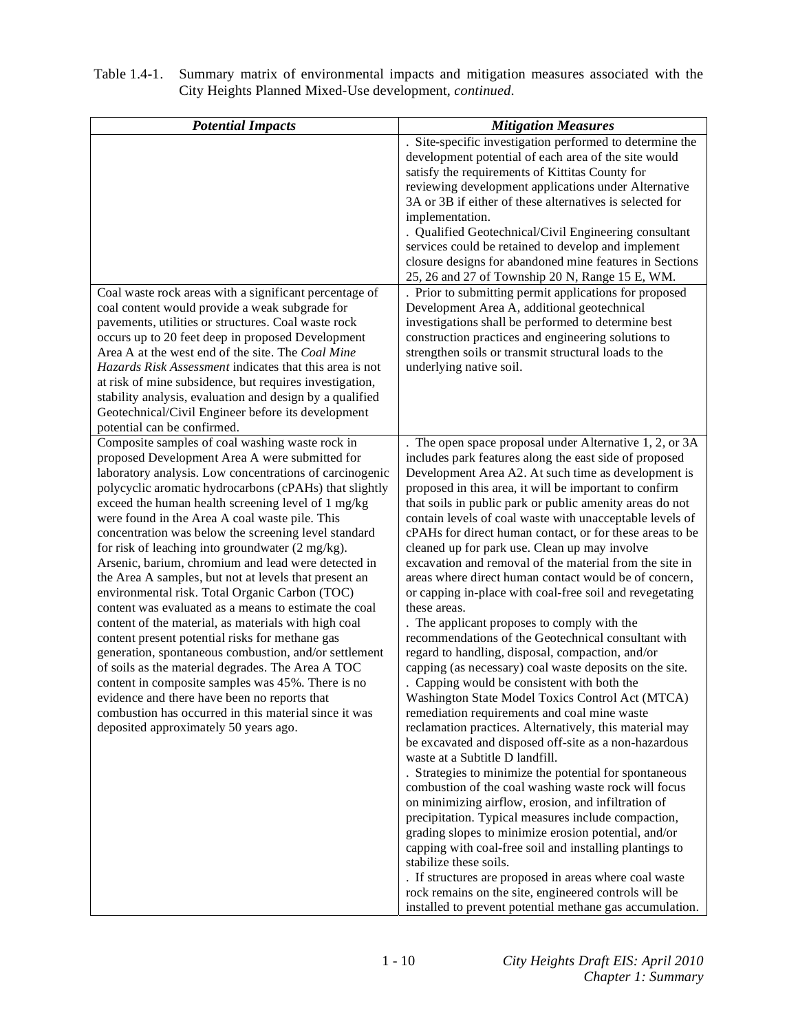| Table 1.4-1. Summary matrix of environmental impacts and mitigation measures associated with the |
|--------------------------------------------------------------------------------------------------|
| City Heights Planned Mixed-Use development, <i>continued</i> .                                   |

| <b>Potential Impacts</b>                                                                                                                                                                                                                                                                                                                                                                                                                                                                                                                                                                                                                                                                                                                                                                                                                                                                                                                                                                                                                                                                              | <b>Mitigation Measures</b>                                                                                                                                                                                                                                                                                                                                                                                                                                                                                                                                                                                                                                                                                                                                                                                                                                                                                                                                                                                                                                                                                                                                                                                                                                                                                                                                                                                                                                                                                                                                                                                                                                                                                                                                       |
|-------------------------------------------------------------------------------------------------------------------------------------------------------------------------------------------------------------------------------------------------------------------------------------------------------------------------------------------------------------------------------------------------------------------------------------------------------------------------------------------------------------------------------------------------------------------------------------------------------------------------------------------------------------------------------------------------------------------------------------------------------------------------------------------------------------------------------------------------------------------------------------------------------------------------------------------------------------------------------------------------------------------------------------------------------------------------------------------------------|------------------------------------------------------------------------------------------------------------------------------------------------------------------------------------------------------------------------------------------------------------------------------------------------------------------------------------------------------------------------------------------------------------------------------------------------------------------------------------------------------------------------------------------------------------------------------------------------------------------------------------------------------------------------------------------------------------------------------------------------------------------------------------------------------------------------------------------------------------------------------------------------------------------------------------------------------------------------------------------------------------------------------------------------------------------------------------------------------------------------------------------------------------------------------------------------------------------------------------------------------------------------------------------------------------------------------------------------------------------------------------------------------------------------------------------------------------------------------------------------------------------------------------------------------------------------------------------------------------------------------------------------------------------------------------------------------------------------------------------------------------------|
| Coal waste rock areas with a significant percentage of<br>coal content would provide a weak subgrade for<br>pavements, utilities or structures. Coal waste rock<br>occurs up to 20 feet deep in proposed Development<br>Area A at the west end of the site. The Coal Mine<br>Hazards Risk Assessment indicates that this area is not<br>at risk of mine subsidence, but requires investigation,<br>stability analysis, evaluation and design by a qualified<br>Geotechnical/Civil Engineer before its development<br>potential can be confirmed.                                                                                                                                                                                                                                                                                                                                                                                                                                                                                                                                                      | . Site-specific investigation performed to determine the<br>development potential of each area of the site would<br>satisfy the requirements of Kittitas County for<br>reviewing development applications under Alternative<br>3A or 3B if either of these alternatives is selected for<br>implementation.<br>. Qualified Geotechnical/Civil Engineering consultant<br>services could be retained to develop and implement<br>closure designs for abandoned mine features in Sections<br>25, 26 and 27 of Township 20 N, Range 15 E, WM.<br>. Prior to submitting permit applications for proposed<br>Development Area A, additional geotechnical<br>investigations shall be performed to determine best<br>construction practices and engineering solutions to<br>strengthen soils or transmit structural loads to the<br>underlying native soil.                                                                                                                                                                                                                                                                                                                                                                                                                                                                                                                                                                                                                                                                                                                                                                                                                                                                                                               |
| Composite samples of coal washing waste rock in<br>proposed Development Area A were submitted for<br>laboratory analysis. Low concentrations of carcinogenic<br>polycyclic aromatic hydrocarbons (cPAHs) that slightly<br>exceed the human health screening level of 1 mg/kg<br>were found in the Area A coal waste pile. This<br>concentration was below the screening level standard<br>for risk of leaching into groundwater (2 mg/kg).<br>Arsenic, barium, chromium and lead were detected in<br>the Area A samples, but not at levels that present an<br>environmental risk. Total Organic Carbon (TOC)<br>content was evaluated as a means to estimate the coal<br>content of the material, as materials with high coal<br>content present potential risks for methane gas<br>generation, spontaneous combustion, and/or settlement<br>of soils as the material degrades. The Area A TOC<br>content in composite samples was 45%. There is no<br>evidence and there have been no reports that<br>combustion has occurred in this material since it was<br>deposited approximately 50 years ago. | The open space proposal under Alternative 1, 2, or 3A<br>includes park features along the east side of proposed<br>Development Area A2. At such time as development is<br>proposed in this area, it will be important to confirm<br>that soils in public park or public amenity areas do not<br>contain levels of coal waste with unacceptable levels of<br>cPAHs for direct human contact, or for these areas to be<br>cleaned up for park use. Clean up may involve<br>excavation and removal of the material from the site in<br>areas where direct human contact would be of concern,<br>or capping in-place with coal-free soil and revegetating<br>these areas.<br>. The applicant proposes to comply with the<br>recommendations of the Geotechnical consultant with<br>regard to handling, disposal, compaction, and/or<br>capping (as necessary) coal waste deposits on the site.<br>. Capping would be consistent with both the<br>Washington State Model Toxics Control Act (MTCA)<br>remediation requirements and coal mine waste<br>reclamation practices. Alternatively, this material may<br>be excavated and disposed off-site as a non-hazardous<br>waste at a Subtitle D landfill.<br>. Strategies to minimize the potential for spontaneous<br>combustion of the coal washing waste rock will focus<br>on minimizing airflow, erosion, and infiltration of<br>precipitation. Typical measures include compaction,<br>grading slopes to minimize erosion potential, and/or<br>capping with coal-free soil and installing plantings to<br>stabilize these soils.<br>. If structures are proposed in areas where coal waste<br>rock remains on the site, engineered controls will be<br>installed to prevent potential methane gas accumulation. |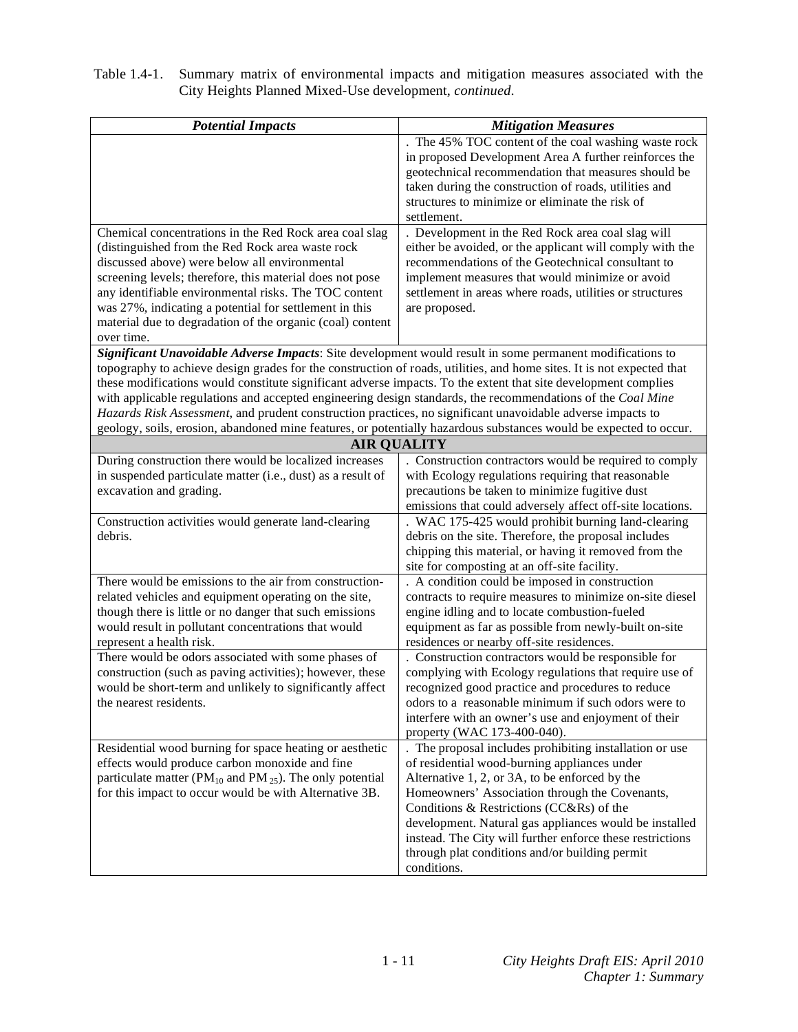| <b>Potential Impacts</b>                                                                                              | <b>Mitigation Measures</b>                                                                                    |
|-----------------------------------------------------------------------------------------------------------------------|---------------------------------------------------------------------------------------------------------------|
|                                                                                                                       | The 45% TOC content of the coal washing waste rock                                                            |
|                                                                                                                       | in proposed Development Area A further reinforces the                                                         |
|                                                                                                                       | geotechnical recommendation that measures should be                                                           |
|                                                                                                                       | taken during the construction of roads, utilities and                                                         |
|                                                                                                                       | structures to minimize or eliminate the risk of                                                               |
|                                                                                                                       | settlement.                                                                                                   |
| Chemical concentrations in the Red Rock area coal slag                                                                | . Development in the Red Rock area coal slag will                                                             |
| (distinguished from the Red Rock area waste rock<br>discussed above) were below all environmental                     | either be avoided, or the applicant will comply with the<br>recommendations of the Geotechnical consultant to |
| screening levels; therefore, this material does not pose                                                              | implement measures that would minimize or avoid                                                               |
| any identifiable environmental risks. The TOC content                                                                 | settlement in areas where roads, utilities or structures                                                      |
| was 27%, indicating a potential for settlement in this                                                                | are proposed.                                                                                                 |
| material due to degradation of the organic (coal) content                                                             |                                                                                                               |
| over time.                                                                                                            |                                                                                                               |
| Significant Unavoidable Adverse Impacts: Site development would result in some permanent modifications to             |                                                                                                               |
| topography to achieve design grades for the construction of roads, utilities, and home sites. It is not expected that |                                                                                                               |
| these modifications would constitute significant adverse impacts. To the extent that site development complies        |                                                                                                               |
| with applicable regulations and accepted engineering design standards, the recommendations of the Coal Mine           |                                                                                                               |
| Hazards Risk Assessment, and prudent construction practices, no significant unavoidable adverse impacts to            |                                                                                                               |
| geology, soils, erosion, abandoned mine features, or potentially hazardous substances would be expected to occur.     |                                                                                                               |
|                                                                                                                       | <b>AIR QUALITY</b>                                                                                            |
| During construction there would be localized increases                                                                | . Construction contractors would be required to comply                                                        |
| in suspended particulate matter (i.e., dust) as a result of                                                           | with Ecology regulations requiring that reasonable                                                            |
| excavation and grading.                                                                                               | precautions be taken to minimize fugitive dust                                                                |
|                                                                                                                       | emissions that could adversely affect off-site locations.                                                     |
| Construction activities would generate land-clearing<br>debris.                                                       | . WAC 175-425 would prohibit burning land-clearing                                                            |
|                                                                                                                       | debris on the site. Therefore, the proposal includes<br>chipping this material, or having it removed from the |
|                                                                                                                       | site for composting at an off-site facility.                                                                  |
| There would be emissions to the air from construction-                                                                | . A condition could be imposed in construction                                                                |
| related vehicles and equipment operating on the site,                                                                 | contracts to require measures to minimize on-site diesel                                                      |
| though there is little or no danger that such emissions                                                               | engine idling and to locate combustion-fueled                                                                 |
| would result in pollutant concentrations that would                                                                   | equipment as far as possible from newly-built on-site                                                         |
| represent a health risk.                                                                                              | residences or nearby off-site residences.                                                                     |
| There would be odors associated with some phases of                                                                   | . Construction contractors would be responsible for                                                           |
| construction (such as paving activities); however, these                                                              | complying with Ecology regulations that require use of                                                        |
| would be short-term and unlikely to significantly affect                                                              | recognized good practice and procedures to reduce                                                             |
| the nearest residents.                                                                                                | odors to a reasonable minimum if such odors were to                                                           |
|                                                                                                                       | interfere with an owner's use and enjoyment of their                                                          |
|                                                                                                                       | property (WAC 173-400-040).                                                                                   |
| Residential wood burning for space heating or aesthetic                                                               | . The proposal includes prohibiting installation or use                                                       |
| effects would produce carbon monoxide and fine                                                                        | of residential wood-burning appliances under                                                                  |
| particulate matter ( $PM_{10}$ and $PM_{25}$ ). The only potential                                                    | Alternative 1, 2, or 3A, to be enforced by the                                                                |
| for this impact to occur would be with Alternative 3B.                                                                | Homeowners' Association through the Covenants,                                                                |
|                                                                                                                       | Conditions & Restrictions (CC&Rs) of the<br>development. Natural gas appliances would be installed            |
|                                                                                                                       | instead. The City will further enforce these restrictions                                                     |
|                                                                                                                       | through plat conditions and/or building permit                                                                |
|                                                                                                                       | conditions.                                                                                                   |
|                                                                                                                       |                                                                                                               |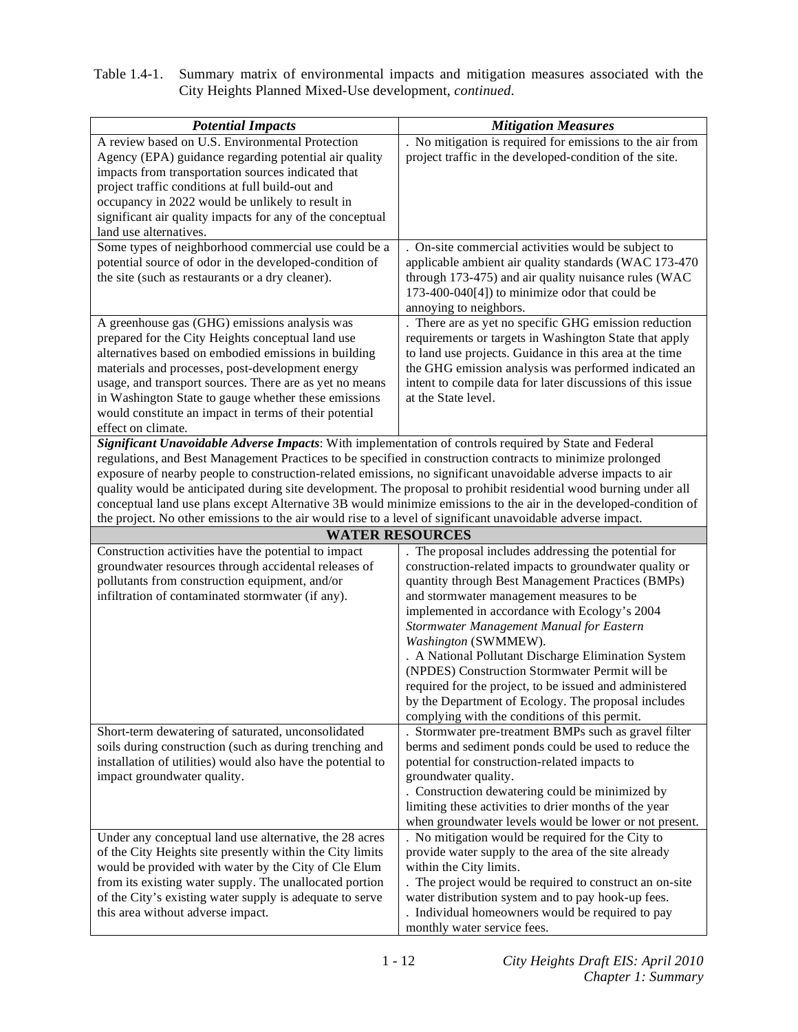| Table 1.4-1. Summary matrix of environmental impacts and mitigation measures associated with the |
|--------------------------------------------------------------------------------------------------|
| City Heights Planned Mixed-Use development, <i>continued</i> .                                   |

| <b>Potential Impacts</b>                                                                                          | <b>Mitigation Measures</b>                                                                                        |
|-------------------------------------------------------------------------------------------------------------------|-------------------------------------------------------------------------------------------------------------------|
| A review based on U.S. Environmental Protection                                                                   | . No mitigation is required for emissions to the air from                                                         |
| Agency (EPA) guidance regarding potential air quality                                                             | project traffic in the developed-condition of the site.                                                           |
| impacts from transportation sources indicated that                                                                |                                                                                                                   |
| project traffic conditions at full build-out and                                                                  |                                                                                                                   |
| occupancy in 2022 would be unlikely to result in<br>significant air quality impacts for any of the conceptual     |                                                                                                                   |
| land use alternatives.                                                                                            |                                                                                                                   |
| Some types of neighborhood commercial use could be a                                                              | . On-site commercial activities would be subject to                                                               |
| potential source of odor in the developed-condition of                                                            | applicable ambient air quality standards (WAC 173-470                                                             |
| the site (such as restaurants or a dry cleaner).                                                                  | through 173-475) and air quality nuisance rules (WAC                                                              |
|                                                                                                                   | 173-400-040[4]) to minimize odor that could be                                                                    |
|                                                                                                                   | annoying to neighbors.                                                                                            |
| A greenhouse gas (GHG) emissions analysis was                                                                     | There are as yet no specific GHG emission reduction                                                               |
| prepared for the City Heights conceptual land use                                                                 | requirements or targets in Washington State that apply                                                            |
| alternatives based on embodied emissions in building                                                              | to land use projects. Guidance in this area at the time                                                           |
| materials and processes, post-development energy                                                                  | the GHG emission analysis was performed indicated an                                                              |
| usage, and transport sources. There are as yet no means<br>in Washington State to gauge whether these emissions   | intent to compile data for later discussions of this issue<br>at the State level.                                 |
| would constitute an impact in terms of their potential                                                            |                                                                                                                   |
| effect on climate.                                                                                                |                                                                                                                   |
| Significant Unavoidable Adverse Impacts: With implementation of controls required by State and Federal            |                                                                                                                   |
| regulations, and Best Management Practices to be specified in construction contracts to minimize prolonged        |                                                                                                                   |
| exposure of nearby people to construction-related emissions, no significant unavoidable adverse impacts to air    |                                                                                                                   |
| quality would be anticipated during site development. The proposal to prohibit residential wood burning under all |                                                                                                                   |
|                                                                                                                   | conceptual land use plans except Alternative 3B would minimize emissions to the air in the developed-condition of |
| the project. No other emissions to the air would rise to a level of significant unavoidable adverse impact.       |                                                                                                                   |
|                                                                                                                   | <b>WATER RESOURCES</b>                                                                                            |
| Construction activities have the potential to impact                                                              | The proposal includes addressing the potential for                                                                |
| groundwater resources through accidental releases of<br>pollutants from construction equipment, and/or            | construction-related impacts to groundwater quality or<br>quantity through Best Management Practices (BMPs)       |
| infiltration of contaminated stormwater (if any).                                                                 | and stormwater management measures to be                                                                          |
|                                                                                                                   | implemented in accordance with Ecology's 2004                                                                     |
|                                                                                                                   | Stormwater Management Manual for Eastern                                                                          |
|                                                                                                                   | Washington (SWMMEW).                                                                                              |
|                                                                                                                   | . A National Pollutant Discharge Elimination System                                                               |
|                                                                                                                   | (NPDES) Construction Stormwater Permit will be                                                                    |
|                                                                                                                   | required for the project, to be issued and administered                                                           |
|                                                                                                                   | by the Department of Ecology. The proposal includes<br>complying with the conditions of this permit.              |
| Short-term dewatering of saturated, unconsolidated                                                                | . Stormwater pre-treatment BMPs such as gravel filter                                                             |
| soils during construction (such as during trenching and                                                           | berms and sediment ponds could be used to reduce the                                                              |
| installation of utilities) would also have the potential to                                                       | potential for construction-related impacts to                                                                     |
| impact groundwater quality.                                                                                       | groundwater quality.                                                                                              |
|                                                                                                                   | . Construction dewatering could be minimized by                                                                   |
|                                                                                                                   | limiting these activities to drier months of the year                                                             |
|                                                                                                                   | when groundwater levels would be lower or not present.                                                            |
| Under any conceptual land use alternative, the 28 acres                                                           | . No mitigation would be required for the City to                                                                 |
| of the City Heights site presently within the City limits                                                         | provide water supply to the area of the site already                                                              |
| would be provided with water by the City of Cle Elum<br>from its existing water supply. The unallocated portion   | within the City limits.<br>. The project would be required to construct an on-site                                |
| of the City's existing water supply is adequate to serve                                                          | water distribution system and to pay hook-up fees.                                                                |
| this area without adverse impact.                                                                                 | . Individual homeowners would be required to pay                                                                  |
|                                                                                                                   | monthly water service fees.                                                                                       |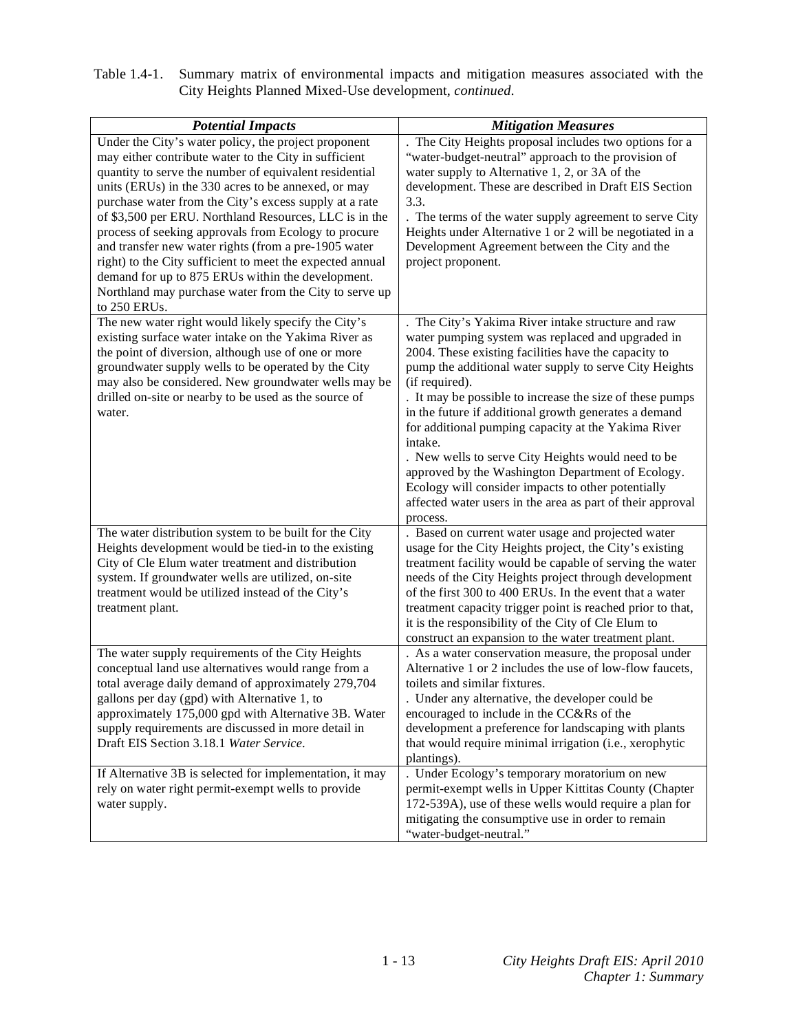| Table 1.4-1. Summary matrix of environmental impacts and mitigation measures associated with the |
|--------------------------------------------------------------------------------------------------|
| City Heights Planned Mixed-Use development, <i>continued</i> .                                   |

| <b>Potential Impacts</b>                                                                                                                                                                                                                                                                                                                                                                                                                                                                                                                                                                                                                                       | <b>Mitigation Measures</b>                                                                                                                                                                                                                                                                                                                                                                                                                                                                                                                                                                                                                                                    |
|----------------------------------------------------------------------------------------------------------------------------------------------------------------------------------------------------------------------------------------------------------------------------------------------------------------------------------------------------------------------------------------------------------------------------------------------------------------------------------------------------------------------------------------------------------------------------------------------------------------------------------------------------------------|-------------------------------------------------------------------------------------------------------------------------------------------------------------------------------------------------------------------------------------------------------------------------------------------------------------------------------------------------------------------------------------------------------------------------------------------------------------------------------------------------------------------------------------------------------------------------------------------------------------------------------------------------------------------------------|
| Under the City's water policy, the project proponent<br>may either contribute water to the City in sufficient<br>quantity to serve the number of equivalent residential<br>units (ERUs) in the 330 acres to be annexed, or may<br>purchase water from the City's excess supply at a rate<br>of \$3,500 per ERU. Northland Resources, LLC is in the<br>process of seeking approvals from Ecology to procure<br>and transfer new water rights (from a pre-1905 water<br>right) to the City sufficient to meet the expected annual<br>demand for up to 875 ERUs within the development.<br>Northland may purchase water from the City to serve up<br>to 250 ERUs. | The City Heights proposal includes two options for a<br>"water-budget-neutral" approach to the provision of<br>water supply to Alternative 1, 2, or 3A of the<br>development. These are described in Draft EIS Section<br>3.3.<br>. The terms of the water supply agreement to serve City<br>Heights under Alternative 1 or 2 will be negotiated in a<br>Development Agreement between the City and the<br>project proponent.                                                                                                                                                                                                                                                 |
| The new water right would likely specify the City's<br>existing surface water intake on the Yakima River as<br>the point of diversion, although use of one or more<br>groundwater supply wells to be operated by the City<br>may also be considered. New groundwater wells may be<br>drilled on-site or nearby to be used as the source of<br>water.                                                                                                                                                                                                                                                                                                           | . The City's Yakima River intake structure and raw<br>water pumping system was replaced and upgraded in<br>2004. These existing facilities have the capacity to<br>pump the additional water supply to serve City Heights<br>(if required).<br>. It may be possible to increase the size of these pumps<br>in the future if additional growth generates a demand<br>for additional pumping capacity at the Yakima River<br>intake.<br>. New wells to serve City Heights would need to be<br>approved by the Washington Department of Ecology.<br>Ecology will consider impacts to other potentially<br>affected water users in the area as part of their approval<br>process. |
| The water distribution system to be built for the City<br>Heights development would be tied-in to the existing<br>City of Cle Elum water treatment and distribution<br>system. If groundwater wells are utilized, on-site<br>treatment would be utilized instead of the City's<br>treatment plant.                                                                                                                                                                                                                                                                                                                                                             | . Based on current water usage and projected water<br>usage for the City Heights project, the City's existing<br>treatment facility would be capable of serving the water<br>needs of the City Heights project through development<br>of the first 300 to 400 ERUs. In the event that a water<br>treatment capacity trigger point is reached prior to that,<br>it is the responsibility of the City of Cle Elum to<br>construct an expansion to the water treatment plant.                                                                                                                                                                                                    |
| The water supply requirements of the City Heights<br>conceptual land use alternatives would range from a<br>total average daily demand of approximately 279,704<br>gallons per day (gpd) with Alternative 1, to<br>approximately 175,000 gpd with Alternative 3B. Water<br>supply requirements are discussed in more detail in<br>Draft EIS Section 3.18.1 Water Service.                                                                                                                                                                                                                                                                                      | . As a water conservation measure, the proposal under<br>Alternative 1 or 2 includes the use of low-flow faucets,<br>toilets and similar fixtures.<br>. Under any alternative, the developer could be<br>encouraged to include in the CC&Rs of the<br>development a preference for landscaping with plants<br>that would require minimal irrigation (i.e., xerophytic<br>plantings).                                                                                                                                                                                                                                                                                          |
| If Alternative 3B is selected for implementation, it may<br>rely on water right permit-exempt wells to provide<br>water supply.                                                                                                                                                                                                                                                                                                                                                                                                                                                                                                                                | . Under Ecology's temporary moratorium on new<br>permit-exempt wells in Upper Kittitas County (Chapter<br>172-539A), use of these wells would require a plan for<br>mitigating the consumptive use in order to remain<br>"water-budget-neutral."                                                                                                                                                                                                                                                                                                                                                                                                                              |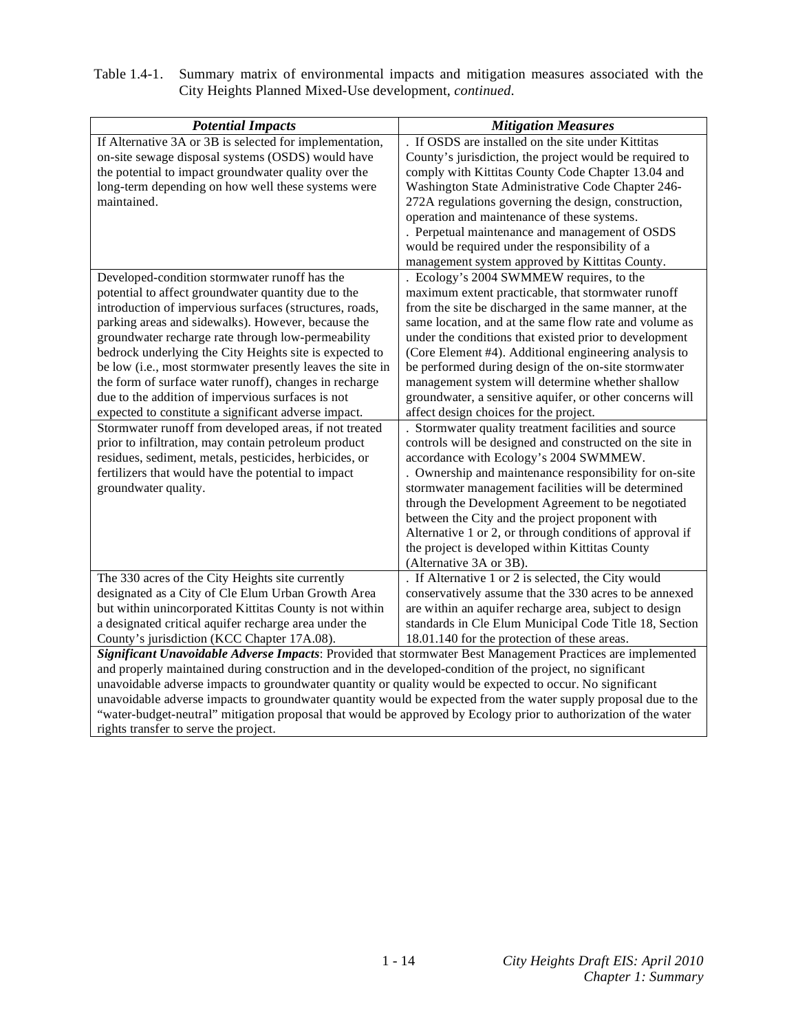| Table 1.4-1. Summary matrix of environmental impacts and mitigation measures associated with the |
|--------------------------------------------------------------------------------------------------|
| City Heights Planned Mixed-Use development, <i>continued</i> .                                   |

| <b>Potential Impacts</b>                                                                                         | <b>Mitigation Measures</b>                               |  |
|------------------------------------------------------------------------------------------------------------------|----------------------------------------------------------|--|
| If Alternative 3A or 3B is selected for implementation,                                                          | . If OSDS are installed on the site under Kittitas       |  |
| on-site sewage disposal systems (OSDS) would have                                                                | County's jurisdiction, the project would be required to  |  |
| the potential to impact groundwater quality over the                                                             | comply with Kittitas County Code Chapter 13.04 and       |  |
| long-term depending on how well these systems were                                                               | Washington State Administrative Code Chapter 246-        |  |
| maintained.                                                                                                      | 272A regulations governing the design, construction,     |  |
|                                                                                                                  | operation and maintenance of these systems.              |  |
|                                                                                                                  | . Perpetual maintenance and management of OSDS           |  |
|                                                                                                                  | would be required under the responsibility of a          |  |
|                                                                                                                  | management system approved by Kittitas County.           |  |
| Developed-condition stormwater runoff has the                                                                    | Ecology's 2004 SWMMEW requires, to the                   |  |
| potential to affect groundwater quantity due to the                                                              | maximum extent practicable, that stormwater runoff       |  |
| introduction of impervious surfaces (structures, roads,                                                          | from the site be discharged in the same manner, at the   |  |
| parking areas and sidewalks). However, because the                                                               | same location, and at the same flow rate and volume as   |  |
| groundwater recharge rate through low-permeability                                                               | under the conditions that existed prior to development   |  |
| bedrock underlying the City Heights site is expected to                                                          | (Core Element #4). Additional engineering analysis to    |  |
| be low (i.e., most stormwater presently leaves the site in                                                       | be performed during design of the on-site stormwater     |  |
| the form of surface water runoff), changes in recharge                                                           | management system will determine whether shallow         |  |
| due to the addition of impervious surfaces is not                                                                | groundwater, a sensitive aquifer, or other concerns will |  |
| expected to constitute a significant adverse impact.                                                             | affect design choices for the project.                   |  |
| Stormwater runoff from developed areas, if not treated                                                           | Stormwater quality treatment facilities and source       |  |
| prior to infiltration, may contain petroleum product                                                             | controls will be designed and constructed on the site in |  |
| residues, sediment, metals, pesticides, herbicides, or                                                           | accordance with Ecology's 2004 SWMMEW.                   |  |
| fertilizers that would have the potential to impact                                                              | . Ownership and maintenance responsibility for on-site   |  |
| groundwater quality.                                                                                             | stormwater management facilities will be determined      |  |
|                                                                                                                  | through the Development Agreement to be negotiated       |  |
|                                                                                                                  | between the City and the project proponent with          |  |
|                                                                                                                  | Alternative 1 or 2, or through conditions of approval if |  |
|                                                                                                                  | the project is developed within Kittitas County          |  |
|                                                                                                                  | (Alternative 3A or 3B).                                  |  |
| The 330 acres of the City Heights site currently                                                                 | If Alternative 1 or 2 is selected, the City would        |  |
| designated as a City of Cle Elum Urban Growth Area                                                               | conservatively assume that the 330 acres to be annexed   |  |
| but within unincorporated Kittitas County is not within                                                          | are within an aquifer recharge area, subject to design   |  |
| a designated critical aquifer recharge area under the                                                            | standards in Cle Elum Municipal Code Title 18, Section   |  |
| County's jurisdiction (KCC Chapter 17A.08).                                                                      | 18.01.140 for the protection of these areas.             |  |
| Significant Unavoidable Adverse Impacts: Provided that stormwater Best Management Practices are implemented      |                                                          |  |
| and properly maintained during construction and in the developed-condition of the project, no significant        |                                                          |  |
| unavoidable adverse impacts to groundwater quantity or quality would be expected to occur. No significant        |                                                          |  |
| unavoidable adverse impacts to groundwater quantity would be expected from the water supply proposal due to the  |                                                          |  |
| "water-budget-neutral" mitigation proposal that would be approved by Ecology prior to authorization of the water |                                                          |  |
| rights transfer to serve the project.                                                                            |                                                          |  |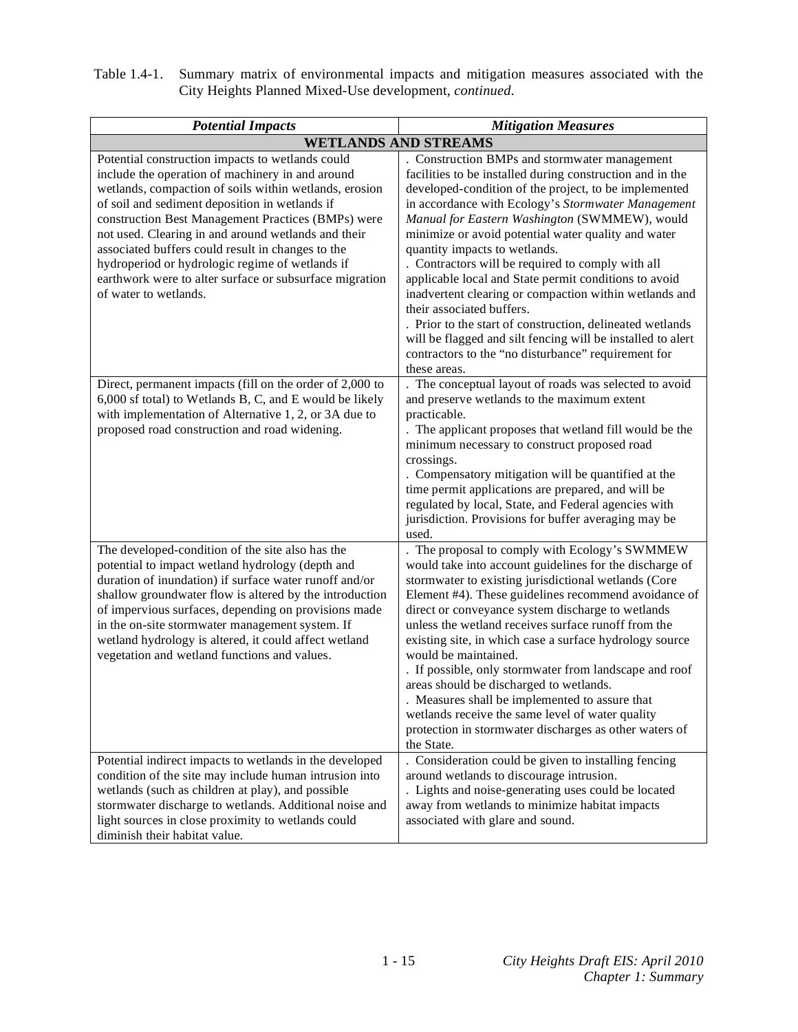| Table 1.4-1. Summary matrix of environmental impacts and mitigation measures associated with the |
|--------------------------------------------------------------------------------------------------|
| City Heights Planned Mixed-Use development, <i>continued</i> .                                   |

| <b>Potential Impacts</b>                                                                                                                                                                                                                                                                                                                                                                                                                                                                                                  | <b>Mitigation Measures</b>                                                                                                                                                                                                                                                                                                                                                                                                                                                                                                                                                                                                                                                                                                                                                 |  |
|---------------------------------------------------------------------------------------------------------------------------------------------------------------------------------------------------------------------------------------------------------------------------------------------------------------------------------------------------------------------------------------------------------------------------------------------------------------------------------------------------------------------------|----------------------------------------------------------------------------------------------------------------------------------------------------------------------------------------------------------------------------------------------------------------------------------------------------------------------------------------------------------------------------------------------------------------------------------------------------------------------------------------------------------------------------------------------------------------------------------------------------------------------------------------------------------------------------------------------------------------------------------------------------------------------------|--|
| <b>WETLANDS AND STREAMS</b>                                                                                                                                                                                                                                                                                                                                                                                                                                                                                               |                                                                                                                                                                                                                                                                                                                                                                                                                                                                                                                                                                                                                                                                                                                                                                            |  |
| Potential construction impacts to wetlands could<br>include the operation of machinery in and around<br>wetlands, compaction of soils within wetlands, erosion<br>of soil and sediment deposition in wetlands if<br>construction Best Management Practices (BMPs) were<br>not used. Clearing in and around wetlands and their<br>associated buffers could result in changes to the<br>hydroperiod or hydrologic regime of wetlands if<br>earthwork were to alter surface or subsurface migration<br>of water to wetlands. | . Construction BMPs and stormwater management<br>facilities to be installed during construction and in the<br>developed-condition of the project, to be implemented<br>in accordance with Ecology's Stormwater Management<br>Manual for Eastern Washington (SWMMEW), would<br>minimize or avoid potential water quality and water<br>quantity impacts to wetlands.<br>. Contractors will be required to comply with all<br>applicable local and State permit conditions to avoid<br>inadvertent clearing or compaction within wetlands and<br>their associated buffers.<br>. Prior to the start of construction, delineated wetlands<br>will be flagged and silt fencing will be installed to alert<br>contractors to the "no disturbance" requirement for<br>these areas. |  |
| Direct, permanent impacts (fill on the order of 2,000 to<br>6,000 sf total) to Wetlands B, C, and E would be likely<br>with implementation of Alternative 1, 2, or 3A due to<br>proposed road construction and road widening.                                                                                                                                                                                                                                                                                             | The conceptual layout of roads was selected to avoid<br>and preserve wetlands to the maximum extent<br>practicable.<br>. The applicant proposes that wetland fill would be the<br>minimum necessary to construct proposed road<br>crossings.<br>. Compensatory mitigation will be quantified at the<br>time permit applications are prepared, and will be<br>regulated by local, State, and Federal agencies with<br>jurisdiction. Provisions for buffer averaging may be<br>used.                                                                                                                                                                                                                                                                                         |  |
| The developed-condition of the site also has the<br>potential to impact wetland hydrology (depth and<br>duration of inundation) if surface water runoff and/or<br>shallow groundwater flow is altered by the introduction<br>of impervious surfaces, depending on provisions made<br>in the on-site stormwater management system. If<br>wetland hydrology is altered, it could affect wetland<br>vegetation and wetland functions and values.                                                                             | . The proposal to comply with Ecology's SWMMEW<br>would take into account guidelines for the discharge of<br>stormwater to existing jurisdictional wetlands (Core<br>Element #4). These guidelines recommend avoidance of<br>direct or conveyance system discharge to wetlands<br>unless the wetland receives surface runoff from the<br>existing site, in which case a surface hydrology source<br>would be maintained.<br>. If possible, only stormwater from landscape and roof<br>areas should be discharged to wetlands.<br>. Measures shall be implemented to assure that<br>wetlands receive the same level of water quality<br>protection in stormwater discharges as other waters of<br>the State.                                                                |  |
| Potential indirect impacts to wetlands in the developed<br>condition of the site may include human intrusion into<br>wetlands (such as children at play), and possible<br>stormwater discharge to wetlands. Additional noise and<br>light sources in close proximity to wetlands could<br>diminish their habitat value.                                                                                                                                                                                                   | Consideration could be given to installing fencing<br>around wetlands to discourage intrusion.<br>. Lights and noise-generating uses could be located<br>away from wetlands to minimize habitat impacts<br>associated with glare and sound.                                                                                                                                                                                                                                                                                                                                                                                                                                                                                                                                |  |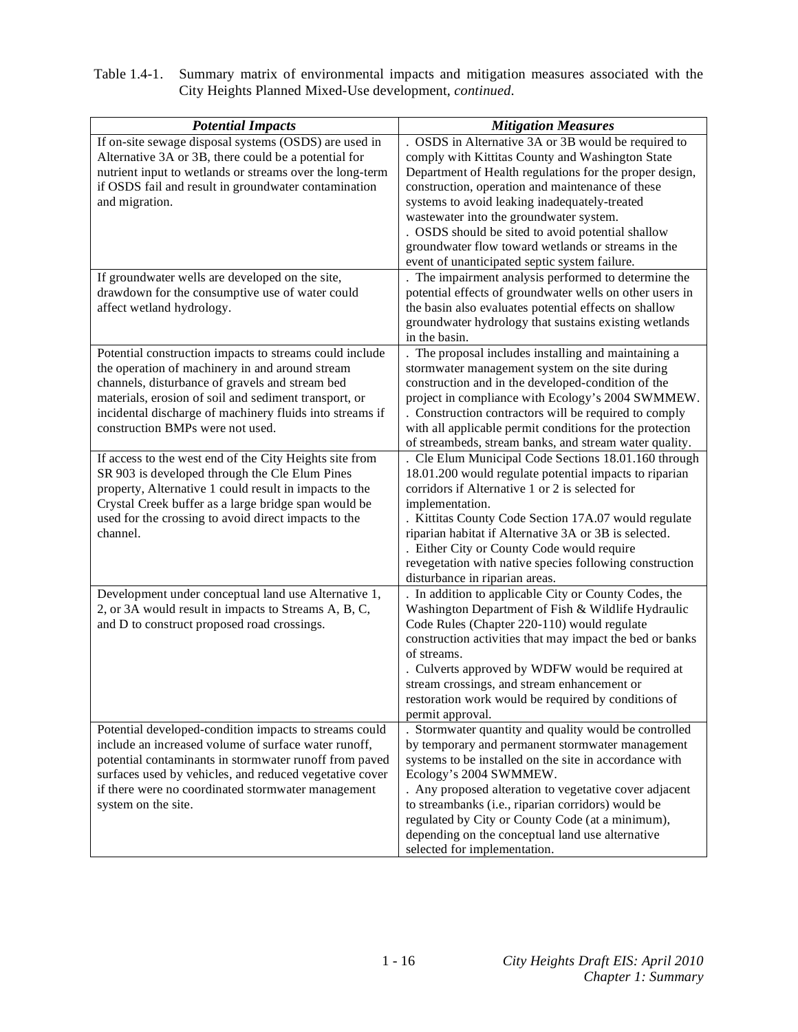| Table 1.4-1. Summary matrix of environmental impacts and mitigation measures associated with the |
|--------------------------------------------------------------------------------------------------|
| City Heights Planned Mixed-Use development, continued.                                           |

| <b>Potential Impacts</b>                                                                                                                                                                                                                                                                                               | <b>Mitigation Measures</b>                                                                                                                                                                                                                                                                                                                                                                                                                                                                                                             |
|------------------------------------------------------------------------------------------------------------------------------------------------------------------------------------------------------------------------------------------------------------------------------------------------------------------------|----------------------------------------------------------------------------------------------------------------------------------------------------------------------------------------------------------------------------------------------------------------------------------------------------------------------------------------------------------------------------------------------------------------------------------------------------------------------------------------------------------------------------------------|
| If on-site sewage disposal systems (OSDS) are used in<br>Alternative 3A or 3B, there could be a potential for<br>nutrient input to wetlands or streams over the long-term<br>if OSDS fail and result in groundwater contamination<br>and migration.<br>If groundwater wells are developed on the site,                 | . OSDS in Alternative 3A or 3B would be required to<br>comply with Kittitas County and Washington State<br>Department of Health regulations for the proper design,<br>construction, operation and maintenance of these<br>systems to avoid leaking inadequately-treated<br>wastewater into the groundwater system.<br>. OSDS should be sited to avoid potential shallow<br>groundwater flow toward wetlands or streams in the<br>event of unanticipated septic system failure.<br>. The impairment analysis performed to determine the |
| drawdown for the consumptive use of water could<br>affect wetland hydrology.                                                                                                                                                                                                                                           | potential effects of groundwater wells on other users in<br>the basin also evaluates potential effects on shallow<br>groundwater hydrology that sustains existing wetlands<br>in the basin.                                                                                                                                                                                                                                                                                                                                            |
| Potential construction impacts to streams could include<br>the operation of machinery in and around stream<br>channels, disturbance of gravels and stream bed<br>materials, erosion of soil and sediment transport, or<br>incidental discharge of machinery fluids into streams if<br>construction BMPs were not used. | . The proposal includes installing and maintaining a<br>stormwater management system on the site during<br>construction and in the developed-condition of the<br>project in compliance with Ecology's 2004 SWMMEW.<br>. Construction contractors will be required to comply<br>with all applicable permit conditions for the protection<br>of streambeds, stream banks, and stream water quality.                                                                                                                                      |
| If access to the west end of the City Heights site from<br>SR 903 is developed through the Cle Elum Pines<br>property, Alternative 1 could result in impacts to the<br>Crystal Creek buffer as a large bridge span would be<br>used for the crossing to avoid direct impacts to the<br>channel.                        | . Cle Elum Municipal Code Sections 18.01.160 through<br>18.01.200 would regulate potential impacts to riparian<br>corridors if Alternative 1 or 2 is selected for<br>implementation.<br>. Kittitas County Code Section 17A.07 would regulate<br>riparian habitat if Alternative 3A or 3B is selected.<br>. Either City or County Code would require<br>revegetation with native species following construction<br>disturbance in riparian areas.                                                                                       |
| Development under conceptual land use Alternative 1,<br>2, or 3A would result in impacts to Streams A, B, C,<br>and D to construct proposed road crossings.                                                                                                                                                            | . In addition to applicable City or County Codes, the<br>Washington Department of Fish & Wildlife Hydraulic<br>Code Rules (Chapter 220-110) would regulate<br>construction activities that may impact the bed or banks<br>of streams.<br>. Culverts approved by WDFW would be required at<br>stream crossings, and stream enhancement or<br>restoration work would be required by conditions of<br>permit approval.                                                                                                                    |
| Potential developed-condition impacts to streams could<br>include an increased volume of surface water runoff,<br>potential contaminants in stormwater runoff from paved<br>surfaces used by vehicles, and reduced vegetative cover<br>if there were no coordinated stormwater management<br>system on the site.       | . Stormwater quantity and quality would be controlled<br>by temporary and permanent stormwater management<br>systems to be installed on the site in accordance with<br>Ecology's 2004 SWMMEW.<br>. Any proposed alteration to vegetative cover adjacent<br>to streambanks (i.e., riparian corridors) would be<br>regulated by City or County Code (at a minimum),<br>depending on the conceptual land use alternative<br>selected for implementation.                                                                                  |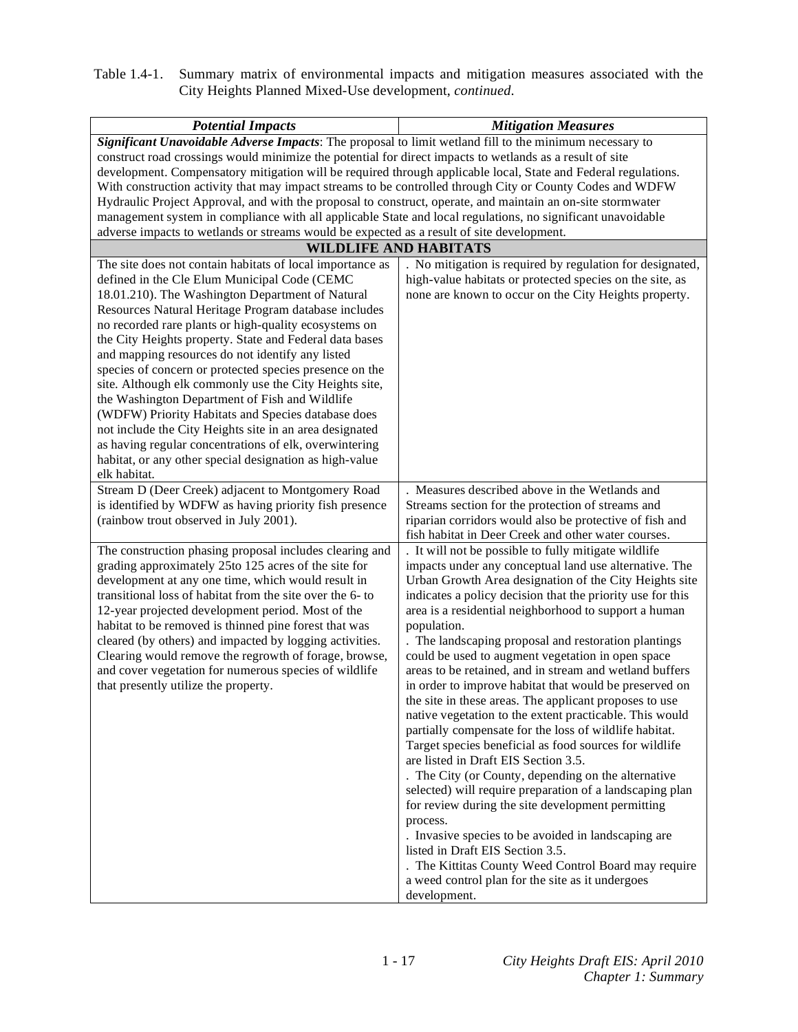| <b>Potential Impacts</b>                                                                                       | <b>Mitigation Measures</b>                                                                                  |  |  |
|----------------------------------------------------------------------------------------------------------------|-------------------------------------------------------------------------------------------------------------|--|--|
| Significant Unavoidable Adverse Impacts: The proposal to limit wetland fill to the minimum necessary to        |                                                                                                             |  |  |
|                                                                                                                | construct road crossings would minimize the potential for direct impacts to wetlands as a result of site    |  |  |
| development. Compensatory mitigation will be required through applicable local, State and Federal regulations. |                                                                                                             |  |  |
| With construction activity that may impact streams to be controlled through City or County Codes and WDFW      |                                                                                                             |  |  |
| Hydraulic Project Approval, and with the proposal to construct, operate, and maintain an on-site stormwater    |                                                                                                             |  |  |
| management system in compliance with all applicable State and local regulations, no significant unavoidable    |                                                                                                             |  |  |
| adverse impacts to wetlands or streams would be expected as a result of site development.                      |                                                                                                             |  |  |
|                                                                                                                | <b>WILDLIFE AND HABITATS</b>                                                                                |  |  |
| The site does not contain habitats of local importance as                                                      | . No mitigation is required by regulation for designated,                                                   |  |  |
| defined in the Cle Elum Municipal Code (CEMC                                                                   | high-value habitats or protected species on the site, as                                                    |  |  |
| 18.01.210). The Washington Department of Natural                                                               | none are known to occur on the City Heights property.                                                       |  |  |
| Resources Natural Heritage Program database includes<br>no recorded rare plants or high-quality ecosystems on  |                                                                                                             |  |  |
| the City Heights property. State and Federal data bases                                                        |                                                                                                             |  |  |
| and mapping resources do not identify any listed                                                               |                                                                                                             |  |  |
| species of concern or protected species presence on the                                                        |                                                                                                             |  |  |
| site. Although elk commonly use the City Heights site,                                                         |                                                                                                             |  |  |
| the Washington Department of Fish and Wildlife                                                                 |                                                                                                             |  |  |
| (WDFW) Priority Habitats and Species database does                                                             |                                                                                                             |  |  |
| not include the City Heights site in an area designated                                                        |                                                                                                             |  |  |
| as having regular concentrations of elk, overwintering                                                         |                                                                                                             |  |  |
| habitat, or any other special designation as high-value                                                        |                                                                                                             |  |  |
| elk habitat.                                                                                                   |                                                                                                             |  |  |
| Stream D (Deer Creek) adjacent to Montgomery Road                                                              | . Measures described above in the Wetlands and                                                              |  |  |
| is identified by WDFW as having priority fish presence                                                         | Streams section for the protection of streams and                                                           |  |  |
| (rainbow trout observed in July 2001).                                                                         | riparian corridors would also be protective of fish and                                                     |  |  |
| The construction phasing proposal includes clearing and                                                        | fish habitat in Deer Creek and other water courses.<br>. It will not be possible to fully mitigate wildlife |  |  |
| grading approximately 25to 125 acres of the site for                                                           | impacts under any conceptual land use alternative. The                                                      |  |  |
| development at any one time, which would result in                                                             | Urban Growth Area designation of the City Heights site                                                      |  |  |
| transitional loss of habitat from the site over the 6- to                                                      | indicates a policy decision that the priority use for this                                                  |  |  |
| 12-year projected development period. Most of the                                                              | area is a residential neighborhood to support a human                                                       |  |  |
| habitat to be removed is thinned pine forest that was                                                          | population.                                                                                                 |  |  |
| cleared (by others) and impacted by logging activities.                                                        | . The landscaping proposal and restoration plantings                                                        |  |  |
| Clearing would remove the regrowth of forage, browse,                                                          | could be used to augment vegetation in open space                                                           |  |  |
| and cover vegetation for numerous species of wildlife                                                          | areas to be retained, and in stream and wetland buffers                                                     |  |  |
| that presently utilize the property.                                                                           | in order to improve habitat that would be preserved on                                                      |  |  |
|                                                                                                                | the site in these areas. The applicant proposes to use                                                      |  |  |
|                                                                                                                | native vegetation to the extent practicable. This would                                                     |  |  |
|                                                                                                                | partially compensate for the loss of wildlife habitat.                                                      |  |  |
|                                                                                                                | Target species beneficial as food sources for wildlife                                                      |  |  |
|                                                                                                                | are listed in Draft EIS Section 3.5.<br>. The City (or County, depending on the alternative                 |  |  |
|                                                                                                                | selected) will require preparation of a landscaping plan                                                    |  |  |
|                                                                                                                | for review during the site development permitting                                                           |  |  |
|                                                                                                                | process.                                                                                                    |  |  |
|                                                                                                                | . Invasive species to be avoided in landscaping are                                                         |  |  |
|                                                                                                                | listed in Draft EIS Section 3.5.                                                                            |  |  |
|                                                                                                                | . The Kittitas County Weed Control Board may require                                                        |  |  |
|                                                                                                                | a weed control plan for the site as it undergoes                                                            |  |  |
|                                                                                                                | development.                                                                                                |  |  |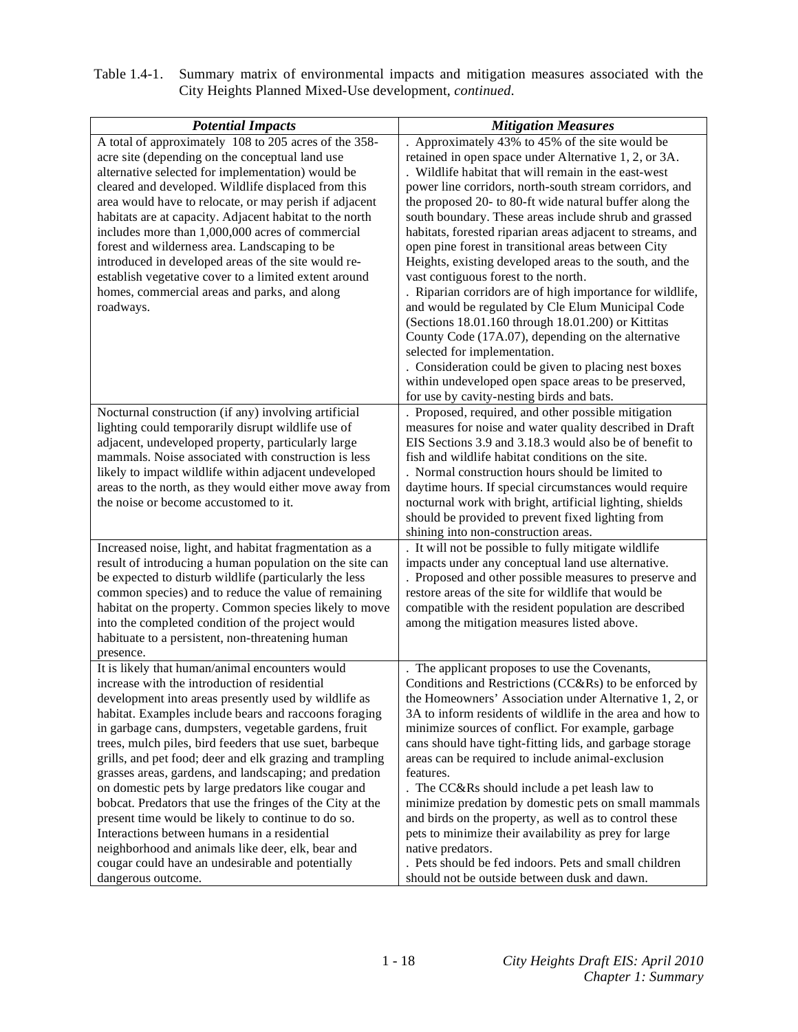| Table 1.4-1. Summary matrix of environmental impacts and mitigation measures associated with the |
|--------------------------------------------------------------------------------------------------|
| City Heights Planned Mixed-Use development, <i>continued</i> .                                   |

| <b>Potential Impacts</b>                                                                                      | <b>Mitigation Measures</b>                                                                                          |
|---------------------------------------------------------------------------------------------------------------|---------------------------------------------------------------------------------------------------------------------|
| A total of approximately 108 to 205 acres of the 358-                                                         | . Approximately 43% to 45% of the site would be                                                                     |
| acre site (depending on the conceptual land use                                                               | retained in open space under Alternative 1, 2, or 3A.                                                               |
| alternative selected for implementation) would be                                                             | . Wildlife habitat that will remain in the east-west                                                                |
| cleared and developed. Wildlife displaced from this                                                           | power line corridors, north-south stream corridors, and                                                             |
| area would have to relocate, or may perish if adjacent                                                        | the proposed 20- to 80-ft wide natural buffer along the                                                             |
| habitats are at capacity. Adjacent habitat to the north                                                       | south boundary. These areas include shrub and grassed                                                               |
| includes more than 1,000,000 acres of commercial                                                              | habitats, forested riparian areas adjacent to streams, and                                                          |
| forest and wilderness area. Landscaping to be                                                                 | open pine forest in transitional areas between City                                                                 |
| introduced in developed areas of the site would re-                                                           | Heights, existing developed areas to the south, and the                                                             |
| establish vegetative cover to a limited extent around                                                         | vast contiguous forest to the north.                                                                                |
| homes, commercial areas and parks, and along                                                                  | . Riparian corridors are of high importance for wildlife,                                                           |
| roadways.                                                                                                     | and would be regulated by Cle Elum Municipal Code                                                                   |
|                                                                                                               | (Sections 18.01.160 through 18.01.200) or Kittitas                                                                  |
|                                                                                                               | County Code (17A.07), depending on the alternative                                                                  |
|                                                                                                               | selected for implementation.                                                                                        |
|                                                                                                               | . Consideration could be given to placing nest boxes                                                                |
|                                                                                                               | within undeveloped open space areas to be preserved,                                                                |
|                                                                                                               | for use by cavity-nesting birds and bats.                                                                           |
| Nocturnal construction (if any) involving artificial                                                          | . Proposed, required, and other possible mitigation                                                                 |
| lighting could temporarily disrupt wildlife use of                                                            | measures for noise and water quality described in Draft                                                             |
| adjacent, undeveloped property, particularly large                                                            | EIS Sections 3.9 and 3.18.3 would also be of benefit to                                                             |
| mammals. Noise associated with construction is less                                                           | fish and wildlife habitat conditions on the site.                                                                   |
| likely to impact wildlife within adjacent undeveloped                                                         | . Normal construction hours should be limited to                                                                    |
| areas to the north, as they would either move away from                                                       | daytime hours. If special circumstances would require                                                               |
| the noise or become accustomed to it.                                                                         | nocturnal work with bright, artificial lighting, shields                                                            |
|                                                                                                               | should be provided to prevent fixed lighting from                                                                   |
|                                                                                                               | shining into non-construction areas.                                                                                |
| Increased noise, light, and habitat fragmentation as a                                                        | . It will not be possible to fully mitigate wildlife                                                                |
| result of introducing a human population on the site can                                                      | impacts under any conceptual land use alternative.                                                                  |
| be expected to disturb wildlife (particularly the less                                                        | . Proposed and other possible measures to preserve and                                                              |
| common species) and to reduce the value of remaining                                                          | restore areas of the site for wildlife that would be                                                                |
| habitat on the property. Common species likely to move                                                        | compatible with the resident population are described                                                               |
| into the completed condition of the project would                                                             | among the mitigation measures listed above.                                                                         |
| habituate to a persistent, non-threatening human                                                              |                                                                                                                     |
| presence.                                                                                                     |                                                                                                                     |
| It is likely that human/animal encounters would<br>increase with the introduction of residential              | The applicant proposes to use the Covenants,                                                                        |
|                                                                                                               | Conditions and Restrictions (CC&Rs) to be enforced by                                                               |
| development into areas presently used by wildlife as                                                          | the Homeowners' Association under Alternative 1, 2, or<br>3A to inform residents of wildlife in the area and how to |
| habitat. Examples include bears and raccoons foraging<br>in garbage cans, dumpsters, vegetable gardens, fruit | minimize sources of conflict. For example, garbage                                                                  |
| trees, mulch piles, bird feeders that use suet, barbeque                                                      | cans should have tight-fitting lids, and garbage storage                                                            |
| grills, and pet food; deer and elk grazing and trampling                                                      | areas can be required to include animal-exclusion                                                                   |
| grasses areas, gardens, and landscaping; and predation                                                        | features.                                                                                                           |
| on domestic pets by large predators like cougar and                                                           | . The CC&Rs should include a pet leash law to                                                                       |
| bobcat. Predators that use the fringes of the City at the                                                     | minimize predation by domestic pets on small mammals                                                                |
| present time would be likely to continue to do so.                                                            | and birds on the property, as well as to control these                                                              |
| Interactions between humans in a residential                                                                  | pets to minimize their availability as prey for large                                                               |
| neighborhood and animals like deer, elk, bear and                                                             | native predators.                                                                                                   |
| cougar could have an undesirable and potentially                                                              | . Pets should be fed indoors. Pets and small children                                                               |
| dangerous outcome.                                                                                            | should not be outside between dusk and dawn.                                                                        |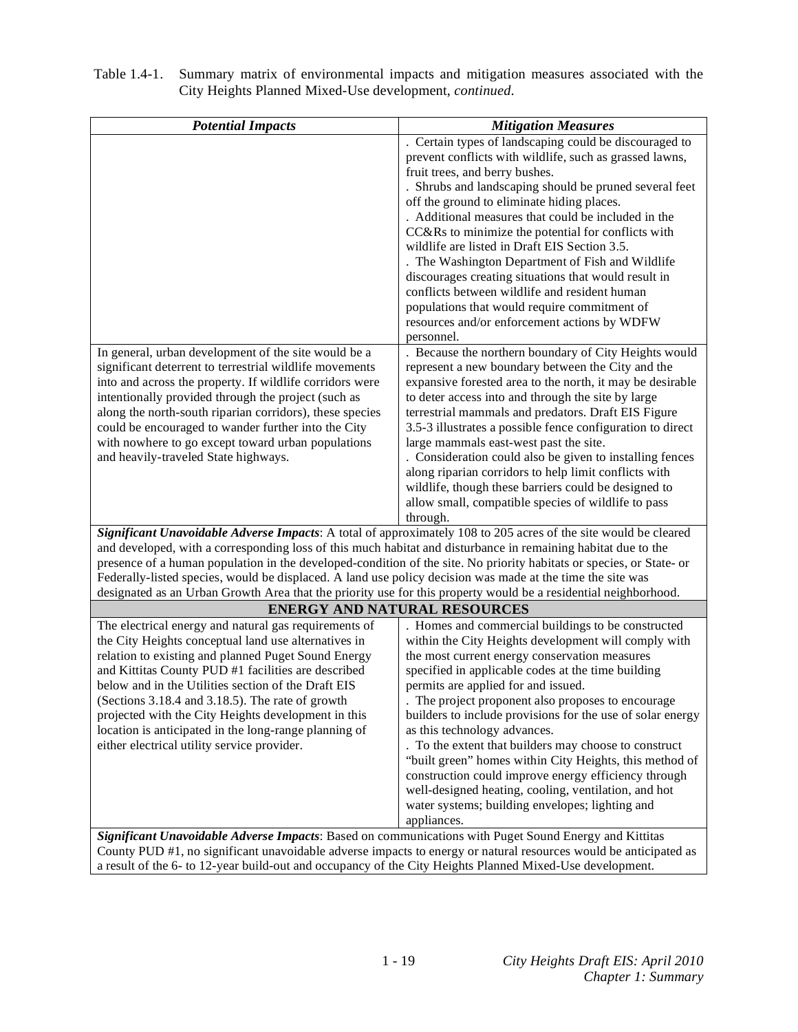| <b>Potential Impacts</b>                                                                                                                                                                                                  | <b>Mitigation Measures</b>                                                                              |  |
|---------------------------------------------------------------------------------------------------------------------------------------------------------------------------------------------------------------------------|---------------------------------------------------------------------------------------------------------|--|
|                                                                                                                                                                                                                           | . Certain types of landscaping could be discouraged to                                                  |  |
|                                                                                                                                                                                                                           | prevent conflicts with wildlife, such as grassed lawns,                                                 |  |
|                                                                                                                                                                                                                           | fruit trees, and berry bushes.                                                                          |  |
|                                                                                                                                                                                                                           | . Shrubs and landscaping should be pruned several feet                                                  |  |
|                                                                                                                                                                                                                           | off the ground to eliminate hiding places.                                                              |  |
|                                                                                                                                                                                                                           | . Additional measures that could be included in the                                                     |  |
|                                                                                                                                                                                                                           | CC&Rs to minimize the potential for conflicts with                                                      |  |
|                                                                                                                                                                                                                           | wildlife are listed in Draft EIS Section 3.5.                                                           |  |
|                                                                                                                                                                                                                           | . The Washington Department of Fish and Wildlife                                                        |  |
|                                                                                                                                                                                                                           | discourages creating situations that would result in                                                    |  |
|                                                                                                                                                                                                                           | conflicts between wildlife and resident human                                                           |  |
|                                                                                                                                                                                                                           | populations that would require commitment of<br>resources and/or enforcement actions by WDFW            |  |
|                                                                                                                                                                                                                           | personnel.                                                                                              |  |
| In general, urban development of the site would be a                                                                                                                                                                      | . Because the northern boundary of City Heights would                                                   |  |
| significant deterrent to terrestrial wildlife movements                                                                                                                                                                   | represent a new boundary between the City and the                                                       |  |
| into and across the property. If wildlife corridors were                                                                                                                                                                  | expansive forested area to the north, it may be desirable                                               |  |
| intentionally provided through the project (such as                                                                                                                                                                       | to deter access into and through the site by large                                                      |  |
| along the north-south riparian corridors), these species                                                                                                                                                                  | terrestrial mammals and predators. Draft EIS Figure                                                     |  |
| could be encouraged to wander further into the City                                                                                                                                                                       | 3.5-3 illustrates a possible fence configuration to direct                                              |  |
| with nowhere to go except toward urban populations                                                                                                                                                                        | large mammals east-west past the site.                                                                  |  |
| and heavily-traveled State highways.                                                                                                                                                                                      | . Consideration could also be given to installing fences                                                |  |
|                                                                                                                                                                                                                           | along riparian corridors to help limit conflicts with                                                   |  |
|                                                                                                                                                                                                                           | wildlife, though these barriers could be designed to                                                    |  |
|                                                                                                                                                                                                                           | allow small, compatible species of wildlife to pass                                                     |  |
|                                                                                                                                                                                                                           | through.                                                                                                |  |
| Significant Unavoidable Adverse Impacts: A total of approximately 108 to 205 acres of the site would be cleared                                                                                                           |                                                                                                         |  |
| and developed, with a corresponding loss of this much habitat and disturbance in remaining habitat due to the                                                                                                             |                                                                                                         |  |
| presence of a human population in the developed-condition of the site. No priority habitats or species, or State- or                                                                                                      |                                                                                                         |  |
| Federally-listed species, would be displaced. A land use policy decision was made at the time the site was                                                                                                                |                                                                                                         |  |
| designated as an Urban Growth Area that the priority use for this property would be a residential neighborhood.                                                                                                           |                                                                                                         |  |
| <b>ENERGY AND NATURAL RESOURCES</b>                                                                                                                                                                                       |                                                                                                         |  |
| The electrical energy and natural gas requirements of                                                                                                                                                                     | . Homes and commercial buildings to be constructed                                                      |  |
| the City Heights conceptual land use alternatives in                                                                                                                                                                      | within the City Heights development will comply with                                                    |  |
| relation to existing and planned Puget Sound Energy                                                                                                                                                                       | the most current energy conservation measures                                                           |  |
| and Kittitas County PUD #1 facilities are described                                                                                                                                                                       | specified in applicable codes at the time building                                                      |  |
| below and in the Utilities section of the Draft EIS                                                                                                                                                                       | permits are applied for and issued.                                                                     |  |
| (Sections 3.18.4 and 3.18.5). The rate of growth                                                                                                                                                                          | The project proponent also proposes to encourage                                                        |  |
| projected with the City Heights development in this                                                                                                                                                                       | builders to include provisions for the use of solar energy                                              |  |
| location is anticipated in the long-range planning of                                                                                                                                                                     | as this technology advances.                                                                            |  |
| either electrical utility service provider.                                                                                                                                                                               | . To the extent that builders may choose to construct                                                   |  |
|                                                                                                                                                                                                                           | "built green" homes within City Heights, this method of                                                 |  |
|                                                                                                                                                                                                                           | construction could improve energy efficiency through                                                    |  |
|                                                                                                                                                                                                                           | well-designed heating, cooling, ventilation, and hot<br>water systems; building envelopes; lighting and |  |
|                                                                                                                                                                                                                           | appliances.                                                                                             |  |
|                                                                                                                                                                                                                           |                                                                                                         |  |
| Significant Unavoidable Adverse Impacts: Based on communications with Puget Sound Energy and Kittitas<br>County PUD #1, no significant unavoidable adverse impacts to energy or natural resources would be anticipated as |                                                                                                         |  |
| a result of the 6- to 12-year build-out and occupancy of the City Heights Planned Mixed-Use development.                                                                                                                  |                                                                                                         |  |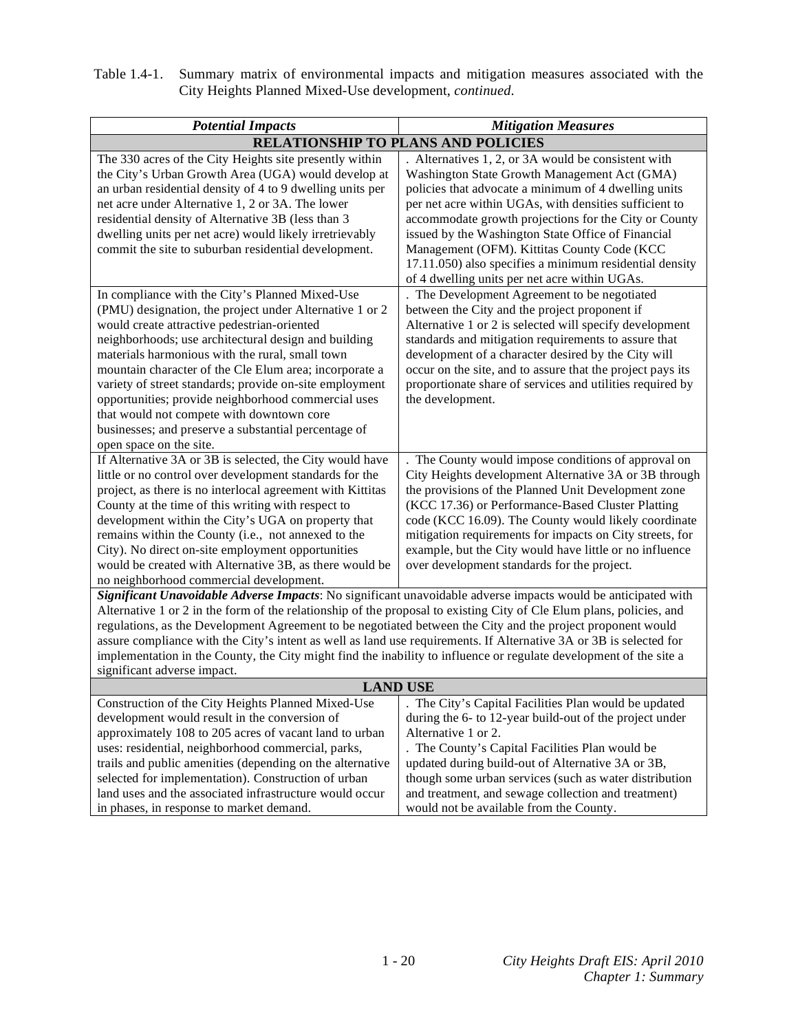| Table 1.4-1. Summary matrix of environmental impacts and mitigation measures associated with the |
|--------------------------------------------------------------------------------------------------|
| City Heights Planned Mixed-Use development, <i>continued</i> .                                   |

| <b>Potential Impacts</b>                                                                                              | <b>Mitigation Measures</b>                                                                                   |  |
|-----------------------------------------------------------------------------------------------------------------------|--------------------------------------------------------------------------------------------------------------|--|
| RELATIONSHIP TO PLANS AND POLICIES                                                                                    |                                                                                                              |  |
| The 330 acres of the City Heights site presently within                                                               | . Alternatives 1, 2, or 3A would be consistent with                                                          |  |
| the City's Urban Growth Area (UGA) would develop at                                                                   | Washington State Growth Management Act (GMA)                                                                 |  |
| an urban residential density of 4 to 9 dwelling units per                                                             | policies that advocate a minimum of 4 dwelling units                                                         |  |
| net acre under Alternative 1, 2 or 3A. The lower                                                                      | per net acre within UGAs, with densities sufficient to                                                       |  |
| residential density of Alternative 3B (less than 3                                                                    | accommodate growth projections for the City or County                                                        |  |
| dwelling units per net acre) would likely irretrievably                                                               | issued by the Washington State Office of Financial                                                           |  |
| commit the site to suburban residential development.                                                                  | Management (OFM). Kittitas County Code (KCC                                                                  |  |
|                                                                                                                       | 17.11.050) also specifies a minimum residential density                                                      |  |
|                                                                                                                       | of 4 dwelling units per net acre within UGAs.                                                                |  |
| In compliance with the City's Planned Mixed-Use                                                                       | The Development Agreement to be negotiated                                                                   |  |
| (PMU) designation, the project under Alternative 1 or 2                                                               | between the City and the project proponent if                                                                |  |
| would create attractive pedestrian-oriented                                                                           | Alternative 1 or 2 is selected will specify development                                                      |  |
| neighborhoods; use architectural design and building                                                                  | standards and mitigation requirements to assure that                                                         |  |
| materials harmonious with the rural, small town                                                                       | development of a character desired by the City will                                                          |  |
| mountain character of the Cle Elum area; incorporate a                                                                | occur on the site, and to assure that the project pays its                                                   |  |
| variety of street standards; provide on-site employment                                                               | proportionate share of services and utilities required by                                                    |  |
| opportunities; provide neighborhood commercial uses                                                                   | the development.                                                                                             |  |
| that would not compete with downtown core                                                                             |                                                                                                              |  |
| businesses; and preserve a substantial percentage of                                                                  |                                                                                                              |  |
| open space on the site.                                                                                               |                                                                                                              |  |
| If Alternative 3A or 3B is selected, the City would have                                                              | The County would impose conditions of approval on                                                            |  |
| little or no control over development standards for the<br>project, as there is no interlocal agreement with Kittitas | City Heights development Alternative 3A or 3B through<br>the provisions of the Planned Unit Development zone |  |
| County at the time of this writing with respect to                                                                    | (KCC 17.36) or Performance-Based Cluster Platting                                                            |  |
| development within the City's UGA on property that                                                                    | code (KCC 16.09). The County would likely coordinate                                                         |  |
| remains within the County (i.e., not annexed to the                                                                   | mitigation requirements for impacts on City streets, for                                                     |  |
| City). No direct on-site employment opportunities                                                                     | example, but the City would have little or no influence                                                      |  |
| would be created with Alternative 3B, as there would be                                                               | over development standards for the project.                                                                  |  |
| no neighborhood commercial development.                                                                               |                                                                                                              |  |
| Significant Unavoidable Adverse Impacts: No significant unavoidable adverse impacts would be anticipated with         |                                                                                                              |  |
| Alternative 1 or 2 in the form of the relationship of the proposal to existing City of Cle Elum plans, policies, and  |                                                                                                              |  |
| regulations, as the Development Agreement to be negotiated between the City and the project proponent would           |                                                                                                              |  |
| assure compliance with the City's intent as well as land use requirements. If Alternative 3A or 3B is selected for    |                                                                                                              |  |
| implementation in the County, the City might find the inability to influence or regulate development of the site a    |                                                                                                              |  |
| significant adverse impact.                                                                                           |                                                                                                              |  |
| <b>LAND USE</b>                                                                                                       |                                                                                                              |  |
| Construction of the City Heights Planned Mixed-Use                                                                    | . The City's Capital Facilities Plan would be updated                                                        |  |
| development would result in the conversion of                                                                         | during the 6- to 12-year build-out of the project under                                                      |  |
| approximately 108 to 205 acres of vacant land to urban                                                                | Alternative 1 or 2.                                                                                          |  |
| uses: residential, neighborhood commercial, parks,                                                                    | . The County's Capital Facilities Plan would be                                                              |  |
| trails and public amenities (depending on the alternative                                                             | updated during build-out of Alternative 3A or 3B,                                                            |  |
| selected for implementation). Construction of urban                                                                   | though some urban services (such as water distribution                                                       |  |
| land uses and the associated infrastructure would occur                                                               | and treatment, and sewage collection and treatment)                                                          |  |
| in phases, in response to market demand.                                                                              | would not be available from the County.                                                                      |  |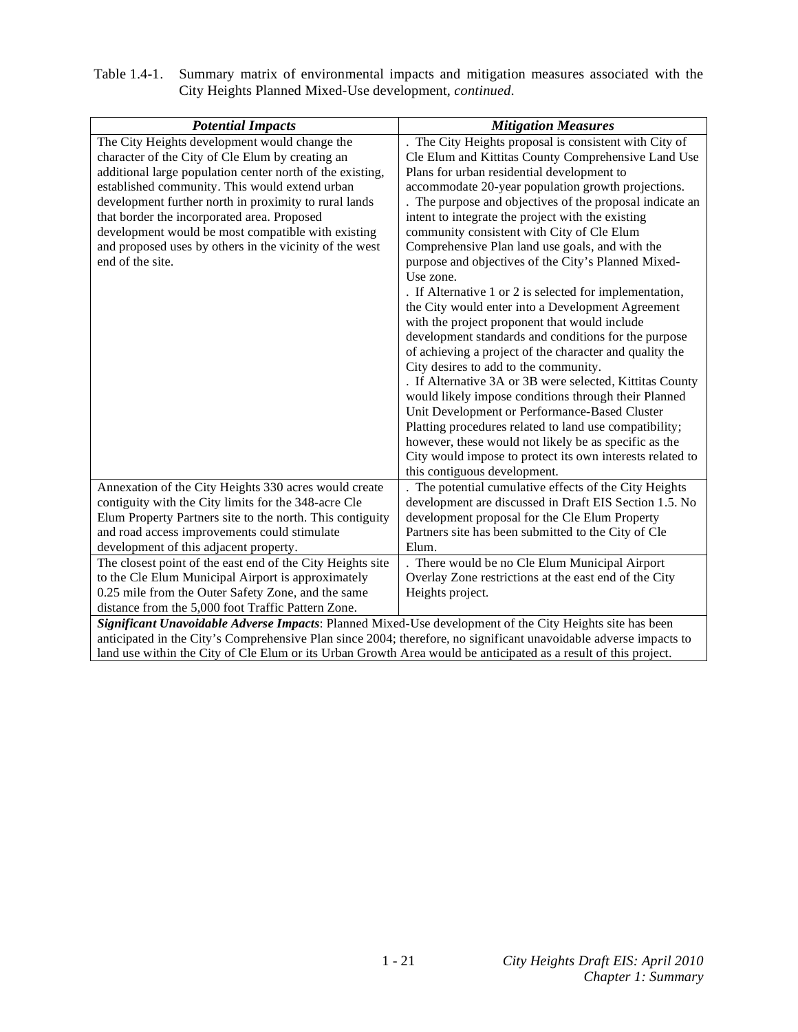| Table 1.4-1. Summary matrix of environmental impacts and mitigation measures associated with the |
|--------------------------------------------------------------------------------------------------|
| City Heights Planned Mixed-Use development, <i>continued</i> .                                   |

| <b>Potential Impacts</b>                                                                                          | <b>Mitigation Measures</b>                                   |  |
|-------------------------------------------------------------------------------------------------------------------|--------------------------------------------------------------|--|
| The City Heights development would change the                                                                     | The City Heights proposal is consistent with City of         |  |
| character of the City of Cle Elum by creating an                                                                  | Cle Elum and Kittitas County Comprehensive Land Use          |  |
| additional large population center north of the existing,                                                         | Plans for urban residential development to                   |  |
| established community. This would extend urban                                                                    | accommodate 20-year population growth projections.           |  |
| development further north in proximity to rural lands                                                             | The purpose and objectives of the proposal indicate an       |  |
| that border the incorporated area. Proposed                                                                       | intent to integrate the project with the existing            |  |
| development would be most compatible with existing                                                                | community consistent with City of Cle Elum                   |  |
| and proposed uses by others in the vicinity of the west                                                           | Comprehensive Plan land use goals, and with the              |  |
| end of the site.                                                                                                  | purpose and objectives of the City's Planned Mixed-          |  |
|                                                                                                                   | Use zone.                                                    |  |
|                                                                                                                   | . If Alternative 1 or 2 is selected for implementation,      |  |
|                                                                                                                   | the City would enter into a Development Agreement            |  |
|                                                                                                                   | with the project proponent that would include                |  |
|                                                                                                                   | development standards and conditions for the purpose         |  |
|                                                                                                                   | of achieving a project of the character and quality the      |  |
|                                                                                                                   | City desires to add to the community.                        |  |
|                                                                                                                   | . If Alternative 3A or 3B were selected, Kittitas County     |  |
|                                                                                                                   | would likely impose conditions through their Planned         |  |
|                                                                                                                   | Unit Development or Performance-Based Cluster                |  |
|                                                                                                                   | Platting procedures related to land use compatibility;       |  |
|                                                                                                                   | however, these would not likely be as specific as the        |  |
|                                                                                                                   | City would impose to protect its own interests related to    |  |
|                                                                                                                   | this contiguous development.                                 |  |
| Annexation of the City Heights 330 acres would create                                                             | . The potential cumulative effects of the City Heights       |  |
| contiguity with the City limits for the 348-acre Cle                                                              | development are discussed in Draft EIS Section 1.5. No       |  |
| Elum Property Partners site to the north. This contiguity                                                         | development proposal for the Cle Elum Property               |  |
| and road access improvements could stimulate                                                                      | Partners site has been submitted to the City of Cle<br>Elum. |  |
| development of this adjacent property.<br>The closest point of the east end of the City Heights site              | . There would be no Cle Elum Municipal Airport               |  |
| to the Cle Elum Municipal Airport is approximately                                                                | Overlay Zone restrictions at the east end of the City        |  |
| 0.25 mile from the Outer Safety Zone, and the same                                                                | Heights project.                                             |  |
| distance from the 5,000 foot Traffic Pattern Zone.                                                                |                                                              |  |
| Significant Unavoidable Adverse Impacts: Planned Mixed-Use development of the City Heights site has been          |                                                              |  |
| anticipated in the City's Comprehensive Plan since 2004; therefore, no significant unavoidable adverse impacts to |                                                              |  |
| land use within the City of Cle Elum or its Urban Growth Area would be anticipated as a result of this project.   |                                                              |  |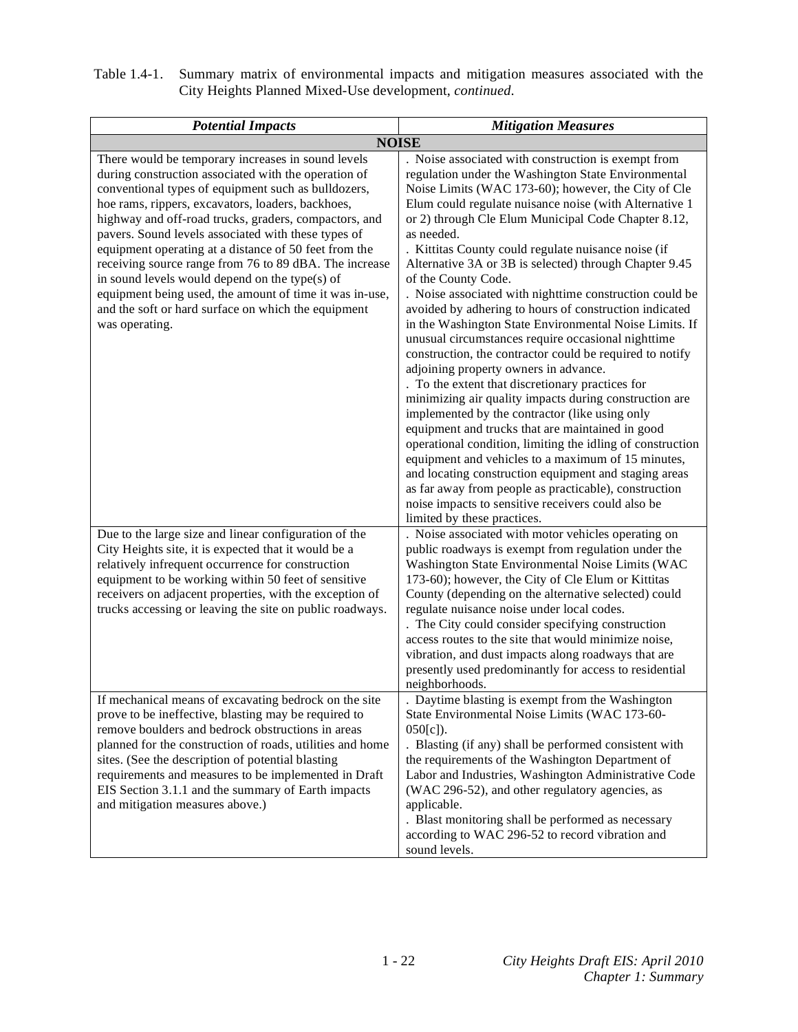| Table 1.4-1. Summary matrix of environmental impacts and mitigation measures associated with the |
|--------------------------------------------------------------------------------------------------|
| City Heights Planned Mixed-Use development, <i>continued</i> .                                   |

| <b>Potential Impacts</b>                                                                                                                                                                                                                                                                                                                                                                                                                                                                                                                                                                                                                        | <b>Mitigation Measures</b>                                                                                                                                                                                                                                                                                                                                                                                                                                                                                                                                                                                                                                                                                                                                                                                                                                                                                                                                                                                                                                                                                                 |
|-------------------------------------------------------------------------------------------------------------------------------------------------------------------------------------------------------------------------------------------------------------------------------------------------------------------------------------------------------------------------------------------------------------------------------------------------------------------------------------------------------------------------------------------------------------------------------------------------------------------------------------------------|----------------------------------------------------------------------------------------------------------------------------------------------------------------------------------------------------------------------------------------------------------------------------------------------------------------------------------------------------------------------------------------------------------------------------------------------------------------------------------------------------------------------------------------------------------------------------------------------------------------------------------------------------------------------------------------------------------------------------------------------------------------------------------------------------------------------------------------------------------------------------------------------------------------------------------------------------------------------------------------------------------------------------------------------------------------------------------------------------------------------------|
|                                                                                                                                                                                                                                                                                                                                                                                                                                                                                                                                                                                                                                                 | <b>NOISE</b>                                                                                                                                                                                                                                                                                                                                                                                                                                                                                                                                                                                                                                                                                                                                                                                                                                                                                                                                                                                                                                                                                                               |
| There would be temporary increases in sound levels<br>during construction associated with the operation of<br>conventional types of equipment such as bulldozers,<br>hoe rams, rippers, excavators, loaders, backhoes,<br>highway and off-road trucks, graders, compactors, and<br>pavers. Sound levels associated with these types of<br>equipment operating at a distance of 50 feet from the<br>receiving source range from 76 to 89 dBA. The increase<br>in sound levels would depend on the type(s) of<br>equipment being used, the amount of time it was in-use,<br>and the soft or hard surface on which the equipment<br>was operating. | . Noise associated with construction is exempt from<br>regulation under the Washington State Environmental<br>Noise Limits (WAC 173-60); however, the City of Cle<br>Elum could regulate nuisance noise (with Alternative 1<br>or 2) through Cle Elum Municipal Code Chapter 8.12,<br>as needed.<br>. Kittitas County could regulate nuisance noise (if<br>Alternative 3A or 3B is selected) through Chapter 9.45<br>of the County Code.<br>. Noise associated with nighttime construction could be<br>avoided by adhering to hours of construction indicated<br>in the Washington State Environmental Noise Limits. If<br>unusual circumstances require occasional nighttime<br>construction, the contractor could be required to notify<br>adjoining property owners in advance.<br>. To the extent that discretionary practices for<br>minimizing air quality impacts during construction are<br>implemented by the contractor (like using only<br>equipment and trucks that are maintained in good<br>operational condition, limiting the idling of construction<br>equipment and vehicles to a maximum of 15 minutes, |
| Due to the large size and linear configuration of the<br>City Heights site, it is expected that it would be a<br>relatively infrequent occurrence for construction<br>equipment to be working within 50 feet of sensitive<br>receivers on adjacent properties, with the exception of<br>trucks accessing or leaving the site on public roadways.                                                                                                                                                                                                                                                                                                | and locating construction equipment and staging areas<br>as far away from people as practicable), construction<br>noise impacts to sensitive receivers could also be<br>limited by these practices.<br>Noise associated with motor vehicles operating on<br>public roadways is exempt from regulation under the<br>Washington State Environmental Noise Limits (WAC<br>173-60); however, the City of Cle Elum or Kittitas<br>County (depending on the alternative selected) could<br>regulate nuisance noise under local codes.<br>. The City could consider specifying construction<br>access routes to the site that would minimize noise,<br>vibration, and dust impacts along roadways that are<br>presently used predominantly for access to residential<br>neighborhoods.                                                                                                                                                                                                                                                                                                                                            |
| If mechanical means of excavating bedrock on the site<br>prove to be ineffective, blasting may be required to<br>remove boulders and bedrock obstructions in areas<br>planned for the construction of roads, utilities and home<br>sites. (See the description of potential blasting<br>requirements and measures to be implemented in Draft<br>EIS Section 3.1.1 and the summary of Earth impacts<br>and mitigation measures above.)                                                                                                                                                                                                           | . Daytime blasting is exempt from the Washington<br>State Environmental Noise Limits (WAC 173-60-<br>$050[c]$ ).<br>. Blasting (if any) shall be performed consistent with<br>the requirements of the Washington Department of<br>Labor and Industries, Washington Administrative Code<br>(WAC 296-52), and other regulatory agencies, as<br>applicable.<br>. Blast monitoring shall be performed as necessary<br>according to WAC 296-52 to record vibration and<br>sound levels.                                                                                                                                                                                                                                                                                                                                                                                                                                                                                                                                                                                                                                         |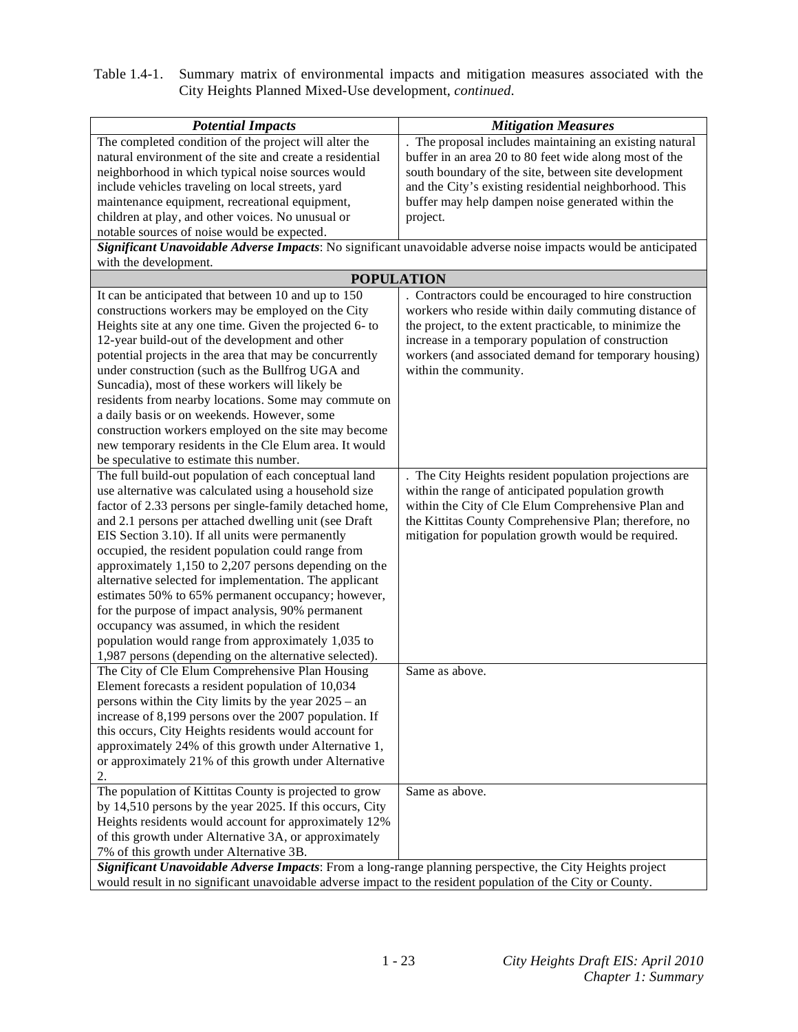| Table 1.4-1. Summary matrix of environmental impacts and mitigation measures associated with the |
|--------------------------------------------------------------------------------------------------|
| City Heights Planned Mixed-Use development, <i>continued</i> .                                   |

| <b>Potential Impacts</b>                                                                                    | <b>Mitigation Measures</b>                                                                                     |  |
|-------------------------------------------------------------------------------------------------------------|----------------------------------------------------------------------------------------------------------------|--|
| The completed condition of the project will alter the                                                       | The proposal includes maintaining an existing natural                                                          |  |
| natural environment of the site and create a residential                                                    | buffer in an area 20 to 80 feet wide along most of the                                                         |  |
| neighborhood in which typical noise sources would                                                           | south boundary of the site, between site development                                                           |  |
| include vehicles traveling on local streets, yard                                                           | and the City's existing residential neighborhood. This                                                         |  |
| maintenance equipment, recreational equipment,                                                              | buffer may help dampen noise generated within the                                                              |  |
| children at play, and other voices. No unusual or                                                           | project.                                                                                                       |  |
| notable sources of noise would be expected.                                                                 |                                                                                                                |  |
|                                                                                                             | Significant Unavoidable Adverse Impacts: No significant unavoidable adverse noise impacts would be anticipated |  |
| with the development.                                                                                       |                                                                                                                |  |
|                                                                                                             | <b>POPULATION</b>                                                                                              |  |
| It can be anticipated that between 10 and up to 150                                                         | . Contractors could be encouraged to hire construction                                                         |  |
| constructions workers may be employed on the City                                                           | workers who reside within daily commuting distance of                                                          |  |
| Heights site at any one time. Given the projected 6- to                                                     | the project, to the extent practicable, to minimize the                                                        |  |
| 12-year build-out of the development and other                                                              | increase in a temporary population of construction                                                             |  |
| potential projects in the area that may be concurrently                                                     | workers (and associated demand for temporary housing)                                                          |  |
| under construction (such as the Bullfrog UGA and                                                            | within the community.                                                                                          |  |
| Suncadia), most of these workers will likely be                                                             |                                                                                                                |  |
| residents from nearby locations. Some may commute on                                                        |                                                                                                                |  |
| a daily basis or on weekends. However, some                                                                 |                                                                                                                |  |
| construction workers employed on the site may become                                                        |                                                                                                                |  |
| new temporary residents in the Cle Elum area. It would                                                      |                                                                                                                |  |
| be speculative to estimate this number.                                                                     |                                                                                                                |  |
| The full build-out population of each conceptual land                                                       | The City Heights resident population projections are                                                           |  |
| use alternative was calculated using a household size                                                       | within the range of anticipated population growth                                                              |  |
| factor of 2.33 persons per single-family detached home,                                                     | within the City of Cle Elum Comprehensive Plan and                                                             |  |
| and 2.1 persons per attached dwelling unit (see Draft                                                       | the Kittitas County Comprehensive Plan; therefore, no                                                          |  |
| EIS Section 3.10). If all units were permanently                                                            | mitigation for population growth would be required.                                                            |  |
| occupied, the resident population could range from                                                          |                                                                                                                |  |
| approximately 1,150 to 2,207 persons depending on the                                                       |                                                                                                                |  |
| alternative selected for implementation. The applicant                                                      |                                                                                                                |  |
| estimates 50% to 65% permanent occupancy; however,                                                          |                                                                                                                |  |
| for the purpose of impact analysis, 90% permanent                                                           |                                                                                                                |  |
| occupancy was assumed, in which the resident<br>population would range from approximately 1,035 to          |                                                                                                                |  |
| 1,987 persons (depending on the alternative selected).                                                      |                                                                                                                |  |
| The City of Cle Elum Comprehensive Plan Housing                                                             | Same as above.                                                                                                 |  |
| Element forecasts a resident population of 10,034                                                           |                                                                                                                |  |
| persons within the City limits by the year $2025 - an$                                                      |                                                                                                                |  |
| increase of 8,199 persons over the 2007 population. If                                                      |                                                                                                                |  |
| this occurs, City Heights residents would account for                                                       |                                                                                                                |  |
| approximately 24% of this growth under Alternative 1,                                                       |                                                                                                                |  |
| or approximately 21% of this growth under Alternative                                                       |                                                                                                                |  |
| 2.                                                                                                          |                                                                                                                |  |
| The population of Kittitas County is projected to grow                                                      | Same as above.                                                                                                 |  |
| by 14,510 persons by the year 2025. If this occurs, City                                                    |                                                                                                                |  |
| Heights residents would account for approximately 12%                                                       |                                                                                                                |  |
| of this growth under Alternative 3A, or approximately                                                       |                                                                                                                |  |
| 7% of this growth under Alternative 3B.                                                                     |                                                                                                                |  |
| Significant Unavoidable Adverse Impacts: From a long-range planning perspective, the City Heights project   |                                                                                                                |  |
| would result in no significant unavoidable adverse impact to the resident population of the City or County. |                                                                                                                |  |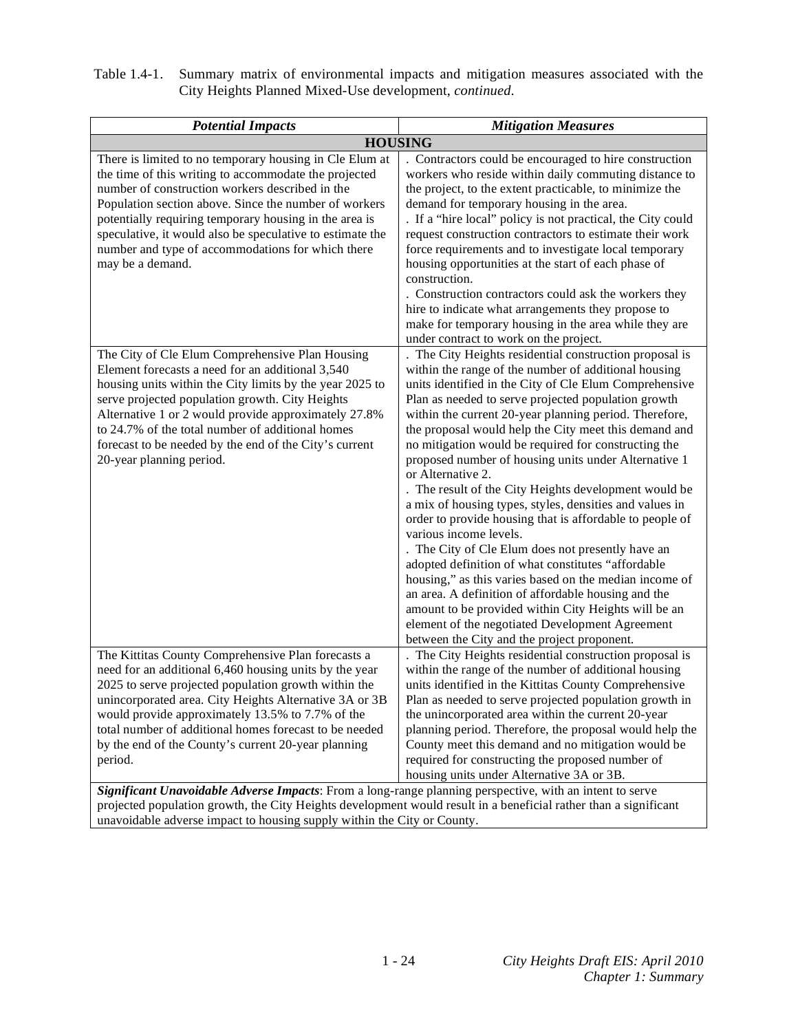| Table 1.4-1. Summary matrix of environmental impacts and mitigation measures associated with the |
|--------------------------------------------------------------------------------------------------|
| City Heights Planned Mixed-Use development, <i>continued</i> .                                   |

| <b>Potential Impacts</b>                                                                                                                                                                                                                                                                                                                                                                                                     | <b>Mitigation Measures</b>                                                                                                                                                                                                                                                                                                                                                                                                                                                                                                                                                                                                                                                                                                                                                                                                                                                                                                                                                                                                                                                             |  |
|------------------------------------------------------------------------------------------------------------------------------------------------------------------------------------------------------------------------------------------------------------------------------------------------------------------------------------------------------------------------------------------------------------------------------|----------------------------------------------------------------------------------------------------------------------------------------------------------------------------------------------------------------------------------------------------------------------------------------------------------------------------------------------------------------------------------------------------------------------------------------------------------------------------------------------------------------------------------------------------------------------------------------------------------------------------------------------------------------------------------------------------------------------------------------------------------------------------------------------------------------------------------------------------------------------------------------------------------------------------------------------------------------------------------------------------------------------------------------------------------------------------------------|--|
| <b>HOUSING</b>                                                                                                                                                                                                                                                                                                                                                                                                               |                                                                                                                                                                                                                                                                                                                                                                                                                                                                                                                                                                                                                                                                                                                                                                                                                                                                                                                                                                                                                                                                                        |  |
| There is limited to no temporary housing in Cle Elum at<br>the time of this writing to accommodate the projected<br>number of construction workers described in the<br>Population section above. Since the number of workers<br>potentially requiring temporary housing in the area is<br>speculative, it would also be speculative to estimate the<br>number and type of accommodations for which there<br>may be a demand. | . Contractors could be encouraged to hire construction<br>workers who reside within daily commuting distance to<br>the project, to the extent practicable, to minimize the<br>demand for temporary housing in the area.<br>. If a "hire local" policy is not practical, the City could<br>request construction contractors to estimate their work<br>force requirements and to investigate local temporary<br>housing opportunities at the start of each phase of<br>construction.<br>. Construction contractors could ask the workers they<br>hire to indicate what arrangements they propose to<br>make for temporary housing in the area while they are<br>under contract to work on the project.                                                                                                                                                                                                                                                                                                                                                                                   |  |
| The City of Cle Elum Comprehensive Plan Housing<br>Element forecasts a need for an additional 3,540<br>housing units within the City limits by the year 2025 to<br>serve projected population growth. City Heights<br>Alternative 1 or 2 would provide approximately 27.8%<br>to 24.7% of the total number of additional homes<br>forecast to be needed by the end of the City's current<br>20-year planning period.         | . The City Heights residential construction proposal is<br>within the range of the number of additional housing<br>units identified in the City of Cle Elum Comprehensive<br>Plan as needed to serve projected population growth<br>within the current 20-year planning period. Therefore,<br>the proposal would help the City meet this demand and<br>no mitigation would be required for constructing the<br>proposed number of housing units under Alternative 1<br>or Alternative 2.<br>. The result of the City Heights development would be<br>a mix of housing types, styles, densities and values in<br>order to provide housing that is affordable to people of<br>various income levels.<br>The City of Cle Elum does not presently have an<br>adopted definition of what constitutes "affordable<br>housing," as this varies based on the median income of<br>an area. A definition of affordable housing and the<br>amount to be provided within City Heights will be an<br>element of the negotiated Development Agreement<br>between the City and the project proponent. |  |
| The Kittitas County Comprehensive Plan forecasts a<br>need for an additional 6,460 housing units by the year<br>2025 to serve projected population growth within the<br>unincorporated area. City Heights Alternative 3A or 3B<br>would provide approximately 13.5% to 7.7% of the<br>total number of additional homes forecast to be needed<br>by the end of the County's current 20-year planning<br>period.               | . The City Heights residential construction proposal is<br>within the range of the number of additional housing<br>units identified in the Kittitas County Comprehensive<br>Plan as needed to serve projected population growth in<br>the unincorporated area within the current 20-year<br>planning period. Therefore, the proposal would help the<br>County meet this demand and no mitigation would be<br>required for constructing the proposed number of<br>housing units under Alternative 3A or 3B.                                                                                                                                                                                                                                                                                                                                                                                                                                                                                                                                                                             |  |
| Significant Unavoidable Adverse Impacts: From a long-range planning perspective, with an intent to serve<br>projected population growth, the City Heights development would result in a beneficial rather than a significant                                                                                                                                                                                                 |                                                                                                                                                                                                                                                                                                                                                                                                                                                                                                                                                                                                                                                                                                                                                                                                                                                                                                                                                                                                                                                                                        |  |

unavoidable adverse impact to housing supply within the City or County.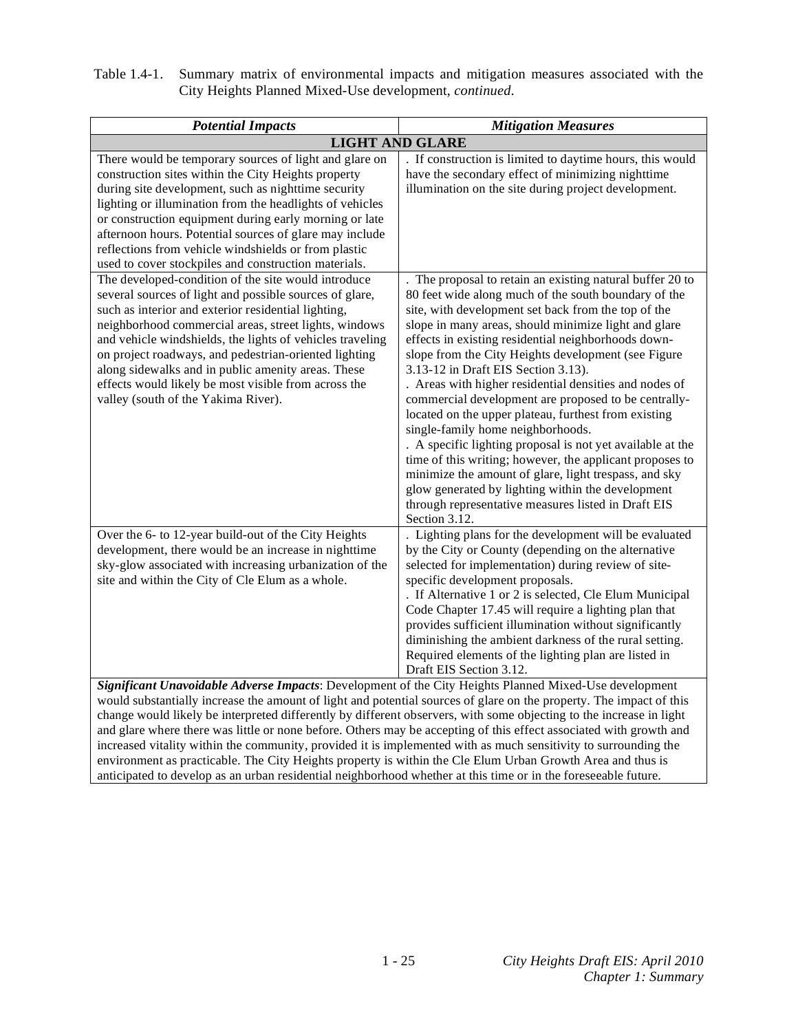| Table 1.4-1. Summary matrix of environmental impacts and mitigation measures associated with the |
|--------------------------------------------------------------------------------------------------|
| City Heights Planned Mixed-Use development, <i>continued</i> .                                   |

| <b>Potential Impacts</b>                                                                                                                                                                                                                                                                                                                                                                                                                                                                                                                                                                                                                                                                                    | <b>Mitigation Measures</b>                                                                                                                                                                                                                                                                                                                                                                                                                                                                                                                                                                                                                                                                                                                                                                                                                                                                                           |  |
|-------------------------------------------------------------------------------------------------------------------------------------------------------------------------------------------------------------------------------------------------------------------------------------------------------------------------------------------------------------------------------------------------------------------------------------------------------------------------------------------------------------------------------------------------------------------------------------------------------------------------------------------------------------------------------------------------------------|----------------------------------------------------------------------------------------------------------------------------------------------------------------------------------------------------------------------------------------------------------------------------------------------------------------------------------------------------------------------------------------------------------------------------------------------------------------------------------------------------------------------------------------------------------------------------------------------------------------------------------------------------------------------------------------------------------------------------------------------------------------------------------------------------------------------------------------------------------------------------------------------------------------------|--|
|                                                                                                                                                                                                                                                                                                                                                                                                                                                                                                                                                                                                                                                                                                             | <b>LIGHT AND GLARE</b>                                                                                                                                                                                                                                                                                                                                                                                                                                                                                                                                                                                                                                                                                                                                                                                                                                                                                               |  |
| There would be temporary sources of light and glare on<br>construction sites within the City Heights property<br>during site development, such as nighttime security<br>lighting or illumination from the headlights of vehicles<br>or construction equipment during early morning or late<br>afternoon hours. Potential sources of glare may include<br>reflections from vehicle windshields or from plastic<br>used to cover stockpiles and construction materials.                                                                                                                                                                                                                                       | . If construction is limited to daytime hours, this would<br>have the secondary effect of minimizing nighttime<br>illumination on the site during project development.                                                                                                                                                                                                                                                                                                                                                                                                                                                                                                                                                                                                                                                                                                                                               |  |
| The developed-condition of the site would introduce<br>several sources of light and possible sources of glare,<br>such as interior and exterior residential lighting,<br>neighborhood commercial areas, street lights, windows<br>and vehicle windshields, the lights of vehicles traveling<br>on project roadways, and pedestrian-oriented lighting<br>along sidewalks and in public amenity areas. These<br>effects would likely be most visible from across the<br>valley (south of the Yakima River).                                                                                                                                                                                                   | . The proposal to retain an existing natural buffer 20 to<br>80 feet wide along much of the south boundary of the<br>site, with development set back from the top of the<br>slope in many areas, should minimize light and glare<br>effects in existing residential neighborhoods down-<br>slope from the City Heights development (see Figure<br>3.13-12 in Draft EIS Section 3.13).<br>. Areas with higher residential densities and nodes of<br>commercial development are proposed to be centrally-<br>located on the upper plateau, furthest from existing<br>single-family home neighborhoods.<br>. A specific lighting proposal is not yet available at the<br>time of this writing; however, the applicant proposes to<br>minimize the amount of glare, light trespass, and sky<br>glow generated by lighting within the development<br>through representative measures listed in Draft EIS<br>Section 3.12. |  |
| Over the 6- to 12-year build-out of the City Heights<br>development, there would be an increase in nighttime<br>sky-glow associated with increasing urbanization of the<br>site and within the City of Cle Elum as a whole.                                                                                                                                                                                                                                                                                                                                                                                                                                                                                 | . Lighting plans for the development will be evaluated<br>by the City or County (depending on the alternative<br>selected for implementation) during review of site-<br>specific development proposals.<br>. If Alternative 1 or 2 is selected, Cle Elum Municipal<br>Code Chapter 17.45 will require a lighting plan that<br>provides sufficient illumination without significantly<br>diminishing the ambient darkness of the rural setting.<br>Required elements of the lighting plan are listed in<br>Draft EIS Section 3.12.                                                                                                                                                                                                                                                                                                                                                                                    |  |
| Significant Unavoidable Adverse Impacts: Development of the City Heights Planned Mixed-Use development<br>would substantially increase the amount of light and potential sources of glare on the property. The impact of this<br>change would likely be interpreted differently by different observers, with some objecting to the increase in light<br>and glare where there was little or none before. Others may be accepting of this effect associated with growth and<br>increased vitality within the community, provided it is implemented with as much sensitivity to surrounding the<br>environment as practicable. The City Heights property is within the Cle Elum Urban Growth Area and thus is |                                                                                                                                                                                                                                                                                                                                                                                                                                                                                                                                                                                                                                                                                                                                                                                                                                                                                                                      |  |

anticipated to develop as an urban residential neighborhood whether at this time or in the foreseeable future.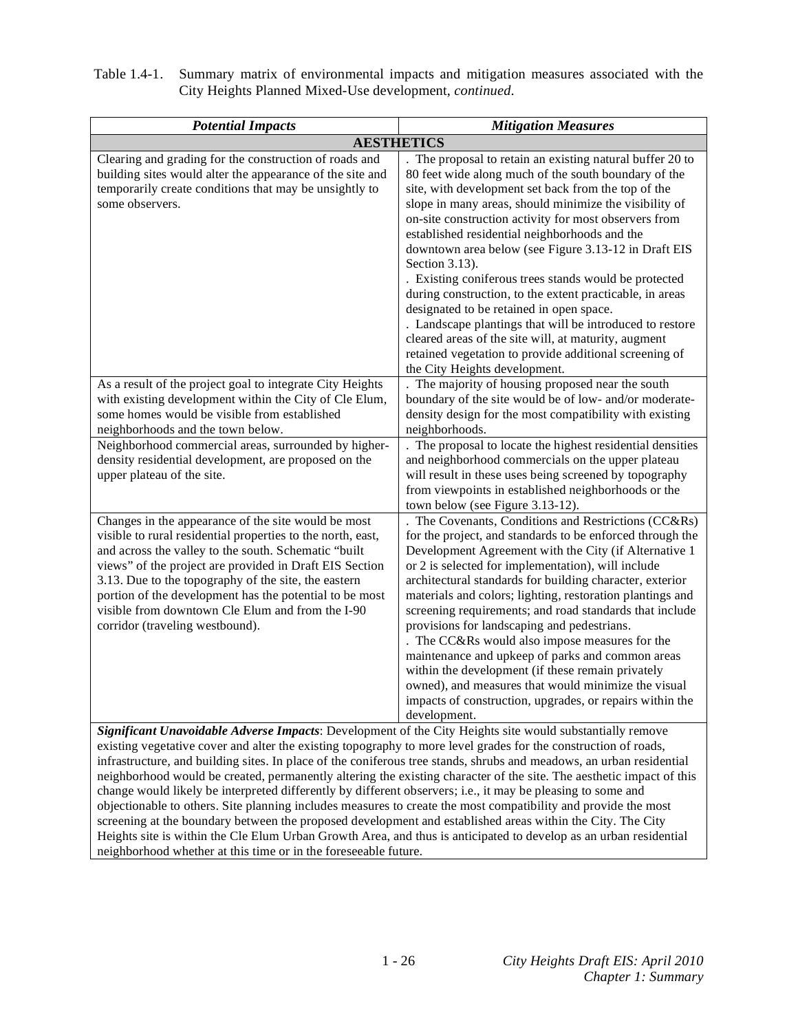| Table 1.4-1. Summary matrix of environmental impacts and mitigation measures associated with the |
|--------------------------------------------------------------------------------------------------|
| City Heights Planned Mixed-Use development, <i>continued</i> .                                   |

| <b>Potential Impacts</b>                                                                                                                                                                                                                                                                                                                                                                                                                                                                                                                                                                                                                                                                                     | <b>Mitigation Measures</b>                                                                                                                                                                                                                                                                                                                                                                                                                                                                                                                                                                                                                                                                                                                                                                             |  |
|--------------------------------------------------------------------------------------------------------------------------------------------------------------------------------------------------------------------------------------------------------------------------------------------------------------------------------------------------------------------------------------------------------------------------------------------------------------------------------------------------------------------------------------------------------------------------------------------------------------------------------------------------------------------------------------------------------------|--------------------------------------------------------------------------------------------------------------------------------------------------------------------------------------------------------------------------------------------------------------------------------------------------------------------------------------------------------------------------------------------------------------------------------------------------------------------------------------------------------------------------------------------------------------------------------------------------------------------------------------------------------------------------------------------------------------------------------------------------------------------------------------------------------|--|
| <b>AESTHETICS</b>                                                                                                                                                                                                                                                                                                                                                                                                                                                                                                                                                                                                                                                                                            |                                                                                                                                                                                                                                                                                                                                                                                                                                                                                                                                                                                                                                                                                                                                                                                                        |  |
| Clearing and grading for the construction of roads and<br>building sites would alter the appearance of the site and<br>temporarily create conditions that may be unsightly to<br>some observers.                                                                                                                                                                                                                                                                                                                                                                                                                                                                                                             | . The proposal to retain an existing natural buffer 20 to<br>80 feet wide along much of the south boundary of the<br>site, with development set back from the top of the<br>slope in many areas, should minimize the visibility of<br>on-site construction activity for most observers from<br>established residential neighborhoods and the<br>downtown area below (see Figure 3.13-12 in Draft EIS<br>Section 3.13).<br>. Existing coniferous trees stands would be protected<br>during construction, to the extent practicable, in areas<br>designated to be retained in open space.<br>. Landscape plantings that will be introduced to restore<br>cleared areas of the site will, at maturity, augment<br>retained vegetation to provide additional screening of<br>the City Heights development. |  |
| As a result of the project goal to integrate City Heights<br>with existing development within the City of Cle Elum,<br>some homes would be visible from established<br>neighborhoods and the town below.                                                                                                                                                                                                                                                                                                                                                                                                                                                                                                     | . The majority of housing proposed near the south<br>boundary of the site would be of low- and/or moderate-<br>density design for the most compatibility with existing<br>neighborhoods.                                                                                                                                                                                                                                                                                                                                                                                                                                                                                                                                                                                                               |  |
| Neighborhood commercial areas, surrounded by higher-<br>density residential development, are proposed on the<br>upper plateau of the site.                                                                                                                                                                                                                                                                                                                                                                                                                                                                                                                                                                   | . The proposal to locate the highest residential densities<br>and neighborhood commercials on the upper plateau<br>will result in these uses being screened by topography<br>from viewpoints in established neighborhoods or the<br>town below (see Figure 3.13-12).                                                                                                                                                                                                                                                                                                                                                                                                                                                                                                                                   |  |
| Changes in the appearance of the site would be most<br>visible to rural residential properties to the north, east,<br>and across the valley to the south. Schematic "built<br>views" of the project are provided in Draft EIS Section<br>3.13. Due to the topography of the site, the eastern<br>portion of the development has the potential to be most<br>visible from downtown Cle Elum and from the I-90<br>corridor (traveling westbound).                                                                                                                                                                                                                                                              | The Covenants, Conditions and Restrictions (CC&Rs)<br>for the project, and standards to be enforced through the<br>Development Agreement with the City (if Alternative 1<br>or 2 is selected for implementation), will include<br>architectural standards for building character, exterior<br>materials and colors; lighting, restoration plantings and<br>screening requirements; and road standards that include<br>provisions for landscaping and pedestrians.<br>. The CC&Rs would also impose measures for the<br>maintenance and upkeep of parks and common areas<br>within the development (if these remain privately<br>owned), and measures that would minimize the visual<br>impacts of construction, upgrades, or repairs within the<br>development.                                        |  |
| Significant Unavoidable Adverse Impacts: Development of the City Heights site would substantially remove<br>existing vegetative cover and alter the existing topography to more level grades for the construction of roads,<br>infrastructure, and building sites. In place of the coniferous tree stands, shrubs and meadows, an urban residential<br>neighborhood would be created, permanently altering the existing character of the site. The aesthetic impact of this<br>change would likely be interpreted differently by different observers; i.e., it may be pleasing to some and<br>objectionable to others. Site planning includes measures to create the most compatibility and provide the most |                                                                                                                                                                                                                                                                                                                                                                                                                                                                                                                                                                                                                                                                                                                                                                                                        |  |

objectionable to others. Site planning includes measures to create the most compatibility and provide the most screening at the boundary between the proposed development and established areas within the City. The City Heights site is within the Cle Elum Urban Growth Area, and thus is anticipated to develop as an urban residential neighborhood whether at this time or in the foreseeable future.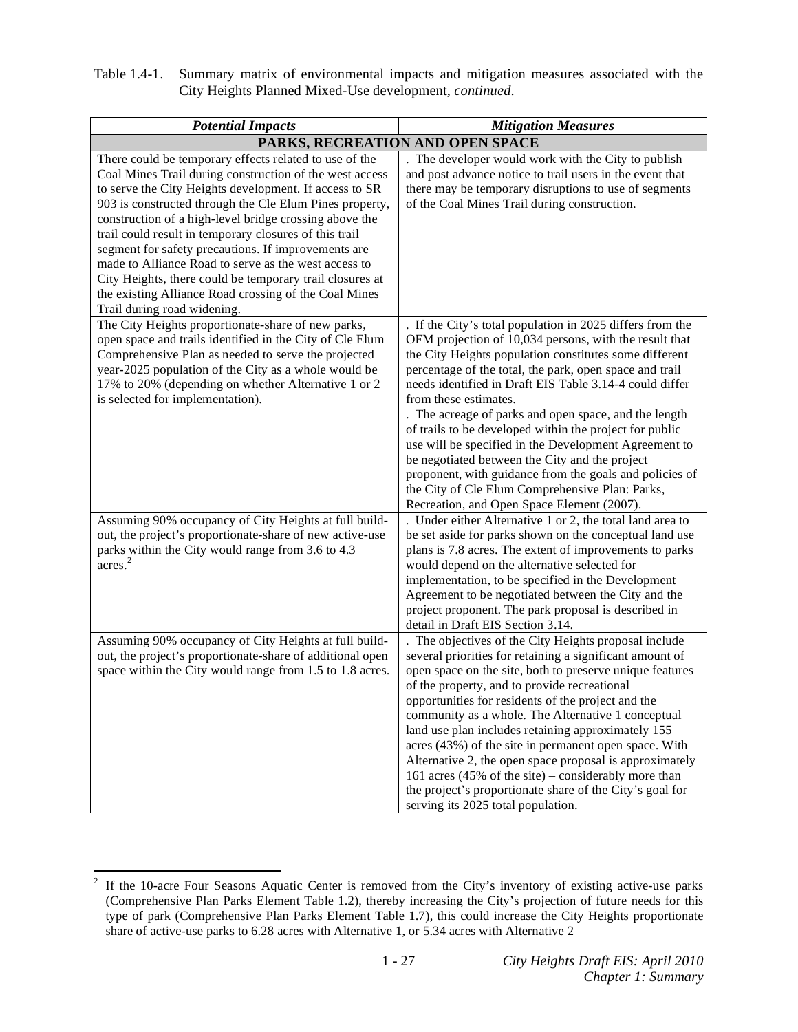| Table 1.4-1. Summary matrix of environmental impacts and mitigation measures associated with the |
|--------------------------------------------------------------------------------------------------|
| City Heights Planned Mixed-Use development, <i>continued</i> .                                   |

| <b>Potential Impacts</b>                                                                                                                                                                                                                                                                                                                                                                                                                                                                                                                                                                                                      | <b>Mitigation Measures</b>                                                                                                                                                                                                                                                                                                                                                                                                                                                                                                                                                                                                                                                                                              |
|-------------------------------------------------------------------------------------------------------------------------------------------------------------------------------------------------------------------------------------------------------------------------------------------------------------------------------------------------------------------------------------------------------------------------------------------------------------------------------------------------------------------------------------------------------------------------------------------------------------------------------|-------------------------------------------------------------------------------------------------------------------------------------------------------------------------------------------------------------------------------------------------------------------------------------------------------------------------------------------------------------------------------------------------------------------------------------------------------------------------------------------------------------------------------------------------------------------------------------------------------------------------------------------------------------------------------------------------------------------------|
|                                                                                                                                                                                                                                                                                                                                                                                                                                                                                                                                                                                                                               | PARKS, RECREATION AND OPEN SPACE                                                                                                                                                                                                                                                                                                                                                                                                                                                                                                                                                                                                                                                                                        |
| There could be temporary effects related to use of the<br>Coal Mines Trail during construction of the west access<br>to serve the City Heights development. If access to SR<br>903 is constructed through the Cle Elum Pines property,<br>construction of a high-level bridge crossing above the<br>trail could result in temporary closures of this trail<br>segment for safety precautions. If improvements are<br>made to Alliance Road to serve as the west access to<br>City Heights, there could be temporary trail closures at<br>the existing Alliance Road crossing of the Coal Mines<br>Trail during road widening. | . The developer would work with the City to publish<br>and post advance notice to trail users in the event that<br>there may be temporary disruptions to use of segments<br>of the Coal Mines Trail during construction.                                                                                                                                                                                                                                                                                                                                                                                                                                                                                                |
| The City Heights proportionate-share of new parks,<br>open space and trails identified in the City of Cle Elum<br>Comprehensive Plan as needed to serve the projected<br>year-2025 population of the City as a whole would be<br>17% to 20% (depending on whether Alternative 1 or 2<br>is selected for implementation).                                                                                                                                                                                                                                                                                                      | . If the City's total population in 2025 differs from the<br>OFM projection of 10,034 persons, with the result that<br>the City Heights population constitutes some different<br>percentage of the total, the park, open space and trail<br>needs identified in Draft EIS Table 3.14-4 could differ<br>from these estimates.<br>. The acreage of parks and open space, and the length<br>of trails to be developed within the project for public<br>use will be specified in the Development Agreement to<br>be negotiated between the City and the project<br>proponent, with guidance from the goals and policies of<br>the City of Cle Elum Comprehensive Plan: Parks,<br>Recreation, and Open Space Element (2007). |
| Assuming 90% occupancy of City Heights at full build-<br>out, the project's proportionate-share of new active-use<br>parks within the City would range from 3.6 to 4.3<br>acres. <sup>2</sup>                                                                                                                                                                                                                                                                                                                                                                                                                                 | . Under either Alternative 1 or 2, the total land area to<br>be set aside for parks shown on the conceptual land use<br>plans is 7.8 acres. The extent of improvements to parks<br>would depend on the alternative selected for<br>implementation, to be specified in the Development<br>Agreement to be negotiated between the City and the<br>project proponent. The park proposal is described in<br>detail in Draft EIS Section 3.14.                                                                                                                                                                                                                                                                               |
| Assuming 90% occupancy of City Heights at full build-<br>out, the project's proportionate-share of additional open<br>space within the City would range from 1.5 to 1.8 acres.                                                                                                                                                                                                                                                                                                                                                                                                                                                | . The objectives of the City Heights proposal include<br>several priorities for retaining a significant amount of<br>open space on the site, both to preserve unique features<br>of the property, and to provide recreational<br>opportunities for residents of the project and the<br>community as a whole. The Alternative 1 conceptual<br>land use plan includes retaining approximately 155<br>acres (43%) of the site in permanent open space. With<br>Alternative 2, the open space proposal is approximately<br>161 acres (45% of the site) – considerably more than<br>the project's proportionate share of the City's goal for<br>serving its 2025 total population.                                           |

<sup>&</sup>lt;sup>2</sup> If the 10-acre Four Seasons Aquatic Center is removed from the City's inventory of existing active-use parks (Comprehensive Plan Parks Element Table 1.2), thereby increasing the City's projection of future needs for this type of park (Comprehensive Plan Parks Element Table 1.7), this could increase the City Heights proportionate share of active-use parks to 6.28 acres with Alternative 1, or 5.34 acres with Alternative 2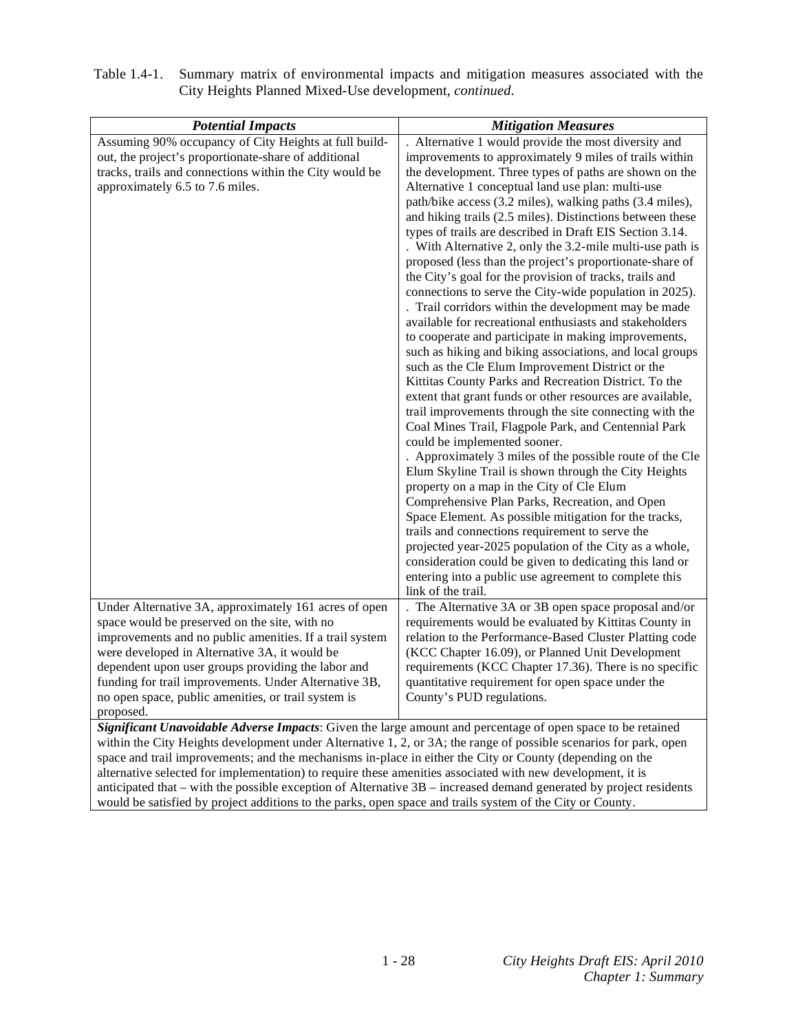| <b>Potential Impacts</b>                                                                                                                                                                                                                                                                                                                                                                                                                                                                                                                                                                                                                                                                      | <b>Mitigation Measures</b>                                                                                                                                                                                                                                                                                                                                                                                                                                                                                                                                                                                                                                                                                                                                                                                                                                                                                                                                                                                                                                                                                                                                                                                                                                                                                                                                                                                                                                                                                                                                                                                                                                                                                                                         |  |
|-----------------------------------------------------------------------------------------------------------------------------------------------------------------------------------------------------------------------------------------------------------------------------------------------------------------------------------------------------------------------------------------------------------------------------------------------------------------------------------------------------------------------------------------------------------------------------------------------------------------------------------------------------------------------------------------------|----------------------------------------------------------------------------------------------------------------------------------------------------------------------------------------------------------------------------------------------------------------------------------------------------------------------------------------------------------------------------------------------------------------------------------------------------------------------------------------------------------------------------------------------------------------------------------------------------------------------------------------------------------------------------------------------------------------------------------------------------------------------------------------------------------------------------------------------------------------------------------------------------------------------------------------------------------------------------------------------------------------------------------------------------------------------------------------------------------------------------------------------------------------------------------------------------------------------------------------------------------------------------------------------------------------------------------------------------------------------------------------------------------------------------------------------------------------------------------------------------------------------------------------------------------------------------------------------------------------------------------------------------------------------------------------------------------------------------------------------------|--|
| Assuming 90% occupancy of City Heights at full build-<br>out, the project's proportionate-share of additional<br>tracks, trails and connections within the City would be<br>approximately 6.5 to 7.6 miles.                                                                                                                                                                                                                                                                                                                                                                                                                                                                                   | . Alternative 1 would provide the most diversity and<br>improvements to approximately 9 miles of trails within<br>the development. Three types of paths are shown on the<br>Alternative 1 conceptual land use plan: multi-use<br>path/bike access (3.2 miles), walking paths (3.4 miles),<br>and hiking trails (2.5 miles). Distinctions between these<br>types of trails are described in Draft EIS Section 3.14.<br>. With Alternative 2, only the 3.2-mile multi-use path is<br>proposed (less than the project's proportionate-share of<br>the City's goal for the provision of tracks, trails and<br>connections to serve the City-wide population in 2025).<br>. Trail corridors within the development may be made<br>available for recreational enthusiasts and stakeholders<br>to cooperate and participate in making improvements,<br>such as hiking and biking associations, and local groups<br>such as the Cle Elum Improvement District or the<br>Kittitas County Parks and Recreation District. To the<br>extent that grant funds or other resources are available,<br>trail improvements through the site connecting with the<br>Coal Mines Trail, Flagpole Park, and Centennial Park<br>could be implemented sooner.<br>. Approximately 3 miles of the possible route of the Cle<br>Elum Skyline Trail is shown through the City Heights<br>property on a map in the City of Cle Elum<br>Comprehensive Plan Parks, Recreation, and Open<br>Space Element. As possible mitigation for the tracks,<br>trails and connections requirement to serve the<br>projected year-2025 population of the City as a whole,<br>consideration could be given to dedicating this land or<br>entering into a public use agreement to complete this |  |
| Under Alternative 3A, approximately 161 acres of open                                                                                                                                                                                                                                                                                                                                                                                                                                                                                                                                                                                                                                         | link of the trail.<br>. The Alternative 3A or 3B open space proposal and/or                                                                                                                                                                                                                                                                                                                                                                                                                                                                                                                                                                                                                                                                                                                                                                                                                                                                                                                                                                                                                                                                                                                                                                                                                                                                                                                                                                                                                                                                                                                                                                                                                                                                        |  |
| space would be preserved on the site, with no<br>improvements and no public amenities. If a trail system<br>were developed in Alternative 3A, it would be<br>dependent upon user groups providing the labor and<br>funding for trail improvements. Under Alternative 3B,<br>no open space, public amenities, or trail system is<br>proposed.                                                                                                                                                                                                                                                                                                                                                  | requirements would be evaluated by Kittitas County in<br>relation to the Performance-Based Cluster Platting code<br>(KCC Chapter 16.09), or Planned Unit Development<br>requirements (KCC Chapter 17.36). There is no specific<br>quantitative requirement for open space under the<br>County's PUD regulations.                                                                                                                                                                                                                                                                                                                                                                                                                                                                                                                                                                                                                                                                                                                                                                                                                                                                                                                                                                                                                                                                                                                                                                                                                                                                                                                                                                                                                                   |  |
| Significant Unavoidable Adverse Impacts: Given the large amount and percentage of open space to be retained<br>within the City Heights development under Alternative 1, 2, or 3A; the range of possible scenarios for park, open<br>space and trail improvements; and the mechanisms in-place in either the City or County (depending on the<br>alternative selected for implementation) to require these amenities associated with new development, it is<br>anticipated that – with the possible exception of Alternative 3B – increased demand generated by project residents<br>would be satisfied by project additions to the parks, open space and trails system of the City or County. |                                                                                                                                                                                                                                                                                                                                                                                                                                                                                                                                                                                                                                                                                                                                                                                                                                                                                                                                                                                                                                                                                                                                                                                                                                                                                                                                                                                                                                                                                                                                                                                                                                                                                                                                                    |  |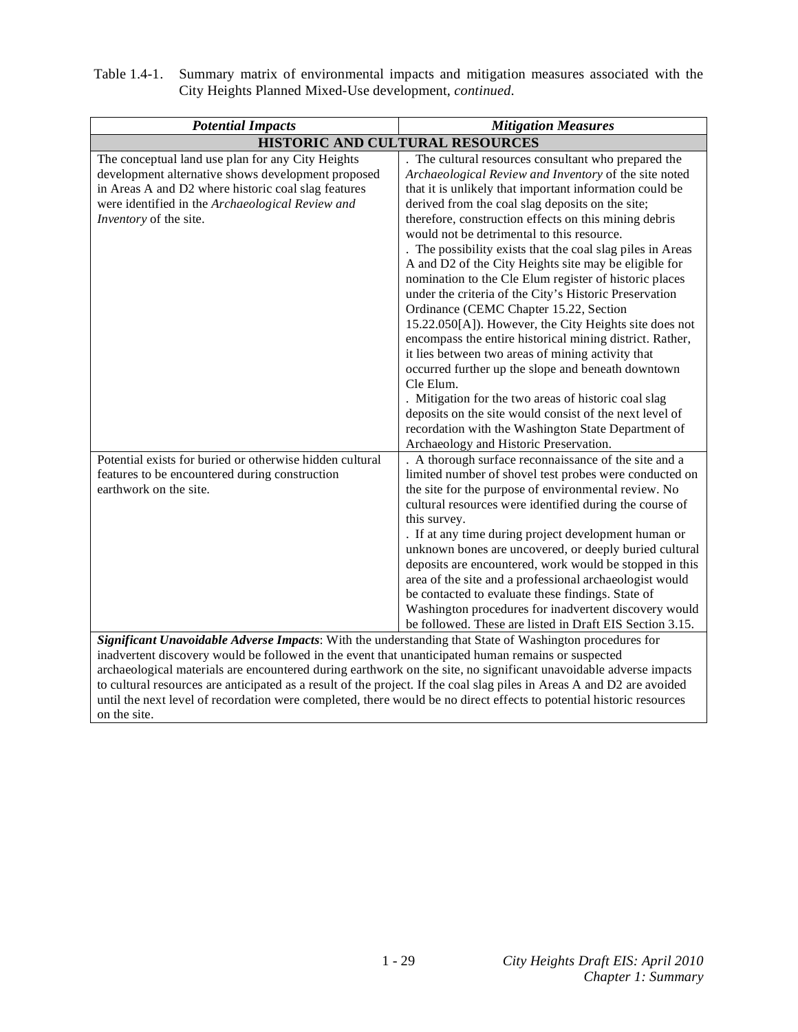| <b>Potential Impacts</b>                                                                                                                                                                                                                                                                                                                                                                                                                                                                                                                                                                             | <b>Mitigation Measures</b>                                                                                                                                                                                                                                                                                                                                                                                                                                                                                                                                                                                                                                                                                                                                                                                                                                                                                                     |  |
|------------------------------------------------------------------------------------------------------------------------------------------------------------------------------------------------------------------------------------------------------------------------------------------------------------------------------------------------------------------------------------------------------------------------------------------------------------------------------------------------------------------------------------------------------------------------------------------------------|--------------------------------------------------------------------------------------------------------------------------------------------------------------------------------------------------------------------------------------------------------------------------------------------------------------------------------------------------------------------------------------------------------------------------------------------------------------------------------------------------------------------------------------------------------------------------------------------------------------------------------------------------------------------------------------------------------------------------------------------------------------------------------------------------------------------------------------------------------------------------------------------------------------------------------|--|
| HISTORIC AND CULTURAL RESOURCES                                                                                                                                                                                                                                                                                                                                                                                                                                                                                                                                                                      |                                                                                                                                                                                                                                                                                                                                                                                                                                                                                                                                                                                                                                                                                                                                                                                                                                                                                                                                |  |
| The conceptual land use plan for any City Heights<br>development alternative shows development proposed<br>in Areas A and D2 where historic coal slag features<br>were identified in the Archaeological Review and<br>Inventory of the site.                                                                                                                                                                                                                                                                                                                                                         | . The cultural resources consultant who prepared the<br>Archaeological Review and Inventory of the site noted<br>that it is unlikely that important information could be<br>derived from the coal slag deposits on the site;<br>therefore, construction effects on this mining debris<br>would not be detrimental to this resource.<br>. The possibility exists that the coal slag piles in Areas<br>A and D2 of the City Heights site may be eligible for<br>nomination to the Cle Elum register of historic places<br>under the criteria of the City's Historic Preservation<br>Ordinance (CEMC Chapter 15.22, Section<br>15.22.050[A]). However, the City Heights site does not<br>encompass the entire historical mining district. Rather,<br>it lies between two areas of mining activity that<br>occurred further up the slope and beneath downtown<br>Cle Elum.<br>. Mitigation for the two areas of historic coal slag |  |
|                                                                                                                                                                                                                                                                                                                                                                                                                                                                                                                                                                                                      | deposits on the site would consist of the next level of<br>recordation with the Washington State Department of<br>Archaeology and Historic Preservation.                                                                                                                                                                                                                                                                                                                                                                                                                                                                                                                                                                                                                                                                                                                                                                       |  |
| Potential exists for buried or otherwise hidden cultural<br>features to be encountered during construction<br>earthwork on the site.                                                                                                                                                                                                                                                                                                                                                                                                                                                                 | . A thorough surface reconnaissance of the site and a<br>limited number of shovel test probes were conducted on<br>the site for the purpose of environmental review. No<br>cultural resources were identified during the course of<br>this survey.<br>. If at any time during project development human or<br>unknown bones are uncovered, or deeply buried cultural<br>deposits are encountered, work would be stopped in this<br>area of the site and a professional archaeologist would<br>be contacted to evaluate these findings. State of<br>Washington procedures for inadvertent discovery would<br>be followed. These are listed in Draft EIS Section 3.15.                                                                                                                                                                                                                                                           |  |
| Significant Unavoidable Adverse Impacts: With the understanding that State of Washington procedures for<br>inadvertent discovery would be followed in the event that unanticipated human remains or suspected<br>archaeological materials are encountered during earthwork on the site, no significant unavoidable adverse impacts<br>to cultural resources are anticipated as a result of the project. If the coal slag piles in Areas A and D2 are avoided<br>until the next level of recordation were completed, there would be no direct effects to potential historic resources<br>on the site. |                                                                                                                                                                                                                                                                                                                                                                                                                                                                                                                                                                                                                                                                                                                                                                                                                                                                                                                                |  |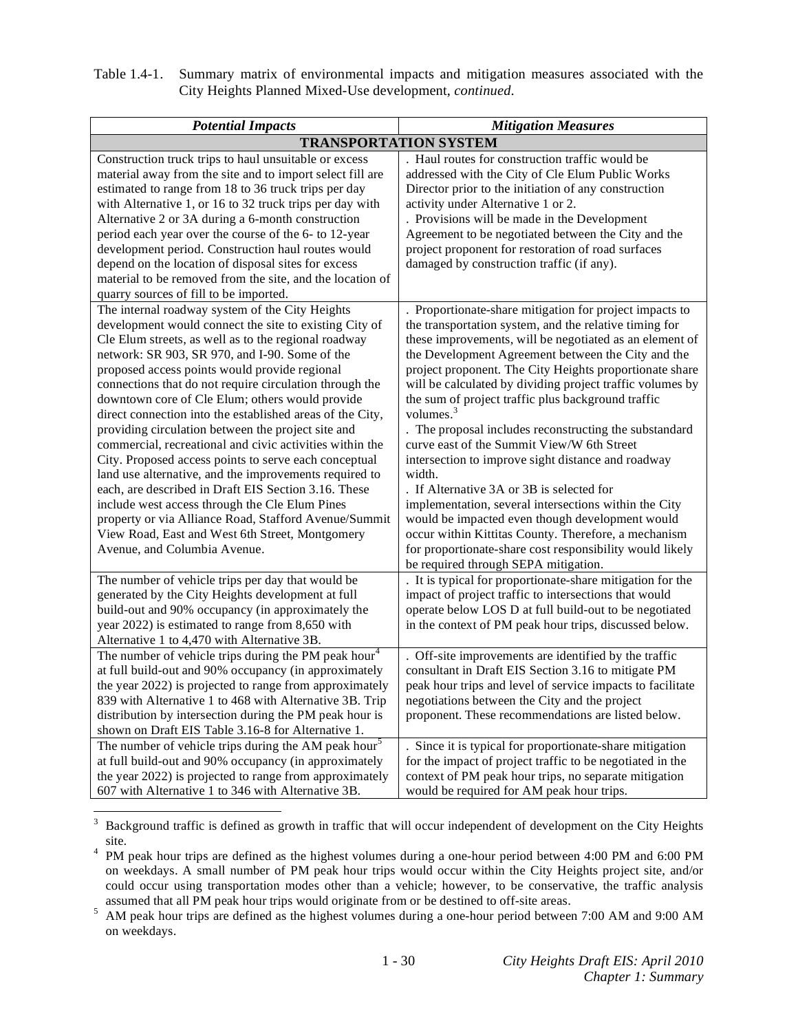| Table 1.4-1. Summary matrix of environmental impacts and mitigation measures associated with the |
|--------------------------------------------------------------------------------------------------|
| City Heights Planned Mixed-Use development, <i>continued</i> .                                   |

| <b>Potential Impacts</b>                                                                                                                                                                                                                                                                                                                                                                                                                                                                                                                                                                                                                                                                                                                                                                                                                                                                                                                                                                        | <b>Mitigation Measures</b>                                                                                                                                                                                                                                                                                                                                                                                                                                                                                                                                                                                                                                                                                                                                                                                                                                                                                                                                                                |  |
|-------------------------------------------------------------------------------------------------------------------------------------------------------------------------------------------------------------------------------------------------------------------------------------------------------------------------------------------------------------------------------------------------------------------------------------------------------------------------------------------------------------------------------------------------------------------------------------------------------------------------------------------------------------------------------------------------------------------------------------------------------------------------------------------------------------------------------------------------------------------------------------------------------------------------------------------------------------------------------------------------|-------------------------------------------------------------------------------------------------------------------------------------------------------------------------------------------------------------------------------------------------------------------------------------------------------------------------------------------------------------------------------------------------------------------------------------------------------------------------------------------------------------------------------------------------------------------------------------------------------------------------------------------------------------------------------------------------------------------------------------------------------------------------------------------------------------------------------------------------------------------------------------------------------------------------------------------------------------------------------------------|--|
| <b>TRANSPORTATION SYSTEM</b>                                                                                                                                                                                                                                                                                                                                                                                                                                                                                                                                                                                                                                                                                                                                                                                                                                                                                                                                                                    |                                                                                                                                                                                                                                                                                                                                                                                                                                                                                                                                                                                                                                                                                                                                                                                                                                                                                                                                                                                           |  |
| Construction truck trips to haul unsuitable or excess<br>material away from the site and to import select fill are<br>estimated to range from 18 to 36 truck trips per day<br>with Alternative 1, or 16 to 32 truck trips per day with<br>Alternative 2 or 3A during a 6-month construction<br>period each year over the course of the 6- to 12-year<br>development period. Construction haul routes would<br>depend on the location of disposal sites for excess<br>material to be removed from the site, and the location of<br>quarry sources of fill to be imported.                                                                                                                                                                                                                                                                                                                                                                                                                        | . Haul routes for construction traffic would be<br>addressed with the City of Cle Elum Public Works<br>Director prior to the initiation of any construction<br>activity under Alternative 1 or 2.<br>. Provisions will be made in the Development<br>Agreement to be negotiated between the City and the<br>project proponent for restoration of road surfaces<br>damaged by construction traffic (if any).                                                                                                                                                                                                                                                                                                                                                                                                                                                                                                                                                                               |  |
| The internal roadway system of the City Heights<br>development would connect the site to existing City of<br>Cle Elum streets, as well as to the regional roadway<br>network: SR 903, SR 970, and I-90. Some of the<br>proposed access points would provide regional<br>connections that do not require circulation through the<br>downtown core of Cle Elum; others would provide<br>direct connection into the established areas of the City,<br>providing circulation between the project site and<br>commercial, recreational and civic activities within the<br>City. Proposed access points to serve each conceptual<br>land use alternative, and the improvements required to<br>each, are described in Draft EIS Section 3.16. These<br>include west access through the Cle Elum Pines<br>property or via Alliance Road, Stafford Avenue/Summit<br>View Road, East and West 6th Street, Montgomery<br>Avenue, and Columbia Avenue.<br>The number of vehicle trips per day that would be | . Proportionate-share mitigation for project impacts to<br>the transportation system, and the relative timing for<br>these improvements, will be negotiated as an element of<br>the Development Agreement between the City and the<br>project proponent. The City Heights proportionate share<br>will be calculated by dividing project traffic volumes by<br>the sum of project traffic plus background traffic<br>volumes. $3$<br>. The proposal includes reconstructing the substandard<br>curve east of the Summit View/W 6th Street<br>intersection to improve sight distance and roadway<br>width.<br>. If Alternative 3A or 3B is selected for<br>implementation, several intersections within the City<br>would be impacted even though development would<br>occur within Kittitas County. Therefore, a mechanism<br>for proportionate-share cost responsibility would likely<br>be required through SEPA mitigation.<br>It is typical for proportionate-share mitigation for the |  |
| generated by the City Heights development at full<br>build-out and 90% occupancy (in approximately the<br>year 2022) is estimated to range from 8,650 with<br>Alternative 1 to 4,470 with Alternative 3B.                                                                                                                                                                                                                                                                                                                                                                                                                                                                                                                                                                                                                                                                                                                                                                                       | impact of project traffic to intersections that would<br>operate below LOS D at full build-out to be negotiated<br>in the context of PM peak hour trips, discussed below.                                                                                                                                                                                                                                                                                                                                                                                                                                                                                                                                                                                                                                                                                                                                                                                                                 |  |
| The number of vehicle trips during the PM peak hour <sup>4</sup><br>at full build-out and 90% occupancy (in approximately<br>the year 2022) is projected to range from approximately<br>839 with Alternative 1 to 468 with Alternative 3B. Trip<br>distribution by intersection during the PM peak hour is<br>shown on Draft EIS Table 3.16-8 for Alternative 1.                                                                                                                                                                                                                                                                                                                                                                                                                                                                                                                                                                                                                                | Off-site improvements are identified by the traffic<br>consultant in Draft EIS Section 3.16 to mitigate PM<br>peak hour trips and level of service impacts to facilitate<br>negotiations between the City and the project<br>proponent. These recommendations are listed below.                                                                                                                                                                                                                                                                                                                                                                                                                                                                                                                                                                                                                                                                                                           |  |
| The number of vehicle trips during the AM peak hour <sup>5</sup><br>at full build-out and 90% occupancy (in approximately<br>the year 2022) is projected to range from approximately<br>607 with Alternative 1 to 346 with Alternative 3B.                                                                                                                                                                                                                                                                                                                                                                                                                                                                                                                                                                                                                                                                                                                                                      | . Since it is typical for proportionate-share mitigation<br>for the impact of project traffic to be negotiated in the<br>context of PM peak hour trips, no separate mitigation<br>would be required for AM peak hour trips.                                                                                                                                                                                                                                                                                                                                                                                                                                                                                                                                                                                                                                                                                                                                                               |  |

<sup>3</sup> Background traffic is defined as growth in traffic that will occur independent of development on the City Heights site.<br> $\frac{4}{4}$  DM.

PM peak hour trips are defined as the highest volumes during a one-hour period between 4:00 PM and 6:00 PM on weekdays. A small number of PM peak hour trips would occur within the City Heights project site, and/or could occur using transportation modes other than a vehicle; however, to be conservative, the traffic analysis

assumed that all PM peak hour trips would originate from or be destined to off-site areas.<br><sup>5</sup> AM peak hour trips are defined as the highest volumes during a one-hour period between 7:00 AM and 9:00 AM on weekdays.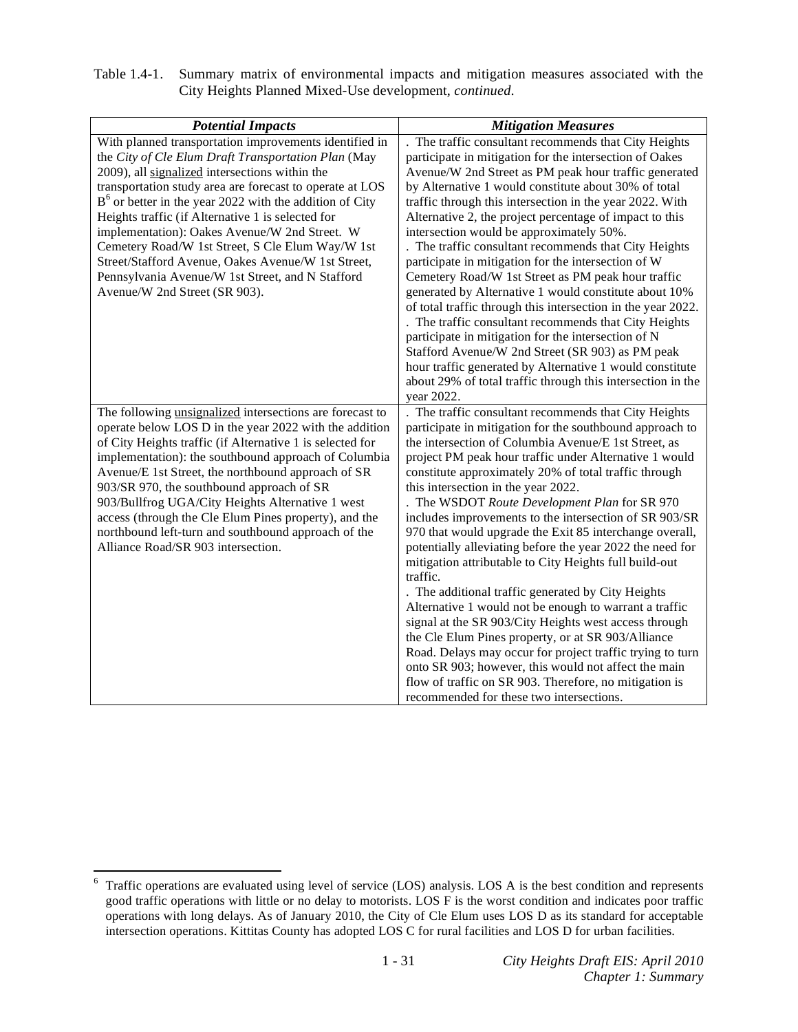| Table 1.4-1. Summary matrix of environmental impacts and mitigation measures associated with the |
|--------------------------------------------------------------------------------------------------|
| City Heights Planned Mixed-Use development, <i>continued</i> .                                   |

| <b>Potential Impacts</b>                                  | <b>Mitigation Measures</b>                                                |
|-----------------------------------------------------------|---------------------------------------------------------------------------|
| With planned transportation improvements identified in    | . The traffic consultant recommends that City Heights                     |
| the City of Cle Elum Draft Transportation Plan (May       | participate in mitigation for the intersection of Oakes                   |
| 2009), all signalized intersections within the            | Avenue/W 2nd Street as PM peak hour traffic generated                     |
| transportation study area are forecast to operate at LOS  | by Alternative 1 would constitute about 30% of total                      |
| $B6$ or better in the year 2022 with the addition of City | traffic through this intersection in the year 2022. With                  |
| Heights traffic (if Alternative 1 is selected for         | Alternative 2, the project percentage of impact to this                   |
| implementation): Oakes Avenue/W 2nd Street. W             | intersection would be approximately 50%.                                  |
| Cemetery Road/W 1st Street, S Cle Elum Way/W 1st          | . The traffic consultant recommends that City Heights                     |
| Street/Stafford Avenue, Oakes Avenue/W 1st Street,        | participate in mitigation for the intersection of W                       |
| Pennsylvania Avenue/W 1st Street, and N Stafford          | Cemetery Road/W 1st Street as PM peak hour traffic                        |
| Avenue/W 2nd Street (SR 903).                             | generated by Alternative 1 would constitute about 10%                     |
|                                                           | of total traffic through this intersection in the year 2022.              |
|                                                           | . The traffic consultant recommends that City Heights                     |
|                                                           | participate in mitigation for the intersection of N                       |
|                                                           | Stafford Avenue/W 2nd Street (SR 903) as PM peak                          |
|                                                           | hour traffic generated by Alternative 1 would constitute                  |
|                                                           | about 29% of total traffic through this intersection in the<br>year 2022. |
| The following unsignalized intersections are forecast to  | . The traffic consultant recommends that City Heights                     |
| operate below LOS D in the year 2022 with the addition    | participate in mitigation for the southbound approach to                  |
| of City Heights traffic (if Alternative 1 is selected for | the intersection of Columbia Avenue/E 1st Street, as                      |
| implementation): the southbound approach of Columbia      | project PM peak hour traffic under Alternative 1 would                    |
| Avenue/E 1st Street, the northbound approach of SR        | constitute approximately 20% of total traffic through                     |
| 903/SR 970, the southbound approach of SR                 | this intersection in the year 2022.                                       |
| 903/Bullfrog UGA/City Heights Alternative 1 west          | . The WSDOT Route Development Plan for SR 970                             |
| access (through the Cle Elum Pines property), and the     | includes improvements to the intersection of SR 903/SR                    |
| northbound left-turn and southbound approach of the       | 970 that would upgrade the Exit 85 interchange overall,                   |
| Alliance Road/SR 903 intersection.                        | potentially alleviating before the year 2022 the need for                 |
|                                                           | mitigation attributable to City Heights full build-out                    |
|                                                           | traffic.                                                                  |
|                                                           | . The additional traffic generated by City Heights                        |
|                                                           | Alternative 1 would not be enough to warrant a traffic                    |
|                                                           | signal at the SR 903/City Heights west access through                     |
|                                                           | the Cle Elum Pines property, or at SR 903/Alliance                        |
|                                                           | Road. Delays may occur for project traffic trying to turn                 |
|                                                           | onto SR 903; however, this would not affect the main                      |
|                                                           | flow of traffic on SR 903. Therefore, no mitigation is                    |
|                                                           | recommended for these two intersections.                                  |

6 Traffic operations are evaluated using level of service (LOS) analysis. LOS A is the best condition and represents good traffic operations with little or no delay to motorists. LOS F is the worst condition and indicates poor traffic operations with long delays. As of January 2010, the City of Cle Elum uses LOS D as its standard for acceptable intersection operations. Kittitas County has adopted LOS C for rural facilities and LOS D for urban facilities.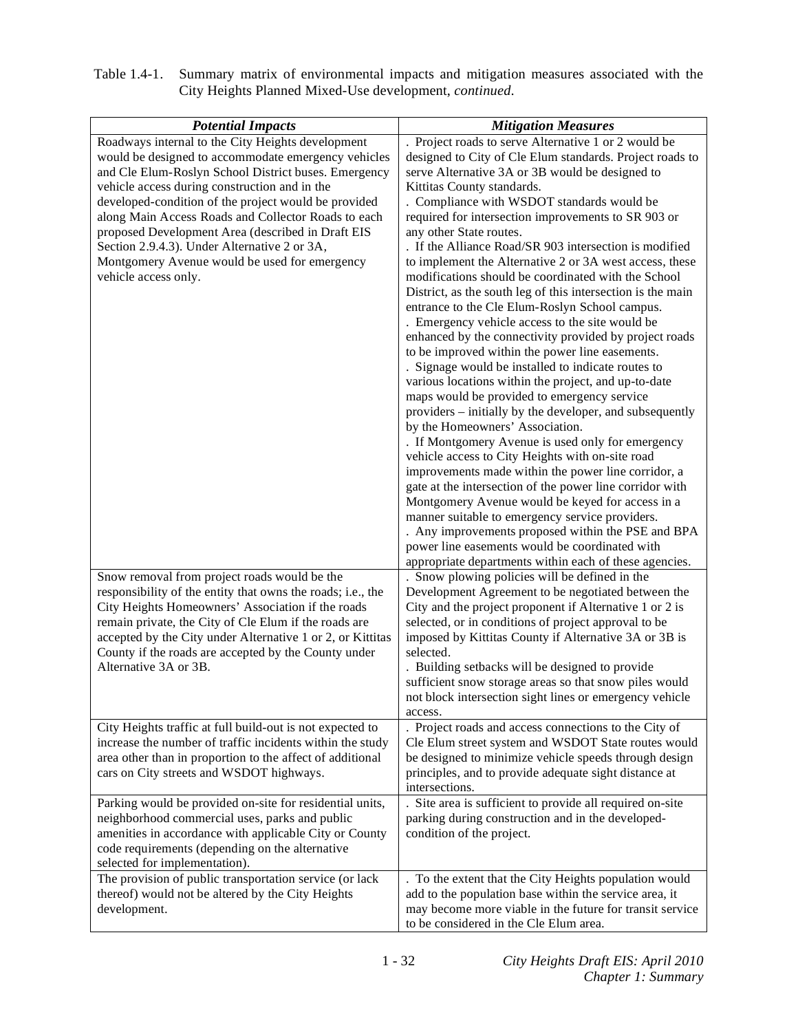| Table 1.4-1. Summary matrix of environmental impacts and mitigation measures associated with the |
|--------------------------------------------------------------------------------------------------|
| City Heights Planned Mixed-Use development, <i>continued</i> .                                   |

| <b>Potential Impacts</b>                                                                                               | <b>Mitigation Measures</b>                                                                                   |
|------------------------------------------------------------------------------------------------------------------------|--------------------------------------------------------------------------------------------------------------|
| Roadways internal to the City Heights development                                                                      | . Project roads to serve Alternative 1 or 2 would be                                                         |
| would be designed to accommodate emergency vehicles                                                                    | designed to City of Cle Elum standards. Project roads to                                                     |
| and Cle Elum-Roslyn School District buses. Emergency                                                                   | serve Alternative 3A or 3B would be designed to                                                              |
| vehicle access during construction and in the                                                                          | Kittitas County standards.                                                                                   |
| developed-condition of the project would be provided                                                                   | . Compliance with WSDOT standards would be                                                                   |
| along Main Access Roads and Collector Roads to each                                                                    | required for intersection improvements to SR 903 or                                                          |
| proposed Development Area (described in Draft EIS                                                                      | any other State routes.                                                                                      |
| Section 2.9.4.3). Under Alternative 2 or 3A,                                                                           | . If the Alliance Road/SR 903 intersection is modified                                                       |
| Montgomery Avenue would be used for emergency                                                                          | to implement the Alternative 2 or 3A west access, these                                                      |
| vehicle access only.                                                                                                   | modifications should be coordinated with the School                                                          |
|                                                                                                                        | District, as the south leg of this intersection is the main                                                  |
|                                                                                                                        | entrance to the Cle Elum-Roslyn School campus.                                                               |
|                                                                                                                        | . Emergency vehicle access to the site would be                                                              |
|                                                                                                                        | enhanced by the connectivity provided by project roads                                                       |
|                                                                                                                        | to be improved within the power line easements.                                                              |
|                                                                                                                        | . Signage would be installed to indicate routes to                                                           |
|                                                                                                                        | various locations within the project, and up-to-date                                                         |
|                                                                                                                        | maps would be provided to emergency service                                                                  |
|                                                                                                                        | providers – initially by the developer, and subsequently                                                     |
|                                                                                                                        | by the Homeowners' Association.<br>. If Montgomery Avenue is used only for emergency                         |
|                                                                                                                        | vehicle access to City Heights with on-site road                                                             |
|                                                                                                                        | improvements made within the power line corridor, a                                                          |
|                                                                                                                        | gate at the intersection of the power line corridor with                                                     |
|                                                                                                                        | Montgomery Avenue would be keyed for access in a                                                             |
|                                                                                                                        | manner suitable to emergency service providers.                                                              |
|                                                                                                                        | . Any improvements proposed within the PSE and BPA                                                           |
|                                                                                                                        | power line easements would be coordinated with                                                               |
|                                                                                                                        | appropriate departments within each of these agencies.                                                       |
| Snow removal from project roads would be the                                                                           | . Snow plowing policies will be defined in the                                                               |
| responsibility of the entity that owns the roads; i.e., the                                                            | Development Agreement to be negotiated between the                                                           |
| City Heights Homeowners' Association if the roads                                                                      | City and the project proponent if Alternative 1 or 2 is                                                      |
| remain private, the City of Cle Elum if the roads are                                                                  | selected, or in conditions of project approval to be                                                         |
| accepted by the City under Alternative 1 or 2, or Kittitas                                                             | imposed by Kittitas County if Alternative 3A or 3B is                                                        |
| County if the roads are accepted by the County under                                                                   | selected.                                                                                                    |
| Alternative 3A or 3B.                                                                                                  | . Building setbacks will be designed to provide                                                              |
|                                                                                                                        | sufficient snow storage areas so that snow piles would                                                       |
|                                                                                                                        | not block intersection sight lines or emergency vehicle                                                      |
|                                                                                                                        | access.                                                                                                      |
| City Heights traffic at full build-out is not expected to                                                              | . Project roads and access connections to the City of                                                        |
| increase the number of traffic incidents within the study<br>area other than in proportion to the affect of additional | Cle Elum street system and WSDOT State routes would<br>be designed to minimize vehicle speeds through design |
| cars on City streets and WSDOT highways.                                                                               | principles, and to provide adequate sight distance at                                                        |
|                                                                                                                        | intersections.                                                                                               |
| Parking would be provided on-site for residential units,                                                               | . Site area is sufficient to provide all required on-site                                                    |
| neighborhood commercial uses, parks and public                                                                         | parking during construction and in the developed-                                                            |
| amenities in accordance with applicable City or County                                                                 | condition of the project.                                                                                    |
| code requirements (depending on the alternative                                                                        |                                                                                                              |
| selected for implementation).                                                                                          |                                                                                                              |
| The provision of public transportation service (or lack                                                                | . To the extent that the City Heights population would                                                       |
| thereof) would not be altered by the City Heights                                                                      | add to the population base within the service area, it                                                       |
| development.                                                                                                           | may become more viable in the future for transit service                                                     |
|                                                                                                                        | to be considered in the Cle Elum area.                                                                       |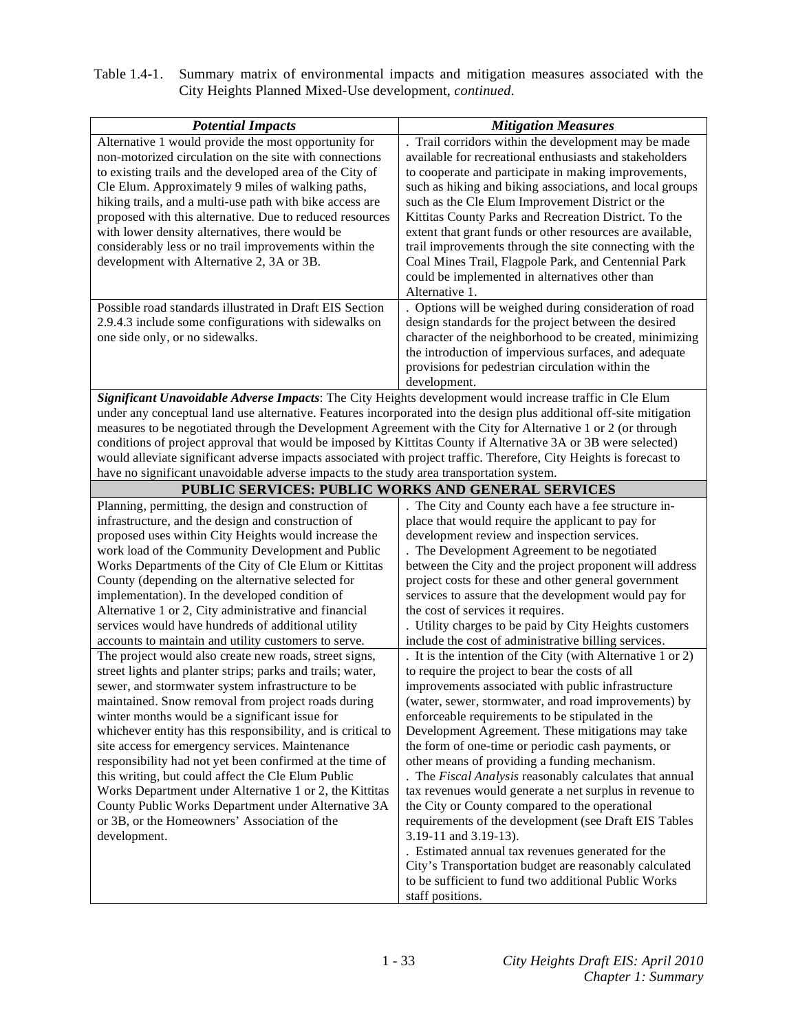| Table 1.4-1. Summary matrix of environmental impacts and mitigation measures associated with the |
|--------------------------------------------------------------------------------------------------|
| City Heights Planned Mixed-Use development, <i>continued</i> .                                   |

| <b>Potential Impacts</b>                                                                                             | <b>Mitigation Measures</b>                                                                                  |  |
|----------------------------------------------------------------------------------------------------------------------|-------------------------------------------------------------------------------------------------------------|--|
| Alternative 1 would provide the most opportunity for                                                                 | . Trail corridors within the development may be made                                                        |  |
| non-motorized circulation on the site with connections                                                               | available for recreational enthusiasts and stakeholders                                                     |  |
| to existing trails and the developed area of the City of                                                             | to cooperate and participate in making improvements,                                                        |  |
| Cle Elum. Approximately 9 miles of walking paths,                                                                    | such as hiking and biking associations, and local groups                                                    |  |
| hiking trails, and a multi-use path with bike access are                                                             | such as the Cle Elum Improvement District or the                                                            |  |
| proposed with this alternative. Due to reduced resources                                                             | Kittitas County Parks and Recreation District. To the                                                       |  |
| with lower density alternatives, there would be                                                                      | extent that grant funds or other resources are available,                                                   |  |
| considerably less or no trail improvements within the                                                                | trail improvements through the site connecting with the                                                     |  |
| development with Alternative 2, 3A or 3B.                                                                            | Coal Mines Trail, Flagpole Park, and Centennial Park                                                        |  |
|                                                                                                                      | could be implemented in alternatives other than                                                             |  |
|                                                                                                                      | Alternative 1.                                                                                              |  |
| Possible road standards illustrated in Draft EIS Section                                                             | . Options will be weighed during consideration of road                                                      |  |
| 2.9.4.3 include some configurations with sidewalks on                                                                | design standards for the project between the desired                                                        |  |
| one side only, or no sidewalks.                                                                                      | character of the neighborhood to be created, minimizing                                                     |  |
|                                                                                                                      | the introduction of impervious surfaces, and adequate                                                       |  |
|                                                                                                                      | provisions for pedestrian circulation within the                                                            |  |
|                                                                                                                      | development.                                                                                                |  |
| Significant Unavoidable Adverse Impacts: The City Heights development would increase traffic in Cle Elum             |                                                                                                             |  |
| under any conceptual land use alternative. Features incorporated into the design plus additional off-site mitigation |                                                                                                             |  |
| measures to be negotiated through the Development Agreement with the City for Alternative 1 or 2 (or through         |                                                                                                             |  |
| conditions of project approval that would be imposed by Kittitas County if Alternative 3A or 3B were selected)       |                                                                                                             |  |
| would alleviate significant adverse impacts associated with project traffic. Therefore, City Heights is forecast to  |                                                                                                             |  |
| have no significant unavoidable adverse impacts to the study area transportation system.                             |                                                                                                             |  |
| PUBLIC SERVICES: PUBLIC WORKS AND GENERAL SERVICES                                                                   |                                                                                                             |  |
| Planning, permitting, the design and construction of                                                                 | . The City and County each have a fee structure in-                                                         |  |
| infrastructure, and the design and construction of                                                                   | place that would require the applicant to pay for                                                           |  |
| proposed uses within City Heights would increase the                                                                 | development review and inspection services.                                                                 |  |
| work load of the Community Development and Public                                                                    | The Development Agreement to be negotiated                                                                  |  |
| Works Departments of the City of Cle Elum or Kittitas                                                                | between the City and the project proponent will address                                                     |  |
| County (depending on the alternative selected for                                                                    | project costs for these and other general government                                                        |  |
| implementation). In the developed condition of                                                                       | services to assure that the development would pay for                                                       |  |
| Alternative 1 or 2, City administrative and financial                                                                | the cost of services it requires.                                                                           |  |
| services would have hundreds of additional utility                                                                   | . Utility charges to be paid by City Heights customers                                                      |  |
| accounts to maintain and utility customers to serve.                                                                 | include the cost of administrative billing services.                                                        |  |
| The project would also create new roads, street signs,                                                               | . It is the intention of the City (with Alternative 1 or 2)                                                 |  |
| street lights and planter strips; parks and trails; water,                                                           | to require the project to bear the costs of all                                                             |  |
| sewer, and stormwater system infrastructure to be                                                                    | improvements associated with public infrastructure                                                          |  |
| maintained. Snow removal from project roads during                                                                   | (water, sewer, stormwater, and road improvements) by                                                        |  |
| winter months would be a significant issue for                                                                       | enforceable requirements to be stipulated in the                                                            |  |
| whichever entity has this responsibility, and is critical to                                                         | Development Agreement. These mitigations may take                                                           |  |
| site access for emergency services. Maintenance                                                                      | the form of one-time or periodic cash payments, or                                                          |  |
| responsibility had not yet been confirmed at the time of                                                             | other means of providing a funding mechanism.                                                               |  |
| this writing, but could affect the Cle Elum Public                                                                   | . The Fiscal Analysis reasonably calculates that annual                                                     |  |
| Works Department under Alternative 1 or 2, the Kittitas                                                              | tax revenues would generate a net surplus in revenue to<br>the City or County compared to the operational   |  |
| County Public Works Department under Alternative 3A                                                                  |                                                                                                             |  |
| or 3B, or the Homeowners' Association of the                                                                         | requirements of the development (see Draft EIS Tables                                                       |  |
| development.                                                                                                         | 3.19-11 and 3.19-13).                                                                                       |  |
|                                                                                                                      | . Estimated annual tax revenues generated for the<br>City's Transportation budget are reasonably calculated |  |
|                                                                                                                      | to be sufficient to fund two additional Public Works                                                        |  |
|                                                                                                                      | staff positions.                                                                                            |  |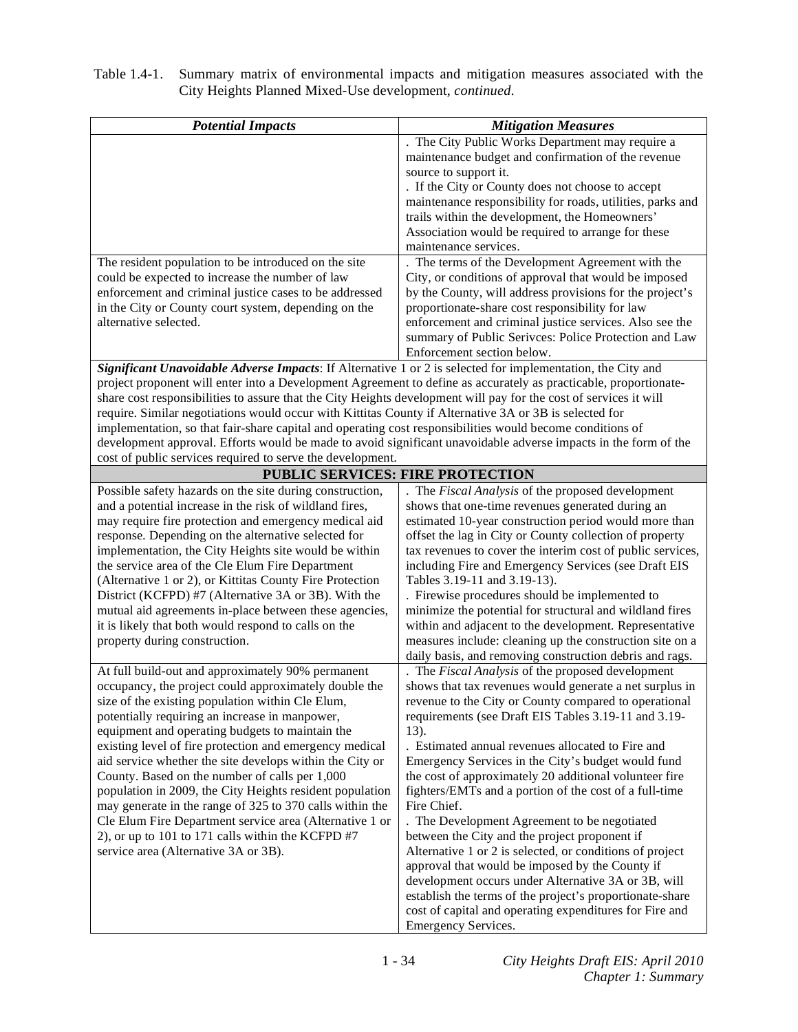| <b>Potential Impacts</b>                                                                                                                                                                                                    | <b>Mitigation Measures</b>                                                     |
|-----------------------------------------------------------------------------------------------------------------------------------------------------------------------------------------------------------------------------|--------------------------------------------------------------------------------|
|                                                                                                                                                                                                                             | The City Public Works Department may require a                                 |
|                                                                                                                                                                                                                             | maintenance budget and confirmation of the revenue                             |
|                                                                                                                                                                                                                             | source to support it.                                                          |
|                                                                                                                                                                                                                             | . If the City or County does not choose to accept                              |
|                                                                                                                                                                                                                             | maintenance responsibility for roads, utilities, parks and                     |
|                                                                                                                                                                                                                             | trails within the development, the Homeowners'                                 |
|                                                                                                                                                                                                                             | Association would be required to arrange for these                             |
|                                                                                                                                                                                                                             | maintenance services.                                                          |
| The resident population to be introduced on the site                                                                                                                                                                        | . The terms of the Development Agreement with the                              |
| could be expected to increase the number of law                                                                                                                                                                             | City, or conditions of approval that would be imposed                          |
| enforcement and criminal justice cases to be addressed                                                                                                                                                                      | by the County, will address provisions for the project's                       |
| in the City or County court system, depending on the                                                                                                                                                                        | proportionate-share cost responsibility for law                                |
| alternative selected.                                                                                                                                                                                                       | enforcement and criminal justice services. Also see the                        |
|                                                                                                                                                                                                                             | summary of Public Serivces: Police Protection and Law                          |
|                                                                                                                                                                                                                             | Enforcement section below.                                                     |
| Significant Unavoidable Adverse Impacts: If Alternative 1 or 2 is selected for implementation, the City and                                                                                                                 |                                                                                |
| project proponent will enter into a Development Agreement to define as accurately as practicable, proportionate-                                                                                                            |                                                                                |
| share cost responsibilities to assure that the City Heights development will pay for the cost of services it will<br>require. Similar negotiations would occur with Kittitas County if Alternative 3A or 3B is selected for |                                                                                |
| implementation, so that fair-share capital and operating cost responsibilities would become conditions of                                                                                                                   |                                                                                |
| development approval. Efforts would be made to avoid significant unavoidable adverse impacts in the form of the                                                                                                             |                                                                                |
| cost of public services required to serve the development.                                                                                                                                                                  |                                                                                |
|                                                                                                                                                                                                                             | <b>PUBLIC SERVICES: FIRE PROTECTION</b>                                        |
| Possible safety hazards on the site during construction,                                                                                                                                                                    | The Fiscal Analysis of the proposed development                                |
| and a potential increase in the risk of wildland fires,                                                                                                                                                                     | shows that one-time revenues generated during an                               |
| may require fire protection and emergency medical aid                                                                                                                                                                       | estimated 10-year construction period would more than                          |
| response. Depending on the alternative selected for                                                                                                                                                                         | offset the lag in City or County collection of property                        |
| implementation, the City Heights site would be within                                                                                                                                                                       | tax revenues to cover the interim cost of public services,                     |
| the service area of the Cle Elum Fire Department                                                                                                                                                                            | including Fire and Emergency Services (see Draft EIS                           |
| (Alternative 1 or 2), or Kittitas County Fire Protection                                                                                                                                                                    | Tables 3.19-11 and 3.19-13).                                                   |
| District (KCFPD) #7 (Alternative 3A or 3B). With the                                                                                                                                                                        | Firewise procedures should be implemented to                                   |
| mutual aid agreements in-place between these agencies,                                                                                                                                                                      | minimize the potential for structural and wildland fires                       |
| it is likely that both would respond to calls on the                                                                                                                                                                        | within and adjacent to the development. Representative                         |
| property during construction.                                                                                                                                                                                               | measures include: cleaning up the construction site on a                       |
|                                                                                                                                                                                                                             | daily basis, and removing construction debris and rags.                        |
| At full build-out and approximately 90% permanent                                                                                                                                                                           | The Fiscal Analysis of the proposed development                                |
| occupancy, the project could approximately double the                                                                                                                                                                       | shows that tax revenues would generate a net surplus in                        |
| size of the existing population within Cle Elum,                                                                                                                                                                            | revenue to the City or County compared to operational                          |
| potentially requiring an increase in manpower,                                                                                                                                                                              | requirements (see Draft EIS Tables 3.19-11 and 3.19-                           |
| equipment and operating budgets to maintain the                                                                                                                                                                             | 13).                                                                           |
| existing level of fire protection and emergency medical                                                                                                                                                                     | . Estimated annual revenues allocated to Fire and                              |
| aid service whether the site develops within the City or                                                                                                                                                                    | Emergency Services in the City's budget would fund                             |
| County. Based on the number of calls per 1,000                                                                                                                                                                              | the cost of approximately 20 additional volunteer fire                         |
| population in 2009, the City Heights resident population                                                                                                                                                                    | fighters/EMTs and a portion of the cost of a full-time                         |
| may generate in the range of 325 to 370 calls within the                                                                                                                                                                    | Fire Chief.                                                                    |
| Cle Elum Fire Department service area (Alternative 1 or                                                                                                                                                                     | . The Development Agreement to be negotiated                                   |
| 2), or up to 101 to 171 calls within the KCFPD #7                                                                                                                                                                           | between the City and the project proponent if                                  |
| service area (Alternative 3A or 3B).                                                                                                                                                                                        | Alternative 1 or 2 is selected, or conditions of project                       |
|                                                                                                                                                                                                                             | approval that would be imposed by the County if                                |
|                                                                                                                                                                                                                             | development occurs under Alternative 3A or 3B, will                            |
|                                                                                                                                                                                                                             | establish the terms of the project's proportionate-share                       |
|                                                                                                                                                                                                                             | cost of capital and operating expenditures for Fire and<br>Emergency Services. |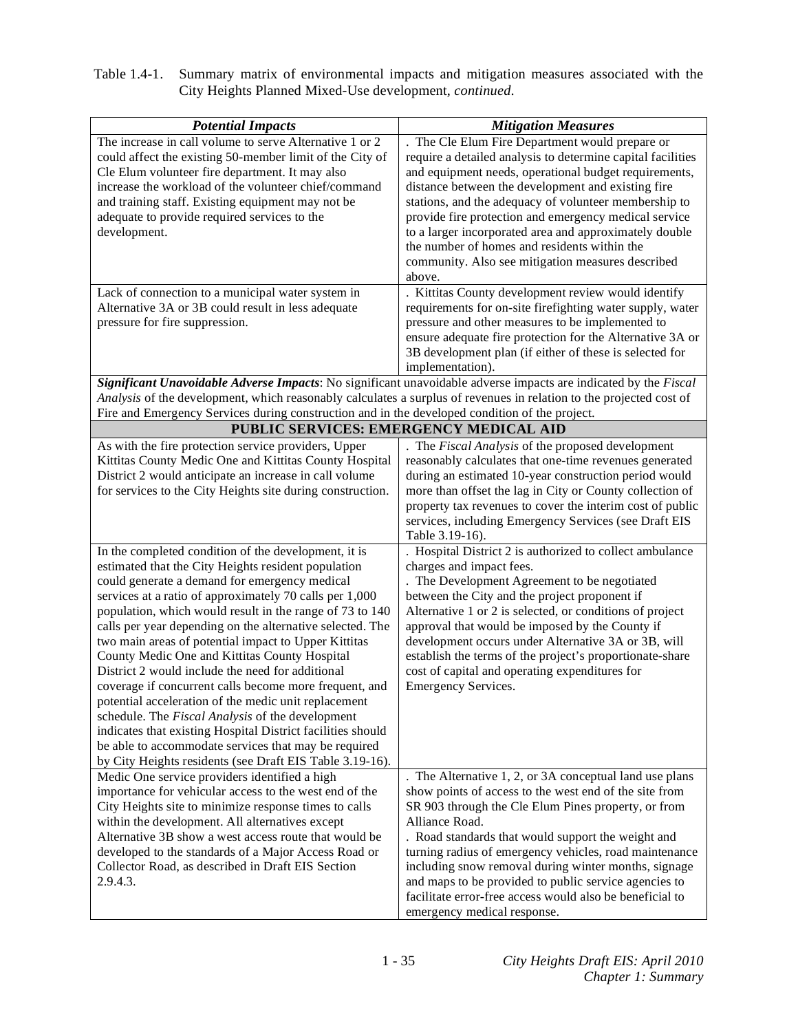| Table 1.4-1. Summary matrix of environmental impacts and mitigation measures associated with the |
|--------------------------------------------------------------------------------------------------|
| City Heights Planned Mixed-Use development, <i>continued</i> .                                   |

| <b>Potential Impacts</b><br><b>Mitigation Measures</b><br>The increase in call volume to serve Alternative 1 or 2<br>The Cle Elum Fire Department would prepare or<br>could affect the existing 50-member limit of the City of<br>require a detailed analysis to determine capital facilities<br>and equipment needs, operational budget requirements,<br>Cle Elum volunteer fire department. It may also<br>increase the workload of the volunteer chief/command<br>distance between the development and existing fire<br>and training staff. Existing equipment may not be<br>stations, and the adequacy of volunteer membership to<br>adequate to provide required services to the<br>provide fire protection and emergency medical service<br>development.<br>to a larger incorporated area and approximately double<br>the number of homes and residents within the<br>community. Also see mitigation measures described<br>above.<br>Lack of connection to a municipal water system in<br>. Kittitas County development review would identify<br>Alternative 3A or 3B could result in less adequate<br>requirements for on-site firefighting water supply, water<br>pressure for fire suppression.<br>pressure and other measures to be implemented to<br>ensure adequate fire protection for the Alternative 3A or<br>3B development plan (if either of these is selected for<br>implementation). |
|----------------------------------------------------------------------------------------------------------------------------------------------------------------------------------------------------------------------------------------------------------------------------------------------------------------------------------------------------------------------------------------------------------------------------------------------------------------------------------------------------------------------------------------------------------------------------------------------------------------------------------------------------------------------------------------------------------------------------------------------------------------------------------------------------------------------------------------------------------------------------------------------------------------------------------------------------------------------------------------------------------------------------------------------------------------------------------------------------------------------------------------------------------------------------------------------------------------------------------------------------------------------------------------------------------------------------------------------------------------------------------------------------------|
|                                                                                                                                                                                                                                                                                                                                                                                                                                                                                                                                                                                                                                                                                                                                                                                                                                                                                                                                                                                                                                                                                                                                                                                                                                                                                                                                                                                                          |
|                                                                                                                                                                                                                                                                                                                                                                                                                                                                                                                                                                                                                                                                                                                                                                                                                                                                                                                                                                                                                                                                                                                                                                                                                                                                                                                                                                                                          |
|                                                                                                                                                                                                                                                                                                                                                                                                                                                                                                                                                                                                                                                                                                                                                                                                                                                                                                                                                                                                                                                                                                                                                                                                                                                                                                                                                                                                          |
|                                                                                                                                                                                                                                                                                                                                                                                                                                                                                                                                                                                                                                                                                                                                                                                                                                                                                                                                                                                                                                                                                                                                                                                                                                                                                                                                                                                                          |
|                                                                                                                                                                                                                                                                                                                                                                                                                                                                                                                                                                                                                                                                                                                                                                                                                                                                                                                                                                                                                                                                                                                                                                                                                                                                                                                                                                                                          |
|                                                                                                                                                                                                                                                                                                                                                                                                                                                                                                                                                                                                                                                                                                                                                                                                                                                                                                                                                                                                                                                                                                                                                                                                                                                                                                                                                                                                          |
|                                                                                                                                                                                                                                                                                                                                                                                                                                                                                                                                                                                                                                                                                                                                                                                                                                                                                                                                                                                                                                                                                                                                                                                                                                                                                                                                                                                                          |
|                                                                                                                                                                                                                                                                                                                                                                                                                                                                                                                                                                                                                                                                                                                                                                                                                                                                                                                                                                                                                                                                                                                                                                                                                                                                                                                                                                                                          |
|                                                                                                                                                                                                                                                                                                                                                                                                                                                                                                                                                                                                                                                                                                                                                                                                                                                                                                                                                                                                                                                                                                                                                                                                                                                                                                                                                                                                          |
|                                                                                                                                                                                                                                                                                                                                                                                                                                                                                                                                                                                                                                                                                                                                                                                                                                                                                                                                                                                                                                                                                                                                                                                                                                                                                                                                                                                                          |
|                                                                                                                                                                                                                                                                                                                                                                                                                                                                                                                                                                                                                                                                                                                                                                                                                                                                                                                                                                                                                                                                                                                                                                                                                                                                                                                                                                                                          |
|                                                                                                                                                                                                                                                                                                                                                                                                                                                                                                                                                                                                                                                                                                                                                                                                                                                                                                                                                                                                                                                                                                                                                                                                                                                                                                                                                                                                          |
|                                                                                                                                                                                                                                                                                                                                                                                                                                                                                                                                                                                                                                                                                                                                                                                                                                                                                                                                                                                                                                                                                                                                                                                                                                                                                                                                                                                                          |
|                                                                                                                                                                                                                                                                                                                                                                                                                                                                                                                                                                                                                                                                                                                                                                                                                                                                                                                                                                                                                                                                                                                                                                                                                                                                                                                                                                                                          |
|                                                                                                                                                                                                                                                                                                                                                                                                                                                                                                                                                                                                                                                                                                                                                                                                                                                                                                                                                                                                                                                                                                                                                                                                                                                                                                                                                                                                          |
|                                                                                                                                                                                                                                                                                                                                                                                                                                                                                                                                                                                                                                                                                                                                                                                                                                                                                                                                                                                                                                                                                                                                                                                                                                                                                                                                                                                                          |
| Significant Unavoidable Adverse Impacts: No significant unavoidable adverse impacts are indicated by the Fiscal                                                                                                                                                                                                                                                                                                                                                                                                                                                                                                                                                                                                                                                                                                                                                                                                                                                                                                                                                                                                                                                                                                                                                                                                                                                                                          |
| Analysis of the development, which reasonably calculates a surplus of revenues in relation to the projected cost of                                                                                                                                                                                                                                                                                                                                                                                                                                                                                                                                                                                                                                                                                                                                                                                                                                                                                                                                                                                                                                                                                                                                                                                                                                                                                      |
| Fire and Emergency Services during construction and in the developed condition of the project.                                                                                                                                                                                                                                                                                                                                                                                                                                                                                                                                                                                                                                                                                                                                                                                                                                                                                                                                                                                                                                                                                                                                                                                                                                                                                                           |
| PUBLIC SERVICES: EMERGENCY MEDICAL AID                                                                                                                                                                                                                                                                                                                                                                                                                                                                                                                                                                                                                                                                                                                                                                                                                                                                                                                                                                                                                                                                                                                                                                                                                                                                                                                                                                   |
| As with the fire protection service providers, Upper<br>. The Fiscal Analysis of the proposed development                                                                                                                                                                                                                                                                                                                                                                                                                                                                                                                                                                                                                                                                                                                                                                                                                                                                                                                                                                                                                                                                                                                                                                                                                                                                                                |
| Kittitas County Medic One and Kittitas County Hospital<br>reasonably calculates that one-time revenues generated                                                                                                                                                                                                                                                                                                                                                                                                                                                                                                                                                                                                                                                                                                                                                                                                                                                                                                                                                                                                                                                                                                                                                                                                                                                                                         |
| District 2 would anticipate an increase in call volume<br>during an estimated 10-year construction period would                                                                                                                                                                                                                                                                                                                                                                                                                                                                                                                                                                                                                                                                                                                                                                                                                                                                                                                                                                                                                                                                                                                                                                                                                                                                                          |
| for services to the City Heights site during construction.<br>more than offset the lag in City or County collection of                                                                                                                                                                                                                                                                                                                                                                                                                                                                                                                                                                                                                                                                                                                                                                                                                                                                                                                                                                                                                                                                                                                                                                                                                                                                                   |
| property tax revenues to cover the interim cost of public                                                                                                                                                                                                                                                                                                                                                                                                                                                                                                                                                                                                                                                                                                                                                                                                                                                                                                                                                                                                                                                                                                                                                                                                                                                                                                                                                |
| services, including Emergency Services (see Draft EIS                                                                                                                                                                                                                                                                                                                                                                                                                                                                                                                                                                                                                                                                                                                                                                                                                                                                                                                                                                                                                                                                                                                                                                                                                                                                                                                                                    |
| Table 3.19-16).                                                                                                                                                                                                                                                                                                                                                                                                                                                                                                                                                                                                                                                                                                                                                                                                                                                                                                                                                                                                                                                                                                                                                                                                                                                                                                                                                                                          |
| In the completed condition of the development, it is<br>. Hospital District 2 is authorized to collect ambulance                                                                                                                                                                                                                                                                                                                                                                                                                                                                                                                                                                                                                                                                                                                                                                                                                                                                                                                                                                                                                                                                                                                                                                                                                                                                                         |
| estimated that the City Heights resident population<br>charges and impact fees.                                                                                                                                                                                                                                                                                                                                                                                                                                                                                                                                                                                                                                                                                                                                                                                                                                                                                                                                                                                                                                                                                                                                                                                                                                                                                                                          |
| The Development Agreement to be negotiated<br>could generate a demand for emergency medical                                                                                                                                                                                                                                                                                                                                                                                                                                                                                                                                                                                                                                                                                                                                                                                                                                                                                                                                                                                                                                                                                                                                                                                                                                                                                                              |
| services at a ratio of approximately 70 calls per 1,000<br>between the City and the project proponent if                                                                                                                                                                                                                                                                                                                                                                                                                                                                                                                                                                                                                                                                                                                                                                                                                                                                                                                                                                                                                                                                                                                                                                                                                                                                                                 |
| population, which would result in the range of 73 to 140<br>Alternative 1 or 2 is selected, or conditions of project                                                                                                                                                                                                                                                                                                                                                                                                                                                                                                                                                                                                                                                                                                                                                                                                                                                                                                                                                                                                                                                                                                                                                                                                                                                                                     |
| calls per year depending on the alternative selected. The<br>approval that would be imposed by the County if                                                                                                                                                                                                                                                                                                                                                                                                                                                                                                                                                                                                                                                                                                                                                                                                                                                                                                                                                                                                                                                                                                                                                                                                                                                                                             |
| two main areas of potential impact to Upper Kittitas<br>development occurs under Alternative 3A or 3B, will                                                                                                                                                                                                                                                                                                                                                                                                                                                                                                                                                                                                                                                                                                                                                                                                                                                                                                                                                                                                                                                                                                                                                                                                                                                                                              |
| County Medic One and Kittitas County Hospital<br>establish the terms of the project's proportionate-share                                                                                                                                                                                                                                                                                                                                                                                                                                                                                                                                                                                                                                                                                                                                                                                                                                                                                                                                                                                                                                                                                                                                                                                                                                                                                                |
| District 2 would include the need for additional<br>cost of capital and operating expenditures for                                                                                                                                                                                                                                                                                                                                                                                                                                                                                                                                                                                                                                                                                                                                                                                                                                                                                                                                                                                                                                                                                                                                                                                                                                                                                                       |
| <b>Emergency Services.</b><br>coverage if concurrent calls become more frequent, and                                                                                                                                                                                                                                                                                                                                                                                                                                                                                                                                                                                                                                                                                                                                                                                                                                                                                                                                                                                                                                                                                                                                                                                                                                                                                                                     |
| potential acceleration of the medic unit replacement                                                                                                                                                                                                                                                                                                                                                                                                                                                                                                                                                                                                                                                                                                                                                                                                                                                                                                                                                                                                                                                                                                                                                                                                                                                                                                                                                     |
| schedule. The Fiscal Analysis of the development                                                                                                                                                                                                                                                                                                                                                                                                                                                                                                                                                                                                                                                                                                                                                                                                                                                                                                                                                                                                                                                                                                                                                                                                                                                                                                                                                         |
| indicates that existing Hospital District facilities should                                                                                                                                                                                                                                                                                                                                                                                                                                                                                                                                                                                                                                                                                                                                                                                                                                                                                                                                                                                                                                                                                                                                                                                                                                                                                                                                              |
| be able to accommodate services that may be required                                                                                                                                                                                                                                                                                                                                                                                                                                                                                                                                                                                                                                                                                                                                                                                                                                                                                                                                                                                                                                                                                                                                                                                                                                                                                                                                                     |
| by City Heights residents (see Draft EIS Table 3.19-16).                                                                                                                                                                                                                                                                                                                                                                                                                                                                                                                                                                                                                                                                                                                                                                                                                                                                                                                                                                                                                                                                                                                                                                                                                                                                                                                                                 |
| Medic One service providers identified a high<br>. The Alternative 1, 2, or 3A conceptual land use plans                                                                                                                                                                                                                                                                                                                                                                                                                                                                                                                                                                                                                                                                                                                                                                                                                                                                                                                                                                                                                                                                                                                                                                                                                                                                                                 |
| importance for vehicular access to the west end of the<br>show points of access to the west end of the site from                                                                                                                                                                                                                                                                                                                                                                                                                                                                                                                                                                                                                                                                                                                                                                                                                                                                                                                                                                                                                                                                                                                                                                                                                                                                                         |
| City Heights site to minimize response times to calls<br>SR 903 through the Cle Elum Pines property, or from                                                                                                                                                                                                                                                                                                                                                                                                                                                                                                                                                                                                                                                                                                                                                                                                                                                                                                                                                                                                                                                                                                                                                                                                                                                                                             |
| within the development. All alternatives except<br>Alliance Road.                                                                                                                                                                                                                                                                                                                                                                                                                                                                                                                                                                                                                                                                                                                                                                                                                                                                                                                                                                                                                                                                                                                                                                                                                                                                                                                                        |
| Alternative 3B show a west access route that would be<br>. Road standards that would support the weight and                                                                                                                                                                                                                                                                                                                                                                                                                                                                                                                                                                                                                                                                                                                                                                                                                                                                                                                                                                                                                                                                                                                                                                                                                                                                                              |
| developed to the standards of a Major Access Road or<br>turning radius of emergency vehicles, road maintenance                                                                                                                                                                                                                                                                                                                                                                                                                                                                                                                                                                                                                                                                                                                                                                                                                                                                                                                                                                                                                                                                                                                                                                                                                                                                                           |
| including snow removal during winter months, signage<br>Collector Road, as described in Draft EIS Section<br>2.9.4.3.                                                                                                                                                                                                                                                                                                                                                                                                                                                                                                                                                                                                                                                                                                                                                                                                                                                                                                                                                                                                                                                                                                                                                                                                                                                                                    |
| and maps to be provided to public service agencies to<br>facilitate error-free access would also be beneficial to                                                                                                                                                                                                                                                                                                                                                                                                                                                                                                                                                                                                                                                                                                                                                                                                                                                                                                                                                                                                                                                                                                                                                                                                                                                                                        |
| emergency medical response.                                                                                                                                                                                                                                                                                                                                                                                                                                                                                                                                                                                                                                                                                                                                                                                                                                                                                                                                                                                                                                                                                                                                                                                                                                                                                                                                                                              |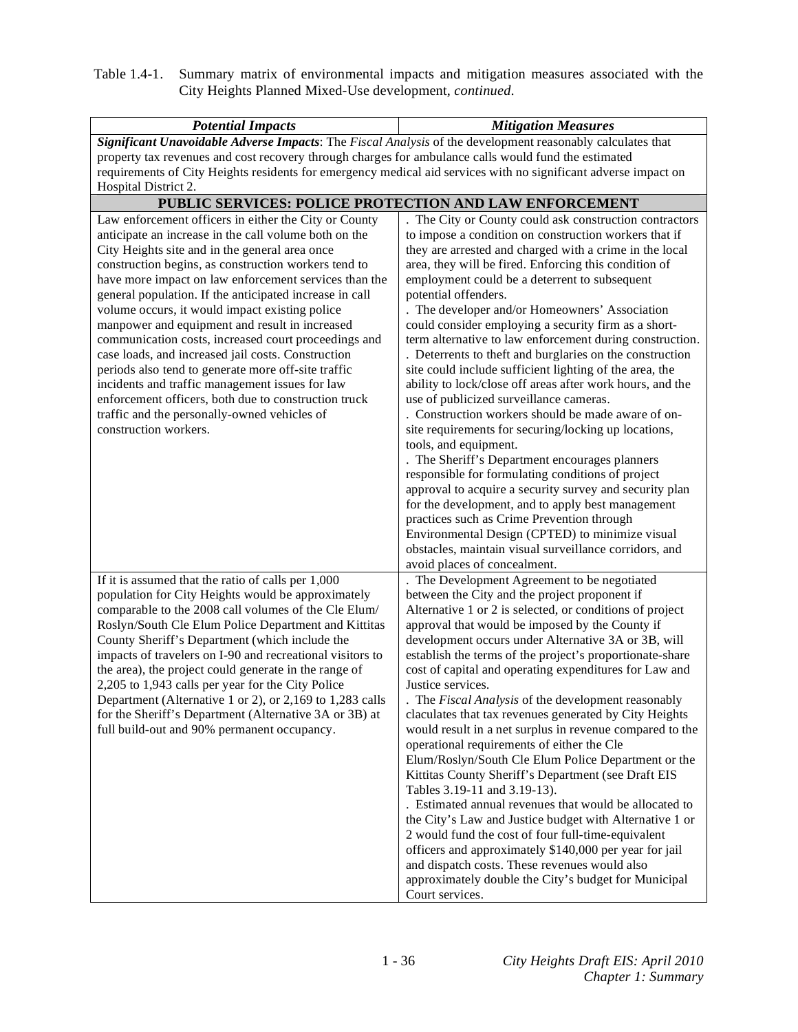| <b>Potential Impacts</b>                                                                                                                                                                                                                                                                                                                                                                                                                                                                                                                                                                                                                                                                                                                                                                                  | <b>Mitigation Measures</b>                                                                                                                                                                                                                                                                                                                                                                                                                                                                                                                                                                                                                                                                                                                                                                                                                                                                                                                                                                                                                                                                                                                                                                                                                |
|-----------------------------------------------------------------------------------------------------------------------------------------------------------------------------------------------------------------------------------------------------------------------------------------------------------------------------------------------------------------------------------------------------------------------------------------------------------------------------------------------------------------------------------------------------------------------------------------------------------------------------------------------------------------------------------------------------------------------------------------------------------------------------------------------------------|-------------------------------------------------------------------------------------------------------------------------------------------------------------------------------------------------------------------------------------------------------------------------------------------------------------------------------------------------------------------------------------------------------------------------------------------------------------------------------------------------------------------------------------------------------------------------------------------------------------------------------------------------------------------------------------------------------------------------------------------------------------------------------------------------------------------------------------------------------------------------------------------------------------------------------------------------------------------------------------------------------------------------------------------------------------------------------------------------------------------------------------------------------------------------------------------------------------------------------------------|
| Significant Unavoidable Adverse Impacts: The Fiscal Analysis of the development reasonably calculates that                                                                                                                                                                                                                                                                                                                                                                                                                                                                                                                                                                                                                                                                                                |                                                                                                                                                                                                                                                                                                                                                                                                                                                                                                                                                                                                                                                                                                                                                                                                                                                                                                                                                                                                                                                                                                                                                                                                                                           |
| property tax revenues and cost recovery through charges for ambulance calls would fund the estimated                                                                                                                                                                                                                                                                                                                                                                                                                                                                                                                                                                                                                                                                                                      |                                                                                                                                                                                                                                                                                                                                                                                                                                                                                                                                                                                                                                                                                                                                                                                                                                                                                                                                                                                                                                                                                                                                                                                                                                           |
| requirements of City Heights residents for emergency medical aid services with no significant adverse impact on                                                                                                                                                                                                                                                                                                                                                                                                                                                                                                                                                                                                                                                                                           |                                                                                                                                                                                                                                                                                                                                                                                                                                                                                                                                                                                                                                                                                                                                                                                                                                                                                                                                                                                                                                                                                                                                                                                                                                           |
| Hospital District 2.                                                                                                                                                                                                                                                                                                                                                                                                                                                                                                                                                                                                                                                                                                                                                                                      |                                                                                                                                                                                                                                                                                                                                                                                                                                                                                                                                                                                                                                                                                                                                                                                                                                                                                                                                                                                                                                                                                                                                                                                                                                           |
| PUBLIC SERVICES: POLICE PROTECTION AND LAW ENFORCEMENT                                                                                                                                                                                                                                                                                                                                                                                                                                                                                                                                                                                                                                                                                                                                                    |                                                                                                                                                                                                                                                                                                                                                                                                                                                                                                                                                                                                                                                                                                                                                                                                                                                                                                                                                                                                                                                                                                                                                                                                                                           |
| Law enforcement officers in either the City or County<br>anticipate an increase in the call volume both on the<br>City Heights site and in the general area once<br>construction begins, as construction workers tend to<br>have more impact on law enforcement services than the<br>general population. If the anticipated increase in call<br>volume occurs, it would impact existing police<br>manpower and equipment and result in increased<br>communication costs, increased court proceedings and<br>case loads, and increased jail costs. Construction<br>periods also tend to generate more off-site traffic<br>incidents and traffic management issues for law<br>enforcement officers, both due to construction truck<br>traffic and the personally-owned vehicles of<br>construction workers. | The City or County could ask construction contractors<br>to impose a condition on construction workers that if<br>they are arrested and charged with a crime in the local<br>area, they will be fired. Enforcing this condition of<br>employment could be a deterrent to subsequent<br>potential offenders.<br>. The developer and/or Homeowners' Association<br>could consider employing a security firm as a short-<br>term alternative to law enforcement during construction.<br>. Deterrents to theft and burglaries on the construction<br>site could include sufficient lighting of the area, the<br>ability to lock/close off areas after work hours, and the<br>use of publicized surveillance cameras.<br>. Construction workers should be made aware of on-<br>site requirements for securing/locking up locations,<br>tools, and equipment.<br>. The Sheriff's Department encourages planners<br>responsible for formulating conditions of project<br>approval to acquire a security survey and security plan<br>for the development, and to apply best management<br>practices such as Crime Prevention through<br>Environmental Design (CPTED) to minimize visual<br>obstacles, maintain visual surveillance corridors, and |
| If it is assumed that the ratio of calls per 1,000<br>population for City Heights would be approximately<br>comparable to the 2008 call volumes of the Cle Elum/<br>Roslyn/South Cle Elum Police Department and Kittitas<br>County Sheriff's Department (which include the<br>impacts of travelers on I-90 and recreational visitors to<br>the area), the project could generate in the range of<br>2,205 to 1,943 calls per year for the City Police<br>Department (Alternative 1 or 2), or 2,169 to 1,283 calls<br>for the Sheriff's Department (Alternative 3A or 3B) at<br>full build-out and 90% permanent occupancy.                                                                                                                                                                                | avoid places of concealment.<br>The Development Agreement to be negotiated<br>between the City and the project proponent if<br>Alternative 1 or 2 is selected, or conditions of project<br>approval that would be imposed by the County if<br>development occurs under Alternative 3A or 3B, will<br>establish the terms of the project's proportionate-share<br>cost of capital and operating expenditures for Law and<br>Justice services.<br>. The Fiscal Analysis of the development reasonably<br>claculates that tax revenues generated by City Heights<br>would result in a net surplus in revenue compared to the<br>operational requirements of either the Cle<br>Elum/Roslyn/South Cle Elum Police Department or the<br>Kittitas County Sheriff's Department (see Draft EIS<br>Tables 3.19-11 and 3.19-13).<br>. Estimated annual revenues that would be allocated to<br>the City's Law and Justice budget with Alternative 1 or<br>2 would fund the cost of four full-time-equivalent<br>officers and approximately \$140,000 per year for jail<br>and dispatch costs. These revenues would also<br>approximately double the City's budget for Municipal<br>Court services.                                                    |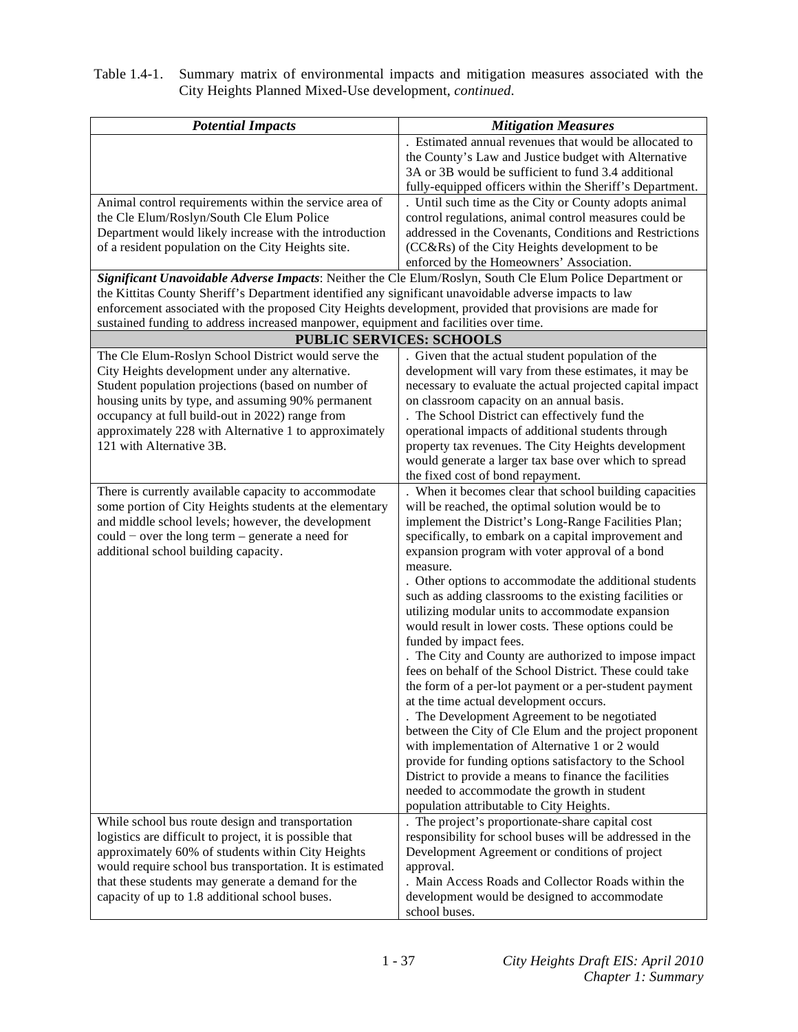| Table 1.4-1. Summary matrix of environmental impacts and mitigation measures associated with the |
|--------------------------------------------------------------------------------------------------|
| City Heights Planned Mixed-Use development, <i>continued</i> .                                   |

| <b>Potential Impacts</b>                                                                                  | <b>Mitigation Measures</b>                                |
|-----------------------------------------------------------------------------------------------------------|-----------------------------------------------------------|
|                                                                                                           | . Estimated annual revenues that would be allocated to    |
|                                                                                                           |                                                           |
|                                                                                                           | the County's Law and Justice budget with Alternative      |
|                                                                                                           | 3A or 3B would be sufficient to fund 3.4 additional       |
|                                                                                                           | fully-equipped officers within the Sheriff's Department.  |
| Animal control requirements within the service area of                                                    | . Until such time as the City or County adopts animal     |
| the Cle Elum/Roslyn/South Cle Elum Police                                                                 | control regulations, animal control measures could be     |
| Department would likely increase with the introduction                                                    | addressed in the Covenants, Conditions and Restrictions   |
| of a resident population on the City Heights site.                                                        | (CC&Rs) of the City Heights development to be             |
|                                                                                                           | enforced by the Homeowners' Association.                  |
| Significant Unavoidable Adverse Impacts: Neither the Cle Elum/Roslyn, South Cle Elum Police Department or |                                                           |
| the Kittitas County Sheriff's Department identified any significant unavoidable adverse impacts to law    |                                                           |
| enforcement associated with the proposed City Heights development, provided that provisions are made for  |                                                           |
| sustained funding to address increased manpower, equipment and facilities over time.                      |                                                           |
|                                                                                                           | <b>PUBLIC SERVICES: SCHOOLS</b>                           |
| The Cle Elum-Roslyn School District would serve the                                                       | . Given that the actual student population of the         |
| City Heights development under any alternative.                                                           | development will vary from these estimates, it may be     |
| Student population projections (based on number of                                                        | necessary to evaluate the actual projected capital impact |
| housing units by type, and assuming 90% permanent                                                         | on classroom capacity on an annual basis.                 |
| occupancy at full build-out in 2022) range from                                                           | . The School District can effectively fund the            |
| approximately 228 with Alternative 1 to approximately                                                     | operational impacts of additional students through        |
| 121 with Alternative 3B.                                                                                  | property tax revenues. The City Heights development       |
|                                                                                                           | would generate a larger tax base over which to spread     |
|                                                                                                           | the fixed cost of bond repayment.                         |
| There is currently available capacity to accommodate                                                      | . When it becomes clear that school building capacities   |
| some portion of City Heights students at the elementary                                                   | will be reached, the optimal solution would be to         |
| and middle school levels; however, the development                                                        | implement the District's Long-Range Facilities Plan;      |
| could $-$ over the long term $-$ generate a need for                                                      | specifically, to embark on a capital improvement and      |
| additional school building capacity.                                                                      | expansion program with voter approval of a bond           |
|                                                                                                           | measure.                                                  |
|                                                                                                           | . Other options to accommodate the additional students    |
|                                                                                                           | such as adding classrooms to the existing facilities or   |
|                                                                                                           | utilizing modular units to accommodate expansion          |
|                                                                                                           | would result in lower costs. These options could be       |
|                                                                                                           | funded by impact fees.                                    |
|                                                                                                           | . The City and County are authorized to impose impact     |
|                                                                                                           | fees on behalf of the School District. These could take   |
|                                                                                                           | the form of a per-lot payment or a per-student payment    |
|                                                                                                           | at the time actual development occurs.                    |
|                                                                                                           | . The Development Agreement to be negotiated              |
|                                                                                                           | between the City of Cle Elum and the project proponent    |
|                                                                                                           | with implementation of Alternative 1 or 2 would           |
|                                                                                                           | provide for funding options satisfactory to the School    |
|                                                                                                           | District to provide a means to finance the facilities     |
|                                                                                                           | needed to accommodate the growth in student               |
|                                                                                                           | population attributable to City Heights.                  |
| While school bus route design and transportation                                                          | . The project's proportionate-share capital cost          |
| logistics are difficult to project, it is possible that                                                   | responsibility for school buses will be addressed in the  |
| approximately 60% of students within City Heights                                                         | Development Agreement or conditions of project            |
| would require school bus transportation. It is estimated                                                  | approval.                                                 |
| that these students may generate a demand for the                                                         | . Main Access Roads and Collector Roads within the        |
| capacity of up to 1.8 additional school buses.                                                            | development would be designed to accommodate              |
|                                                                                                           | school buses.                                             |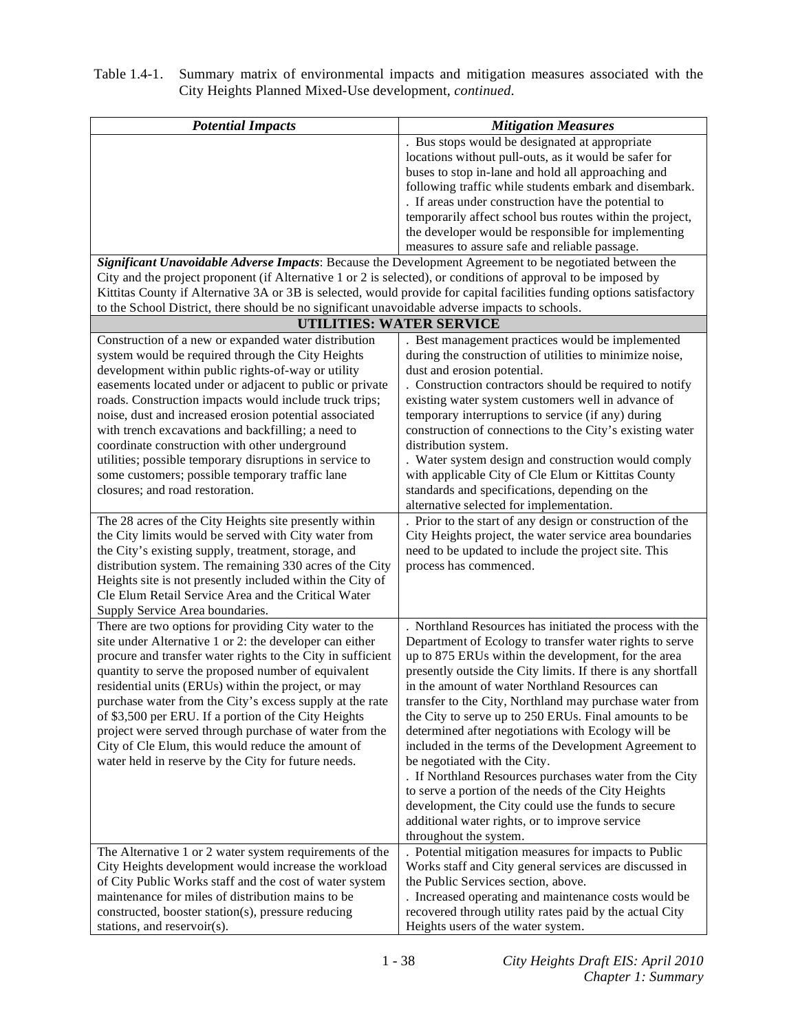| <b>Potential Impacts</b>                                                                                               | <b>Mitigation Measures</b>                                                                                           |
|------------------------------------------------------------------------------------------------------------------------|----------------------------------------------------------------------------------------------------------------------|
|                                                                                                                        | . Bus stops would be designated at appropriate                                                                       |
|                                                                                                                        | locations without pull-outs, as it would be safer for                                                                |
|                                                                                                                        | buses to stop in-lane and hold all approaching and                                                                   |
|                                                                                                                        | following traffic while students embark and disembark.                                                               |
|                                                                                                                        | . If areas under construction have the potential to                                                                  |
|                                                                                                                        | temporarily affect school bus routes within the project,                                                             |
|                                                                                                                        | the developer would be responsible for implementing<br>measures to assure safe and reliable passage.                 |
| Significant Unavoidable Adverse Impacts: Because the Development Agreement to be negotiated between the                |                                                                                                                      |
| City and the project proponent (if Alternative 1 or 2 is selected), or conditions of approval to be imposed by         |                                                                                                                      |
| Kittitas County if Alternative 3A or 3B is selected, would provide for capital facilities funding options satisfactory |                                                                                                                      |
| to the School District, there should be no significant unavoidable adverse impacts to schools.                         |                                                                                                                      |
|                                                                                                                        | <b>UTILITIES: WATER SERVICE</b>                                                                                      |
| Construction of a new or expanded water distribution                                                                   | . Best management practices would be implemented                                                                     |
| system would be required through the City Heights                                                                      | during the construction of utilities to minimize noise,                                                              |
| development within public rights-of-way or utility                                                                     | dust and erosion potential.                                                                                          |
| easements located under or adjacent to public or private                                                               | . Construction contractors should be required to notify                                                              |
| roads. Construction impacts would include truck trips;                                                                 | existing water system customers well in advance of                                                                   |
| noise, dust and increased erosion potential associated                                                                 | temporary interruptions to service (if any) during                                                                   |
| with trench excavations and backfilling; a need to                                                                     | construction of connections to the City's existing water                                                             |
| coordinate construction with other underground                                                                         | distribution system.                                                                                                 |
| utilities; possible temporary disruptions in service to                                                                | . Water system design and construction would comply                                                                  |
| some customers; possible temporary traffic lane                                                                        | with applicable City of Cle Elum or Kittitas County                                                                  |
| closures; and road restoration.                                                                                        | standards and specifications, depending on the                                                                       |
|                                                                                                                        | alternative selected for implementation.                                                                             |
| The 28 acres of the City Heights site presently within<br>the City limits would be served with City water from         | . Prior to the start of any design or construction of the<br>City Heights project, the water service area boundaries |
| the City's existing supply, treatment, storage, and                                                                    | need to be updated to include the project site. This                                                                 |
| distribution system. The remaining 330 acres of the City                                                               | process has commenced.                                                                                               |
| Heights site is not presently included within the City of                                                              |                                                                                                                      |
| Cle Elum Retail Service Area and the Critical Water                                                                    |                                                                                                                      |
| Supply Service Area boundaries.                                                                                        |                                                                                                                      |
| There are two options for providing City water to the                                                                  | . Northland Resources has initiated the process with the                                                             |
| site under Alternative 1 or 2: the developer can either                                                                | Department of Ecology to transfer water rights to serve                                                              |
| procure and transfer water rights to the City in sufficient                                                            | up to 875 ERUs within the development, for the area                                                                  |
| quantity to serve the proposed number of equivalent                                                                    | presently outside the City limits. If there is any shortfall                                                         |
| residential units (ERUs) within the project, or may                                                                    | in the amount of water Northland Resources can                                                                       |
| purchase water from the City's excess supply at the rate                                                               | transfer to the City, Northland may purchase water from                                                              |
| of \$3,500 per ERU. If a portion of the City Heights                                                                   | the City to serve up to 250 ERUs. Final amounts to be                                                                |
| project were served through purchase of water from the                                                                 | determined after negotiations with Ecology will be                                                                   |
| City of Cle Elum, this would reduce the amount of<br>water held in reserve by the City for future needs.               | included in the terms of the Development Agreement to<br>be negotiated with the City.                                |
|                                                                                                                        | . If Northland Resources purchases water from the City                                                               |
|                                                                                                                        | to serve a portion of the needs of the City Heights                                                                  |
|                                                                                                                        | development, the City could use the funds to secure                                                                  |
|                                                                                                                        | additional water rights, or to improve service                                                                       |
|                                                                                                                        | throughout the system.                                                                                               |
| The Alternative 1 or 2 water system requirements of the                                                                | Potential mitigation measures for impacts to Public                                                                  |
| City Heights development would increase the workload                                                                   | Works staff and City general services are discussed in                                                               |
| of City Public Works staff and the cost of water system                                                                | the Public Services section, above.                                                                                  |
| maintenance for miles of distribution mains to be                                                                      | . Increased operating and maintenance costs would be                                                                 |
| constructed, booster station(s), pressure reducing                                                                     | recovered through utility rates paid by the actual City                                                              |
| stations, and reservoir(s).                                                                                            | Heights users of the water system.                                                                                   |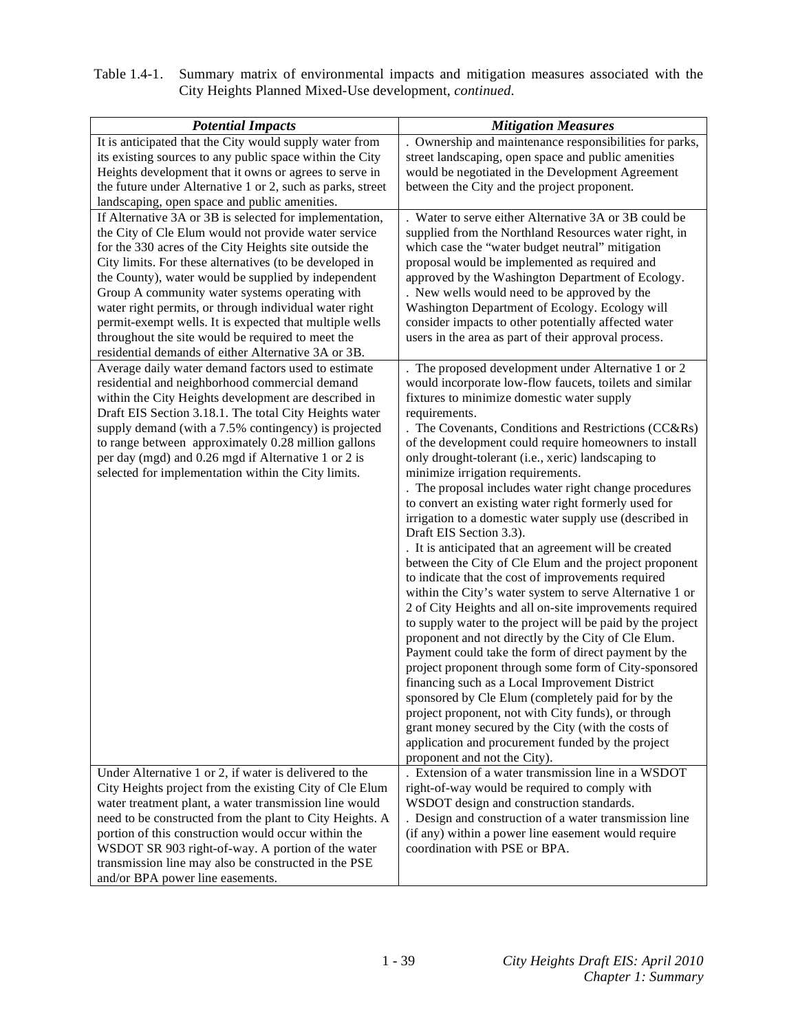| Table 1.4-1. Summary matrix of environmental impacts and mitigation measures associated with the |
|--------------------------------------------------------------------------------------------------|
| City Heights Planned Mixed-Use development, <i>continued</i> .                                   |

| <b>Potential Impacts</b>                                                                                                                                                                                                                                                                                                                                                                                                                                                                                                                                                       | <b>Mitigation Measures</b>                                                                                                                                                                                                                                                                                                                                                                                                                                                                 |
|--------------------------------------------------------------------------------------------------------------------------------------------------------------------------------------------------------------------------------------------------------------------------------------------------------------------------------------------------------------------------------------------------------------------------------------------------------------------------------------------------------------------------------------------------------------------------------|--------------------------------------------------------------------------------------------------------------------------------------------------------------------------------------------------------------------------------------------------------------------------------------------------------------------------------------------------------------------------------------------------------------------------------------------------------------------------------------------|
| It is anticipated that the City would supply water from                                                                                                                                                                                                                                                                                                                                                                                                                                                                                                                        | . Ownership and maintenance responsibilities for parks,                                                                                                                                                                                                                                                                                                                                                                                                                                    |
| its existing sources to any public space within the City                                                                                                                                                                                                                                                                                                                                                                                                                                                                                                                       | street landscaping, open space and public amenities                                                                                                                                                                                                                                                                                                                                                                                                                                        |
| Heights development that it owns or agrees to serve in                                                                                                                                                                                                                                                                                                                                                                                                                                                                                                                         | would be negotiated in the Development Agreement                                                                                                                                                                                                                                                                                                                                                                                                                                           |
| the future under Alternative 1 or 2, such as parks, street                                                                                                                                                                                                                                                                                                                                                                                                                                                                                                                     | between the City and the project proponent.                                                                                                                                                                                                                                                                                                                                                                                                                                                |
| landscaping, open space and public amenities.                                                                                                                                                                                                                                                                                                                                                                                                                                                                                                                                  |                                                                                                                                                                                                                                                                                                                                                                                                                                                                                            |
| If Alternative 3A or 3B is selected for implementation,<br>the City of Cle Elum would not provide water service<br>for the 330 acres of the City Heights site outside the<br>City limits. For these alternatives (to be developed in<br>the County), water would be supplied by independent<br>Group A community water systems operating with<br>water right permits, or through individual water right<br>permit-exempt wells. It is expected that multiple wells<br>throughout the site would be required to meet the<br>residential demands of either Alternative 3A or 3B. | . Water to serve either Alternative 3A or 3B could be<br>supplied from the Northland Resources water right, in<br>which case the "water budget neutral" mitigation<br>proposal would be implemented as required and<br>approved by the Washington Department of Ecology.<br>. New wells would need to be approved by the<br>Washington Department of Ecology. Ecology will<br>consider impacts to other potentially affected water<br>users in the area as part of their approval process. |
| Average daily water demand factors used to estimate                                                                                                                                                                                                                                                                                                                                                                                                                                                                                                                            | . The proposed development under Alternative 1 or 2                                                                                                                                                                                                                                                                                                                                                                                                                                        |
| residential and neighborhood commercial demand                                                                                                                                                                                                                                                                                                                                                                                                                                                                                                                                 | would incorporate low-flow faucets, toilets and similar                                                                                                                                                                                                                                                                                                                                                                                                                                    |
| within the City Heights development are described in<br>Draft EIS Section 3.18.1. The total City Heights water                                                                                                                                                                                                                                                                                                                                                                                                                                                                 | fixtures to minimize domestic water supply<br>requirements.                                                                                                                                                                                                                                                                                                                                                                                                                                |
| supply demand (with a 7.5% contingency) is projected                                                                                                                                                                                                                                                                                                                                                                                                                                                                                                                           | . The Covenants, Conditions and Restrictions (CC&Rs)                                                                                                                                                                                                                                                                                                                                                                                                                                       |
| to range between approximately 0.28 million gallons                                                                                                                                                                                                                                                                                                                                                                                                                                                                                                                            | of the development could require homeowners to install                                                                                                                                                                                                                                                                                                                                                                                                                                     |
| per day (mgd) and 0.26 mgd if Alternative 1 or 2 is                                                                                                                                                                                                                                                                                                                                                                                                                                                                                                                            | only drought-tolerant (i.e., xeric) landscaping to                                                                                                                                                                                                                                                                                                                                                                                                                                         |
| selected for implementation within the City limits.                                                                                                                                                                                                                                                                                                                                                                                                                                                                                                                            | minimize irrigation requirements.                                                                                                                                                                                                                                                                                                                                                                                                                                                          |
|                                                                                                                                                                                                                                                                                                                                                                                                                                                                                                                                                                                | . The proposal includes water right change procedures                                                                                                                                                                                                                                                                                                                                                                                                                                      |
|                                                                                                                                                                                                                                                                                                                                                                                                                                                                                                                                                                                | to convert an existing water right formerly used for                                                                                                                                                                                                                                                                                                                                                                                                                                       |
|                                                                                                                                                                                                                                                                                                                                                                                                                                                                                                                                                                                | irrigation to a domestic water supply use (described in<br>Draft EIS Section 3.3).                                                                                                                                                                                                                                                                                                                                                                                                         |
|                                                                                                                                                                                                                                                                                                                                                                                                                                                                                                                                                                                | . It is anticipated that an agreement will be created                                                                                                                                                                                                                                                                                                                                                                                                                                      |
|                                                                                                                                                                                                                                                                                                                                                                                                                                                                                                                                                                                | between the City of Cle Elum and the project proponent                                                                                                                                                                                                                                                                                                                                                                                                                                     |
|                                                                                                                                                                                                                                                                                                                                                                                                                                                                                                                                                                                | to indicate that the cost of improvements required                                                                                                                                                                                                                                                                                                                                                                                                                                         |
|                                                                                                                                                                                                                                                                                                                                                                                                                                                                                                                                                                                | within the City's water system to serve Alternative 1 or                                                                                                                                                                                                                                                                                                                                                                                                                                   |
|                                                                                                                                                                                                                                                                                                                                                                                                                                                                                                                                                                                | 2 of City Heights and all on-site improvements required                                                                                                                                                                                                                                                                                                                                                                                                                                    |
|                                                                                                                                                                                                                                                                                                                                                                                                                                                                                                                                                                                | to supply water to the project will be paid by the project                                                                                                                                                                                                                                                                                                                                                                                                                                 |
|                                                                                                                                                                                                                                                                                                                                                                                                                                                                                                                                                                                | proponent and not directly by the City of Cle Elum.                                                                                                                                                                                                                                                                                                                                                                                                                                        |
|                                                                                                                                                                                                                                                                                                                                                                                                                                                                                                                                                                                | Payment could take the form of direct payment by the                                                                                                                                                                                                                                                                                                                                                                                                                                       |
|                                                                                                                                                                                                                                                                                                                                                                                                                                                                                                                                                                                | project proponent through some form of City-sponsored                                                                                                                                                                                                                                                                                                                                                                                                                                      |
|                                                                                                                                                                                                                                                                                                                                                                                                                                                                                                                                                                                | financing such as a Local Improvement District<br>sponsored by Cle Elum (completely paid for by the                                                                                                                                                                                                                                                                                                                                                                                        |
|                                                                                                                                                                                                                                                                                                                                                                                                                                                                                                                                                                                | project proponent, not with City funds), or through                                                                                                                                                                                                                                                                                                                                                                                                                                        |
|                                                                                                                                                                                                                                                                                                                                                                                                                                                                                                                                                                                | grant money secured by the City (with the costs of                                                                                                                                                                                                                                                                                                                                                                                                                                         |
|                                                                                                                                                                                                                                                                                                                                                                                                                                                                                                                                                                                | application and procurement funded by the project                                                                                                                                                                                                                                                                                                                                                                                                                                          |
|                                                                                                                                                                                                                                                                                                                                                                                                                                                                                                                                                                                | proponent and not the City).                                                                                                                                                                                                                                                                                                                                                                                                                                                               |
| Under Alternative 1 or 2, if water is delivered to the                                                                                                                                                                                                                                                                                                                                                                                                                                                                                                                         | . Extension of a water transmission line in a WSDOT                                                                                                                                                                                                                                                                                                                                                                                                                                        |
| City Heights project from the existing City of Cle Elum                                                                                                                                                                                                                                                                                                                                                                                                                                                                                                                        | right-of-way would be required to comply with                                                                                                                                                                                                                                                                                                                                                                                                                                              |
| water treatment plant, a water transmission line would                                                                                                                                                                                                                                                                                                                                                                                                                                                                                                                         | WSDOT design and construction standards.                                                                                                                                                                                                                                                                                                                                                                                                                                                   |
| need to be constructed from the plant to City Heights. A<br>portion of this construction would occur within the                                                                                                                                                                                                                                                                                                                                                                                                                                                                | . Design and construction of a water transmission line<br>(if any) within a power line easement would require                                                                                                                                                                                                                                                                                                                                                                              |
| WSDOT SR 903 right-of-way. A portion of the water                                                                                                                                                                                                                                                                                                                                                                                                                                                                                                                              | coordination with PSE or BPA.                                                                                                                                                                                                                                                                                                                                                                                                                                                              |
| transmission line may also be constructed in the PSE                                                                                                                                                                                                                                                                                                                                                                                                                                                                                                                           |                                                                                                                                                                                                                                                                                                                                                                                                                                                                                            |
| and/or BPA power line easements.                                                                                                                                                                                                                                                                                                                                                                                                                                                                                                                                               |                                                                                                                                                                                                                                                                                                                                                                                                                                                                                            |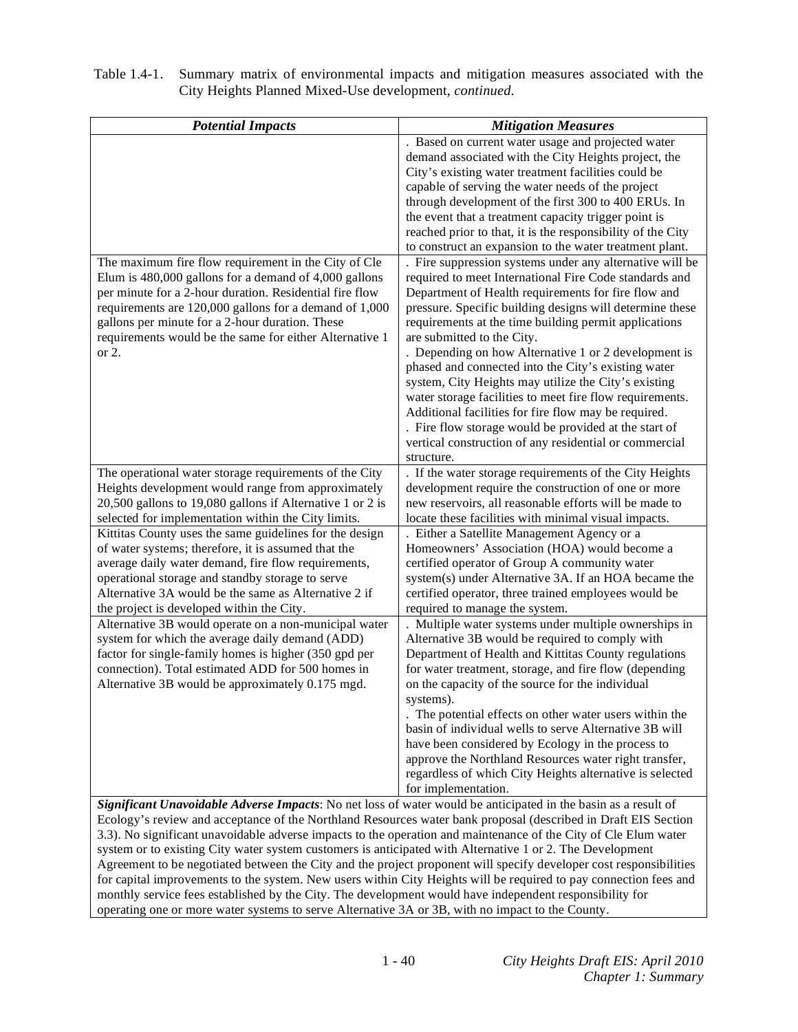| <b>Potential Impacts</b>                                                                                           | <b>Mitigation Measures</b>                                                          |
|--------------------------------------------------------------------------------------------------------------------|-------------------------------------------------------------------------------------|
|                                                                                                                    | . Based on current water usage and projected water                                  |
|                                                                                                                    | demand associated with the City Heights project, the                                |
|                                                                                                                    | City's existing water treatment facilities could be                                 |
|                                                                                                                    | capable of serving the water needs of the project                                   |
|                                                                                                                    | through development of the first 300 to 400 ERUs. In                                |
|                                                                                                                    | the event that a treatment capacity trigger point is                                |
|                                                                                                                    | reached prior to that, it is the responsibility of the City                         |
|                                                                                                                    | to construct an expansion to the water treatment plant.                             |
| The maximum fire flow requirement in the City of Cle                                                               | . Fire suppression systems under any alternative will be                            |
| Elum is $480,000$ gallons for a demand of $4,000$ gallons                                                          | required to meet International Fire Code standards and                              |
| per minute for a 2-hour duration. Residential fire flow                                                            | Department of Health requirements for fire flow and                                 |
| requirements are 120,000 gallons for a demand of 1,000                                                             | pressure. Specific building designs will determine these                            |
| gallons per minute for a 2-hour duration. These<br>requirements would be the same for either Alternative 1         | requirements at the time building permit applications<br>are submitted to the City. |
| or 2.                                                                                                              | . Depending on how Alternative 1 or 2 development is                                |
|                                                                                                                    | phased and connected into the City's existing water                                 |
|                                                                                                                    | system, City Heights may utilize the City's existing                                |
|                                                                                                                    | water storage facilities to meet fire flow requirements.                            |
|                                                                                                                    | Additional facilities for fire flow may be required.                                |
|                                                                                                                    | . Fire flow storage would be provided at the start of                               |
|                                                                                                                    | vertical construction of any residential or commercial                              |
|                                                                                                                    | structure.                                                                          |
| The operational water storage requirements of the City                                                             | . If the water storage requirements of the City Heights                             |
| Heights development would range from approximately                                                                 | development require the construction of one or more                                 |
| 20,500 gallons to 19,080 gallons if Alternative 1 or 2 is                                                          | new reservoirs, all reasonable efforts will be made to                              |
| selected for implementation within the City limits.                                                                | locate these facilities with minimal visual impacts.                                |
| Kittitas County uses the same guidelines for the design                                                            | . Either a Satellite Management Agency or a                                         |
| of water systems; therefore, it is assumed that the                                                                | Homeowners' Association (HOA) would become a                                        |
| average daily water demand, fire flow requirements,                                                                | certified operator of Group A community water                                       |
| operational storage and standby storage to serve                                                                   | system(s) under Alternative 3A. If an HOA became the                                |
| Alternative 3A would be the same as Alternative 2 if                                                               | certified operator, three trained employees would be                                |
| the project is developed within the City.                                                                          | required to manage the system.                                                      |
| Alternative 3B would operate on a non-municipal water                                                              | Multiple water systems under multiple ownerships in                                 |
| system for which the average daily demand (ADD)                                                                    | Alternative 3B would be required to comply with                                     |
| factor for single-family homes is higher (350 gpd per                                                              | Department of Health and Kittitas County regulations                                |
| connection). Total estimated ADD for 500 homes in                                                                  | for water treatment, storage, and fire flow (depending                              |
| Alternative 3B would be approximately 0.175 mgd.                                                                   | on the capacity of the source for the individual                                    |
|                                                                                                                    | systems).<br>. The potential effects on other water users within the                |
|                                                                                                                    | basin of individual wells to serve Alternative 3B will                              |
|                                                                                                                    | have been considered by Ecology in the process to                                   |
|                                                                                                                    | approve the Northland Resources water right transfer,                               |
|                                                                                                                    | regardless of which City Heights alternative is selected                            |
|                                                                                                                    | for implementation.                                                                 |
| Significant Unavoidable Adverse Impacts: No net loss of water would be anticipated in the basin as a result of     |                                                                                     |
| Ecology's review and acceptance of the Northland Resources water bank proposal (described in Draft EIS Section     |                                                                                     |
| 3.3). No significant unavoidable adverse impacts to the operation and maintenance of the City of Cle Elum water    |                                                                                     |
| system or to existing City water system customers is anticipated with Alternative 1 or 2. The Development          |                                                                                     |
| Agreement to be negotiated between the City and the project proponent will specify developer cost responsibilities |                                                                                     |
| for capital improvements to the system. New users within City Heights will be required to pay connection fees and  |                                                                                     |

operating one or more water systems to serve Alternative 3A or 3B, with no impact to the County.

monthly service fees established by the City. The development would have independent responsibility for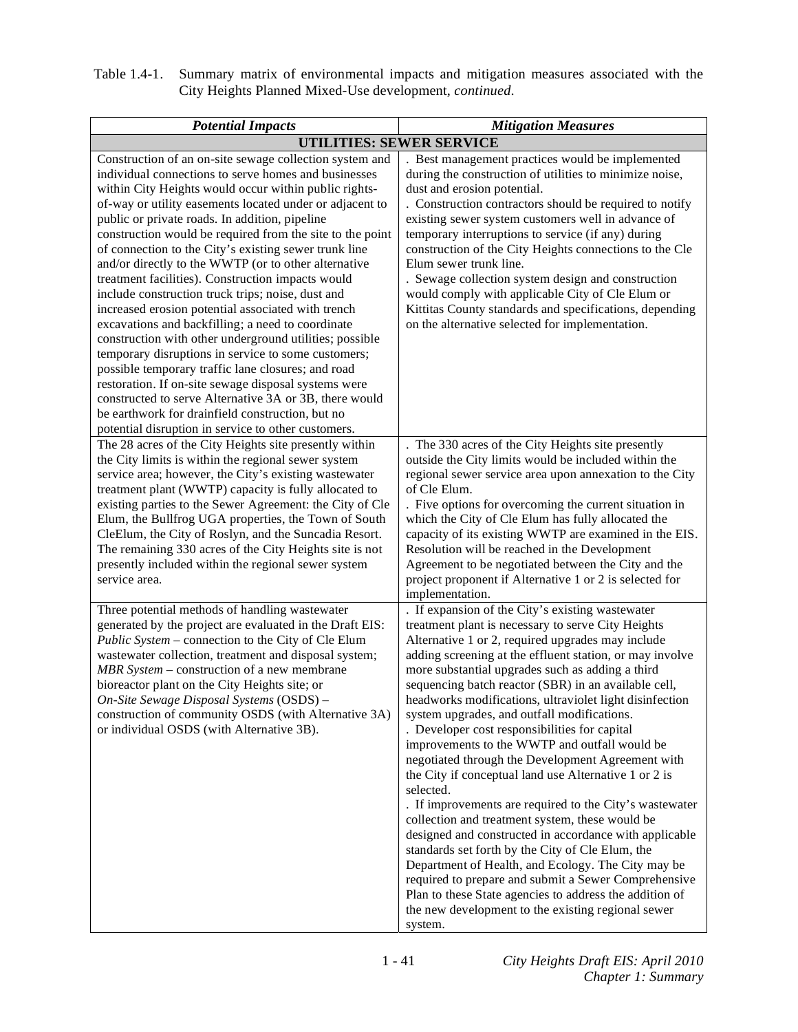| Table 1.4-1. Summary matrix of environmental impacts and mitigation measures associated with the |
|--------------------------------------------------------------------------------------------------|
| City Heights Planned Mixed-Use development, <i>continued</i> .                                   |

| <b>Potential Impacts</b>                                                                                                                                                                                                                                                                                                                                                                                                                                                                                                                                                                                                                                                                                                                                                                                                                                                                                                                                                                                                                                                                       | <b>Mitigation Measures</b>                                                                                                                                                                                                                                                                                                                                                                                                                                                                                                                                                                                                                                                                                                                                                                                                                                                                                                                                                                                                                                                                                                                     |
|------------------------------------------------------------------------------------------------------------------------------------------------------------------------------------------------------------------------------------------------------------------------------------------------------------------------------------------------------------------------------------------------------------------------------------------------------------------------------------------------------------------------------------------------------------------------------------------------------------------------------------------------------------------------------------------------------------------------------------------------------------------------------------------------------------------------------------------------------------------------------------------------------------------------------------------------------------------------------------------------------------------------------------------------------------------------------------------------|------------------------------------------------------------------------------------------------------------------------------------------------------------------------------------------------------------------------------------------------------------------------------------------------------------------------------------------------------------------------------------------------------------------------------------------------------------------------------------------------------------------------------------------------------------------------------------------------------------------------------------------------------------------------------------------------------------------------------------------------------------------------------------------------------------------------------------------------------------------------------------------------------------------------------------------------------------------------------------------------------------------------------------------------------------------------------------------------------------------------------------------------|
| <b>UTILITIES: SEWER SERVICE</b>                                                                                                                                                                                                                                                                                                                                                                                                                                                                                                                                                                                                                                                                                                                                                                                                                                                                                                                                                                                                                                                                |                                                                                                                                                                                                                                                                                                                                                                                                                                                                                                                                                                                                                                                                                                                                                                                                                                                                                                                                                                                                                                                                                                                                                |
| Construction of an on-site sewage collection system and<br>individual connections to serve homes and businesses<br>within City Heights would occur within public rights-<br>of-way or utility easements located under or adjacent to<br>public or private roads. In addition, pipeline<br>construction would be required from the site to the point<br>of connection to the City's existing sewer trunk line<br>and/or directly to the WWTP (or to other alternative<br>treatment facilities). Construction impacts would<br>include construction truck trips; noise, dust and<br>increased erosion potential associated with trench<br>excavations and backfilling; a need to coordinate<br>construction with other underground utilities; possible<br>temporary disruptions in service to some customers;<br>possible temporary traffic lane closures; and road<br>restoration. If on-site sewage disposal systems were<br>constructed to serve Alternative 3A or 3B, there would<br>be earthwork for drainfield construction, but no<br>potential disruption in service to other customers. | Best management practices would be implemented<br>during the construction of utilities to minimize noise,<br>dust and erosion potential.<br>. Construction contractors should be required to notify<br>existing sewer system customers well in advance of<br>temporary interruptions to service (if any) during<br>construction of the City Heights connections to the Cle<br>Elum sewer trunk line.<br>. Sewage collection system design and construction<br>would comply with applicable City of Cle Elum or<br>Kittitas County standards and specifications, depending<br>on the alternative selected for implementation.                                                                                                                                                                                                                                                                                                                                                                                                                                                                                                                   |
| The 28 acres of the City Heights site presently within<br>the City limits is within the regional sewer system<br>service area; however, the City's existing wastewater<br>treatment plant (WWTP) capacity is fully allocated to<br>existing parties to the Sewer Agreement: the City of Cle<br>Elum, the Bullfrog UGA properties, the Town of South<br>CleElum, the City of Roslyn, and the Suncadia Resort.<br>The remaining 330 acres of the City Heights site is not<br>presently included within the regional sewer system<br>service area.                                                                                                                                                                                                                                                                                                                                                                                                                                                                                                                                                | The 330 acres of the City Heights site presently<br>outside the City limits would be included within the<br>regional sewer service area upon annexation to the City<br>of Cle Elum.<br>. Five options for overcoming the current situation in<br>which the City of Cle Elum has fully allocated the<br>capacity of its existing WWTP are examined in the EIS.<br>Resolution will be reached in the Development<br>Agreement to be negotiated between the City and the<br>project proponent if Alternative 1 or 2 is selected for<br>implementation.                                                                                                                                                                                                                                                                                                                                                                                                                                                                                                                                                                                            |
| Three potential methods of handling wastewater<br>generated by the project are evaluated in the Draft EIS:<br>Public System - connection to the City of Cle Elum<br>wastewater collection, treatment and disposal system;<br>MBR System – construction of a new membrane<br>bioreactor plant on the City Heights site; or<br><i>On-Site Sewage Disposal Systems</i> (OSDS) –<br>construction of community OSDS (with Alternative 3A)<br>or individual OSDS (with Alternative 3B).                                                                                                                                                                                                                                                                                                                                                                                                                                                                                                                                                                                                              | If expansion of the City's existing wastewater<br>treatment plant is necessary to serve City Heights<br>Alternative 1 or 2, required upgrades may include<br>adding screening at the effluent station, or may involve<br>more substantial upgrades such as adding a third<br>sequencing batch reactor (SBR) in an available cell,<br>headworks modifications, ultraviolet light disinfection<br>system upgrades, and outfall modifications.<br>. Developer cost responsibilities for capital<br>improvements to the WWTP and outfall would be<br>negotiated through the Development Agreement with<br>the City if conceptual land use Alternative 1 or 2 is<br>selected.<br>. If improvements are required to the City's wastewater<br>collection and treatment system, these would be<br>designed and constructed in accordance with applicable<br>standards set forth by the City of Cle Elum, the<br>Department of Health, and Ecology. The City may be<br>required to prepare and submit a Sewer Comprehensive<br>Plan to these State agencies to address the addition of<br>the new development to the existing regional sewer<br>system. |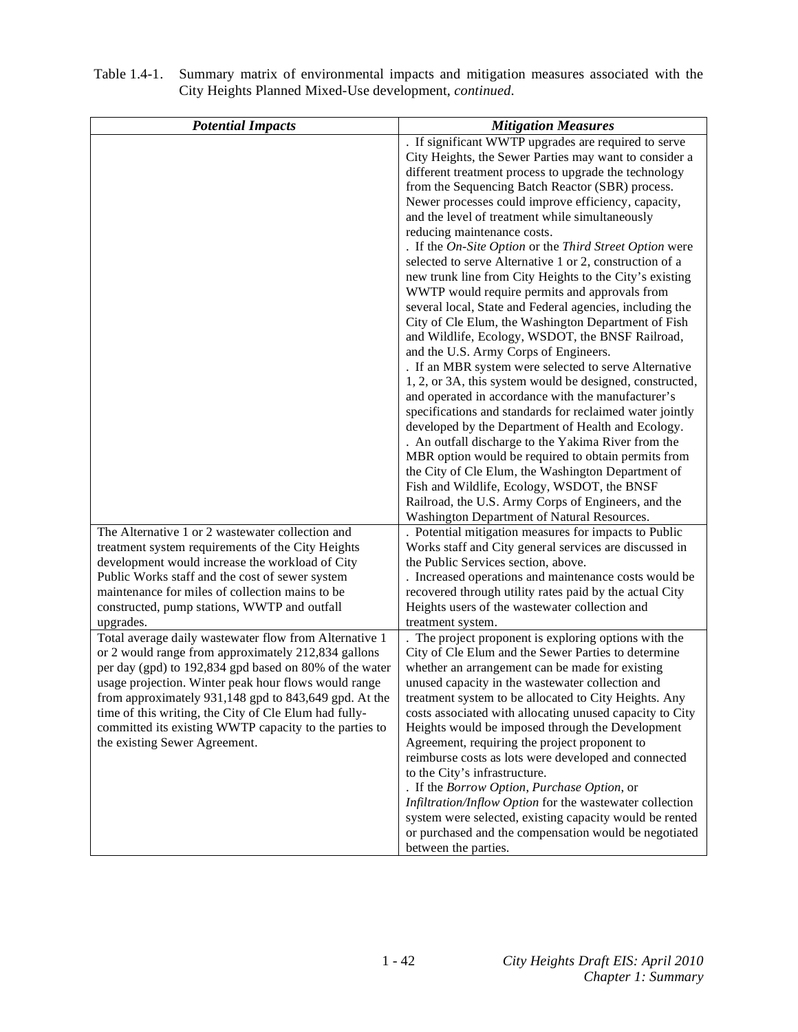| <b>Potential Impacts</b>                                                                                           | <b>Mitigation Measures</b>                                                                                                               |
|--------------------------------------------------------------------------------------------------------------------|------------------------------------------------------------------------------------------------------------------------------------------|
|                                                                                                                    | . If significant WWTP upgrades are required to serve                                                                                     |
|                                                                                                                    | City Heights, the Sewer Parties may want to consider a                                                                                   |
|                                                                                                                    | different treatment process to upgrade the technology                                                                                    |
|                                                                                                                    | from the Sequencing Batch Reactor (SBR) process.                                                                                         |
|                                                                                                                    | Newer processes could improve efficiency, capacity,                                                                                      |
|                                                                                                                    | and the level of treatment while simultaneously                                                                                          |
|                                                                                                                    | reducing maintenance costs.                                                                                                              |
|                                                                                                                    | . If the On-Site Option or the Third Street Option were                                                                                  |
|                                                                                                                    | selected to serve Alternative 1 or 2, construction of a                                                                                  |
|                                                                                                                    | new trunk line from City Heights to the City's existing                                                                                  |
|                                                                                                                    | WWTP would require permits and approvals from                                                                                            |
|                                                                                                                    | several local, State and Federal agencies, including the                                                                                 |
|                                                                                                                    | City of Cle Elum, the Washington Department of Fish                                                                                      |
|                                                                                                                    | and Wildlife, Ecology, WSDOT, the BNSF Railroad,                                                                                         |
|                                                                                                                    | and the U.S. Army Corps of Engineers.                                                                                                    |
|                                                                                                                    | . If an MBR system were selected to serve Alternative                                                                                    |
|                                                                                                                    | 1, 2, or 3A, this system would be designed, constructed,                                                                                 |
|                                                                                                                    | and operated in accordance with the manufacturer's                                                                                       |
|                                                                                                                    | specifications and standards for reclaimed water jointly                                                                                 |
|                                                                                                                    | developed by the Department of Health and Ecology.                                                                                       |
|                                                                                                                    | . An outfall discharge to the Yakima River from the                                                                                      |
|                                                                                                                    | MBR option would be required to obtain permits from                                                                                      |
|                                                                                                                    | the City of Cle Elum, the Washington Department of                                                                                       |
|                                                                                                                    | Fish and Wildlife, Ecology, WSDOT, the BNSF                                                                                              |
|                                                                                                                    | Railroad, the U.S. Army Corps of Engineers, and the                                                                                      |
|                                                                                                                    | Washington Department of Natural Resources.                                                                                              |
| The Alternative 1 or 2 wastewater collection and                                                                   | . Potential mitigation measures for impacts to Public                                                                                    |
| treatment system requirements of the City Heights                                                                  | Works staff and City general services are discussed in                                                                                   |
| development would increase the workload of City                                                                    | the Public Services section, above.                                                                                                      |
| Public Works staff and the cost of sewer system                                                                    | . Increased operations and maintenance costs would be                                                                                    |
| maintenance for miles of collection mains to be                                                                    | recovered through utility rates paid by the actual City                                                                                  |
| constructed, pump stations, WWTP and outfall                                                                       | Heights users of the wastewater collection and                                                                                           |
| upgrades.                                                                                                          | treatment system.                                                                                                                        |
| Total average daily wastewater flow from Alternative 1<br>or 2 would range from approximately 212,834 gallons      | The project proponent is exploring options with the                                                                                      |
| per day (gpd) to 192,834 gpd based on 80% of the water                                                             | City of Cle Elum and the Sewer Parties to determine<br>whether an arrangement can be made for existing                                   |
| usage projection. Winter peak hour flows would range                                                               | unused capacity in the wastewater collection and                                                                                         |
|                                                                                                                    | treatment system to be allocated to City Heights. Any                                                                                    |
| from approximately $931,148$ gpd to $843,649$ gpd. At the<br>time of this writing, the City of Cle Elum had fully- | costs associated with allocating unused capacity to City                                                                                 |
| committed its existing WWTP capacity to the parties to                                                             | Heights would be imposed through the Development                                                                                         |
| the existing Sewer Agreement.                                                                                      | Agreement, requiring the project proponent to                                                                                            |
|                                                                                                                    | reimburse costs as lots were developed and connected                                                                                     |
|                                                                                                                    | to the City's infrastructure.                                                                                                            |
|                                                                                                                    | . If the Borrow Option, Purchase Option, or                                                                                              |
|                                                                                                                    | Infiltration/Inflow Option for the wastewater collection                                                                                 |
|                                                                                                                    |                                                                                                                                          |
|                                                                                                                    |                                                                                                                                          |
|                                                                                                                    |                                                                                                                                          |
|                                                                                                                    | system were selected, existing capacity would be rented<br>or purchased and the compensation would be negotiated<br>between the parties. |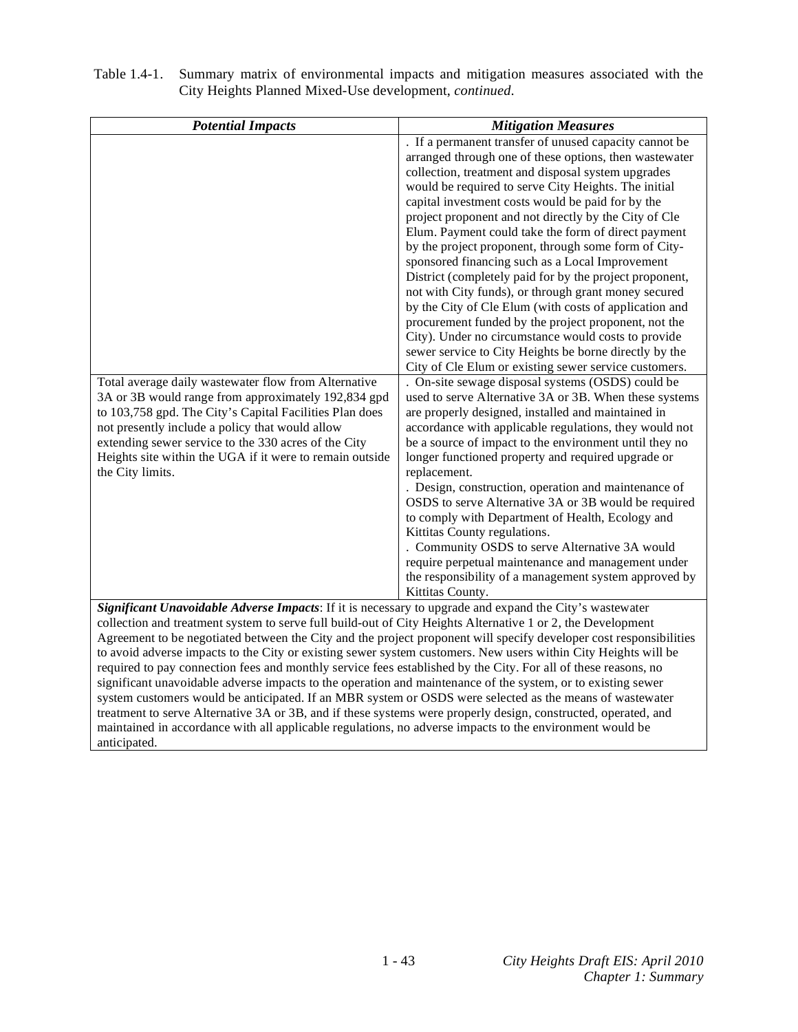| <b>Potential Impacts</b>                                                                                                                                                                                                                                                                                                                                                                                                                                                                                                                                                                                                                                                                                                                                                                                                                                                                                                                                                                                                                                   | <b>Mitigation Measures</b>                                                                                                                                                                                                                                                                                                                                                                                                                                                                                                                                                                                                                                                                                                                                                                                                                                           |
|------------------------------------------------------------------------------------------------------------------------------------------------------------------------------------------------------------------------------------------------------------------------------------------------------------------------------------------------------------------------------------------------------------------------------------------------------------------------------------------------------------------------------------------------------------------------------------------------------------------------------------------------------------------------------------------------------------------------------------------------------------------------------------------------------------------------------------------------------------------------------------------------------------------------------------------------------------------------------------------------------------------------------------------------------------|----------------------------------------------------------------------------------------------------------------------------------------------------------------------------------------------------------------------------------------------------------------------------------------------------------------------------------------------------------------------------------------------------------------------------------------------------------------------------------------------------------------------------------------------------------------------------------------------------------------------------------------------------------------------------------------------------------------------------------------------------------------------------------------------------------------------------------------------------------------------|
|                                                                                                                                                                                                                                                                                                                                                                                                                                                                                                                                                                                                                                                                                                                                                                                                                                                                                                                                                                                                                                                            | . If a permanent transfer of unused capacity cannot be<br>arranged through one of these options, then wastewater<br>collection, treatment and disposal system upgrades<br>would be required to serve City Heights. The initial<br>capital investment costs would be paid for by the<br>project proponent and not directly by the City of Cle<br>Elum. Payment could take the form of direct payment<br>by the project proponent, through some form of City-<br>sponsored financing such as a Local Improvement<br>District (completely paid for by the project proponent,<br>not with City funds), or through grant money secured<br>by the City of Cle Elum (with costs of application and<br>procurement funded by the project proponent, not the<br>City). Under no circumstance would costs to provide<br>sewer service to City Heights be borne directly by the |
|                                                                                                                                                                                                                                                                                                                                                                                                                                                                                                                                                                                                                                                                                                                                                                                                                                                                                                                                                                                                                                                            | City of Cle Elum or existing sewer service customers.                                                                                                                                                                                                                                                                                                                                                                                                                                                                                                                                                                                                                                                                                                                                                                                                                |
| Total average daily wastewater flow from Alternative<br>3A or 3B would range from approximately 192,834 gpd<br>to 103,758 gpd. The City's Capital Facilities Plan does<br>not presently include a policy that would allow<br>extending sewer service to the 330 acres of the City<br>Heights site within the UGA if it were to remain outside<br>the City limits.                                                                                                                                                                                                                                                                                                                                                                                                                                                                                                                                                                                                                                                                                          | . On-site sewage disposal systems (OSDS) could be<br>used to serve Alternative 3A or 3B. When these systems<br>are properly designed, installed and maintained in<br>accordance with applicable regulations, they would not<br>be a source of impact to the environment until they no<br>longer functioned property and required upgrade or<br>replacement.<br>. Design, construction, operation and maintenance of<br>OSDS to serve Alternative 3A or 3B would be required<br>to comply with Department of Health, Ecology and<br>Kittitas County regulations.<br>. Community OSDS to serve Alternative 3A would<br>require perpetual maintenance and management under<br>the responsibility of a management system approved by<br>Kittitas County.                                                                                                                 |
| Significant Unavoidable Adverse Impacts: If it is necessary to upgrade and expand the City's wastewater<br>collection and treatment system to serve full build-out of City Heights Alternative 1 or 2, the Development<br>Agreement to be negotiated between the City and the project proponent will specify developer cost responsibilities<br>to avoid adverse impacts to the City or existing sewer system customers. New users within City Heights will be<br>required to pay connection fees and monthly service fees established by the City. For all of these reasons, no<br>significant unavoidable adverse impacts to the operation and maintenance of the system, or to existing sewer<br>system customers would be anticipated. If an MBR system or OSDS were selected as the means of wastewater<br>treatment to serve Alternative 3A or 3B, and if these systems were properly design, constructed, operated, and<br>maintained in accordance with all applicable regulations, no adverse impacts to the environment would be<br>anticipated. |                                                                                                                                                                                                                                                                                                                                                                                                                                                                                                                                                                                                                                                                                                                                                                                                                                                                      |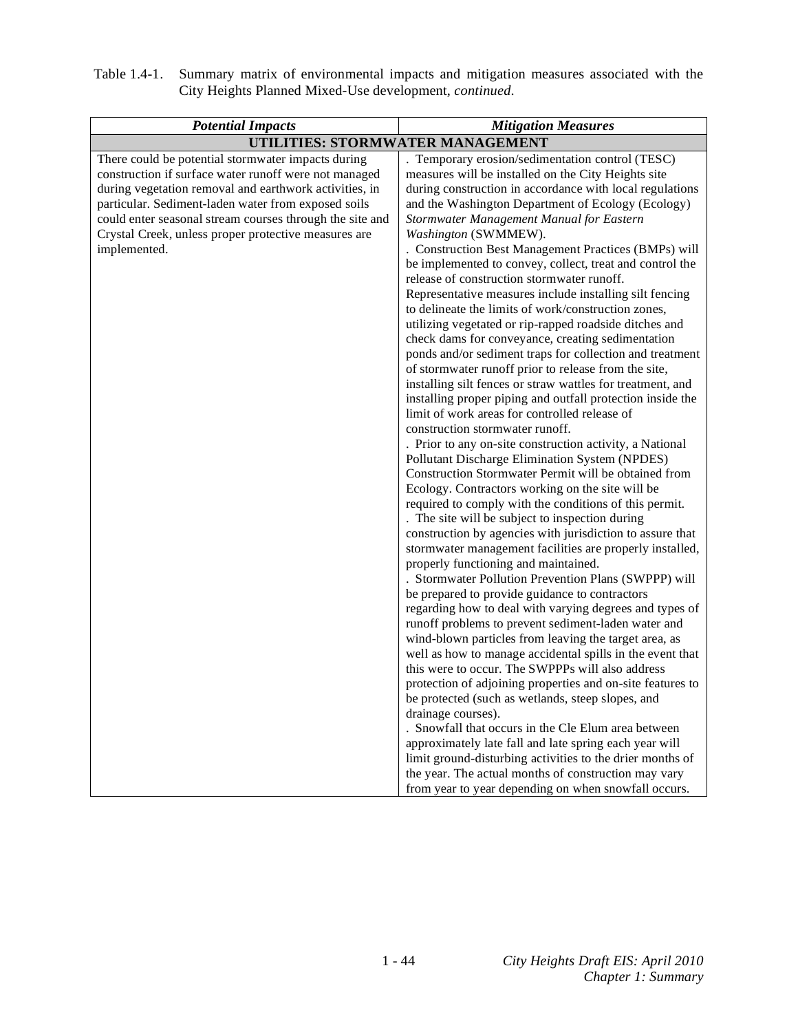| <b>Potential Impacts</b><br><b>Mitigation Measures</b><br>UTILITIES: STORMWATER MANAGEMENT<br>Temporary erosion/sedimentation control (TESC)<br>There could be potential stormwater impacts during<br>construction if surface water runoff were not managed<br>measures will be installed on the City Heights site<br>during construction in accordance with local regulations<br>during vegetation removal and earthwork activities, in<br>and the Washington Department of Ecology (Ecology)<br>particular. Sediment-laden water from exposed soils<br>Stormwater Management Manual for Eastern<br>could enter seasonal stream courses through the site and<br>Crystal Creek, unless proper protective measures are<br>Washington (SWMMEW).<br>. Construction Best Management Practices (BMPs) will<br>implemented.<br>be implemented to convey, collect, treat and control the<br>release of construction stormwater runoff.<br>Representative measures include installing silt fencing<br>to delineate the limits of work/construction zones,<br>utilizing vegetated or rip-rapped roadside ditches and<br>check dams for conveyance, creating sedimentation<br>ponds and/or sediment traps for collection and treatment<br>of stormwater runoff prior to release from the site,<br>installing silt fences or straw wattles for treatment, and<br>installing proper piping and outfall protection inside the<br>limit of work areas for controlled release of<br>construction stormwater runoff.<br>. Prior to any on-site construction activity, a National<br>Pollutant Discharge Elimination System (NPDES)<br>Construction Stormwater Permit will be obtained from<br>Ecology. Contractors working on the site will be<br>required to comply with the conditions of this permit.<br>. The site will be subject to inspection during<br>construction by agencies with jurisdiction to assure that |
|----------------------------------------------------------------------------------------------------------------------------------------------------------------------------------------------------------------------------------------------------------------------------------------------------------------------------------------------------------------------------------------------------------------------------------------------------------------------------------------------------------------------------------------------------------------------------------------------------------------------------------------------------------------------------------------------------------------------------------------------------------------------------------------------------------------------------------------------------------------------------------------------------------------------------------------------------------------------------------------------------------------------------------------------------------------------------------------------------------------------------------------------------------------------------------------------------------------------------------------------------------------------------------------------------------------------------------------------------------------------------------------------------------------------------------------------------------------------------------------------------------------------------------------------------------------------------------------------------------------------------------------------------------------------------------------------------------------------------------------------------------------------------------------------------------------------------------------------------------------------------------------------------------|
|                                                                                                                                                                                                                                                                                                                                                                                                                                                                                                                                                                                                                                                                                                                                                                                                                                                                                                                                                                                                                                                                                                                                                                                                                                                                                                                                                                                                                                                                                                                                                                                                                                                                                                                                                                                                                                                                                                          |
|                                                                                                                                                                                                                                                                                                                                                                                                                                                                                                                                                                                                                                                                                                                                                                                                                                                                                                                                                                                                                                                                                                                                                                                                                                                                                                                                                                                                                                                                                                                                                                                                                                                                                                                                                                                                                                                                                                          |
|                                                                                                                                                                                                                                                                                                                                                                                                                                                                                                                                                                                                                                                                                                                                                                                                                                                                                                                                                                                                                                                                                                                                                                                                                                                                                                                                                                                                                                                                                                                                                                                                                                                                                                                                                                                                                                                                                                          |
|                                                                                                                                                                                                                                                                                                                                                                                                                                                                                                                                                                                                                                                                                                                                                                                                                                                                                                                                                                                                                                                                                                                                                                                                                                                                                                                                                                                                                                                                                                                                                                                                                                                                                                                                                                                                                                                                                                          |
|                                                                                                                                                                                                                                                                                                                                                                                                                                                                                                                                                                                                                                                                                                                                                                                                                                                                                                                                                                                                                                                                                                                                                                                                                                                                                                                                                                                                                                                                                                                                                                                                                                                                                                                                                                                                                                                                                                          |
|                                                                                                                                                                                                                                                                                                                                                                                                                                                                                                                                                                                                                                                                                                                                                                                                                                                                                                                                                                                                                                                                                                                                                                                                                                                                                                                                                                                                                                                                                                                                                                                                                                                                                                                                                                                                                                                                                                          |
|                                                                                                                                                                                                                                                                                                                                                                                                                                                                                                                                                                                                                                                                                                                                                                                                                                                                                                                                                                                                                                                                                                                                                                                                                                                                                                                                                                                                                                                                                                                                                                                                                                                                                                                                                                                                                                                                                                          |
|                                                                                                                                                                                                                                                                                                                                                                                                                                                                                                                                                                                                                                                                                                                                                                                                                                                                                                                                                                                                                                                                                                                                                                                                                                                                                                                                                                                                                                                                                                                                                                                                                                                                                                                                                                                                                                                                                                          |
|                                                                                                                                                                                                                                                                                                                                                                                                                                                                                                                                                                                                                                                                                                                                                                                                                                                                                                                                                                                                                                                                                                                                                                                                                                                                                                                                                                                                                                                                                                                                                                                                                                                                                                                                                                                                                                                                                                          |
|                                                                                                                                                                                                                                                                                                                                                                                                                                                                                                                                                                                                                                                                                                                                                                                                                                                                                                                                                                                                                                                                                                                                                                                                                                                                                                                                                                                                                                                                                                                                                                                                                                                                                                                                                                                                                                                                                                          |
|                                                                                                                                                                                                                                                                                                                                                                                                                                                                                                                                                                                                                                                                                                                                                                                                                                                                                                                                                                                                                                                                                                                                                                                                                                                                                                                                                                                                                                                                                                                                                                                                                                                                                                                                                                                                                                                                                                          |
|                                                                                                                                                                                                                                                                                                                                                                                                                                                                                                                                                                                                                                                                                                                                                                                                                                                                                                                                                                                                                                                                                                                                                                                                                                                                                                                                                                                                                                                                                                                                                                                                                                                                                                                                                                                                                                                                                                          |
|                                                                                                                                                                                                                                                                                                                                                                                                                                                                                                                                                                                                                                                                                                                                                                                                                                                                                                                                                                                                                                                                                                                                                                                                                                                                                                                                                                                                                                                                                                                                                                                                                                                                                                                                                                                                                                                                                                          |
|                                                                                                                                                                                                                                                                                                                                                                                                                                                                                                                                                                                                                                                                                                                                                                                                                                                                                                                                                                                                                                                                                                                                                                                                                                                                                                                                                                                                                                                                                                                                                                                                                                                                                                                                                                                                                                                                                                          |
|                                                                                                                                                                                                                                                                                                                                                                                                                                                                                                                                                                                                                                                                                                                                                                                                                                                                                                                                                                                                                                                                                                                                                                                                                                                                                                                                                                                                                                                                                                                                                                                                                                                                                                                                                                                                                                                                                                          |
|                                                                                                                                                                                                                                                                                                                                                                                                                                                                                                                                                                                                                                                                                                                                                                                                                                                                                                                                                                                                                                                                                                                                                                                                                                                                                                                                                                                                                                                                                                                                                                                                                                                                                                                                                                                                                                                                                                          |
|                                                                                                                                                                                                                                                                                                                                                                                                                                                                                                                                                                                                                                                                                                                                                                                                                                                                                                                                                                                                                                                                                                                                                                                                                                                                                                                                                                                                                                                                                                                                                                                                                                                                                                                                                                                                                                                                                                          |
|                                                                                                                                                                                                                                                                                                                                                                                                                                                                                                                                                                                                                                                                                                                                                                                                                                                                                                                                                                                                                                                                                                                                                                                                                                                                                                                                                                                                                                                                                                                                                                                                                                                                                                                                                                                                                                                                                                          |
|                                                                                                                                                                                                                                                                                                                                                                                                                                                                                                                                                                                                                                                                                                                                                                                                                                                                                                                                                                                                                                                                                                                                                                                                                                                                                                                                                                                                                                                                                                                                                                                                                                                                                                                                                                                                                                                                                                          |
|                                                                                                                                                                                                                                                                                                                                                                                                                                                                                                                                                                                                                                                                                                                                                                                                                                                                                                                                                                                                                                                                                                                                                                                                                                                                                                                                                                                                                                                                                                                                                                                                                                                                                                                                                                                                                                                                                                          |
|                                                                                                                                                                                                                                                                                                                                                                                                                                                                                                                                                                                                                                                                                                                                                                                                                                                                                                                                                                                                                                                                                                                                                                                                                                                                                                                                                                                                                                                                                                                                                                                                                                                                                                                                                                                                                                                                                                          |
|                                                                                                                                                                                                                                                                                                                                                                                                                                                                                                                                                                                                                                                                                                                                                                                                                                                                                                                                                                                                                                                                                                                                                                                                                                                                                                                                                                                                                                                                                                                                                                                                                                                                                                                                                                                                                                                                                                          |
|                                                                                                                                                                                                                                                                                                                                                                                                                                                                                                                                                                                                                                                                                                                                                                                                                                                                                                                                                                                                                                                                                                                                                                                                                                                                                                                                                                                                                                                                                                                                                                                                                                                                                                                                                                                                                                                                                                          |
|                                                                                                                                                                                                                                                                                                                                                                                                                                                                                                                                                                                                                                                                                                                                                                                                                                                                                                                                                                                                                                                                                                                                                                                                                                                                                                                                                                                                                                                                                                                                                                                                                                                                                                                                                                                                                                                                                                          |
|                                                                                                                                                                                                                                                                                                                                                                                                                                                                                                                                                                                                                                                                                                                                                                                                                                                                                                                                                                                                                                                                                                                                                                                                                                                                                                                                                                                                                                                                                                                                                                                                                                                                                                                                                                                                                                                                                                          |
|                                                                                                                                                                                                                                                                                                                                                                                                                                                                                                                                                                                                                                                                                                                                                                                                                                                                                                                                                                                                                                                                                                                                                                                                                                                                                                                                                                                                                                                                                                                                                                                                                                                                                                                                                                                                                                                                                                          |
|                                                                                                                                                                                                                                                                                                                                                                                                                                                                                                                                                                                                                                                                                                                                                                                                                                                                                                                                                                                                                                                                                                                                                                                                                                                                                                                                                                                                                                                                                                                                                                                                                                                                                                                                                                                                                                                                                                          |
| stormwater management facilities are properly installed,                                                                                                                                                                                                                                                                                                                                                                                                                                                                                                                                                                                                                                                                                                                                                                                                                                                                                                                                                                                                                                                                                                                                                                                                                                                                                                                                                                                                                                                                                                                                                                                                                                                                                                                                                                                                                                                 |
| properly functioning and maintained.                                                                                                                                                                                                                                                                                                                                                                                                                                                                                                                                                                                                                                                                                                                                                                                                                                                                                                                                                                                                                                                                                                                                                                                                                                                                                                                                                                                                                                                                                                                                                                                                                                                                                                                                                                                                                                                                     |
| . Stormwater Pollution Prevention Plans (SWPPP) will                                                                                                                                                                                                                                                                                                                                                                                                                                                                                                                                                                                                                                                                                                                                                                                                                                                                                                                                                                                                                                                                                                                                                                                                                                                                                                                                                                                                                                                                                                                                                                                                                                                                                                                                                                                                                                                     |
| be prepared to provide guidance to contractors                                                                                                                                                                                                                                                                                                                                                                                                                                                                                                                                                                                                                                                                                                                                                                                                                                                                                                                                                                                                                                                                                                                                                                                                                                                                                                                                                                                                                                                                                                                                                                                                                                                                                                                                                                                                                                                           |
| regarding how to deal with varying degrees and types of                                                                                                                                                                                                                                                                                                                                                                                                                                                                                                                                                                                                                                                                                                                                                                                                                                                                                                                                                                                                                                                                                                                                                                                                                                                                                                                                                                                                                                                                                                                                                                                                                                                                                                                                                                                                                                                  |
| runoff problems to prevent sediment-laden water and                                                                                                                                                                                                                                                                                                                                                                                                                                                                                                                                                                                                                                                                                                                                                                                                                                                                                                                                                                                                                                                                                                                                                                                                                                                                                                                                                                                                                                                                                                                                                                                                                                                                                                                                                                                                                                                      |
| wind-blown particles from leaving the target area, as                                                                                                                                                                                                                                                                                                                                                                                                                                                                                                                                                                                                                                                                                                                                                                                                                                                                                                                                                                                                                                                                                                                                                                                                                                                                                                                                                                                                                                                                                                                                                                                                                                                                                                                                                                                                                                                    |
| well as how to manage accidental spills in the event that                                                                                                                                                                                                                                                                                                                                                                                                                                                                                                                                                                                                                                                                                                                                                                                                                                                                                                                                                                                                                                                                                                                                                                                                                                                                                                                                                                                                                                                                                                                                                                                                                                                                                                                                                                                                                                                |
| this were to occur. The SWPPPs will also address                                                                                                                                                                                                                                                                                                                                                                                                                                                                                                                                                                                                                                                                                                                                                                                                                                                                                                                                                                                                                                                                                                                                                                                                                                                                                                                                                                                                                                                                                                                                                                                                                                                                                                                                                                                                                                                         |
| protection of adjoining properties and on-site features to                                                                                                                                                                                                                                                                                                                                                                                                                                                                                                                                                                                                                                                                                                                                                                                                                                                                                                                                                                                                                                                                                                                                                                                                                                                                                                                                                                                                                                                                                                                                                                                                                                                                                                                                                                                                                                               |
| be protected (such as wetlands, steep slopes, and                                                                                                                                                                                                                                                                                                                                                                                                                                                                                                                                                                                                                                                                                                                                                                                                                                                                                                                                                                                                                                                                                                                                                                                                                                                                                                                                                                                                                                                                                                                                                                                                                                                                                                                                                                                                                                                        |
| drainage courses).<br>. Snowfall that occurs in the Cle Elum area between                                                                                                                                                                                                                                                                                                                                                                                                                                                                                                                                                                                                                                                                                                                                                                                                                                                                                                                                                                                                                                                                                                                                                                                                                                                                                                                                                                                                                                                                                                                                                                                                                                                                                                                                                                                                                                |
| approximately late fall and late spring each year will                                                                                                                                                                                                                                                                                                                                                                                                                                                                                                                                                                                                                                                                                                                                                                                                                                                                                                                                                                                                                                                                                                                                                                                                                                                                                                                                                                                                                                                                                                                                                                                                                                                                                                                                                                                                                                                   |
| limit ground-disturbing activities to the drier months of                                                                                                                                                                                                                                                                                                                                                                                                                                                                                                                                                                                                                                                                                                                                                                                                                                                                                                                                                                                                                                                                                                                                                                                                                                                                                                                                                                                                                                                                                                                                                                                                                                                                                                                                                                                                                                                |
| the year. The actual months of construction may vary                                                                                                                                                                                                                                                                                                                                                                                                                                                                                                                                                                                                                                                                                                                                                                                                                                                                                                                                                                                                                                                                                                                                                                                                                                                                                                                                                                                                                                                                                                                                                                                                                                                                                                                                                                                                                                                     |
| from year to year depending on when snowfall occurs.                                                                                                                                                                                                                                                                                                                                                                                                                                                                                                                                                                                                                                                                                                                                                                                                                                                                                                                                                                                                                                                                                                                                                                                                                                                                                                                                                                                                                                                                                                                                                                                                                                                                                                                                                                                                                                                     |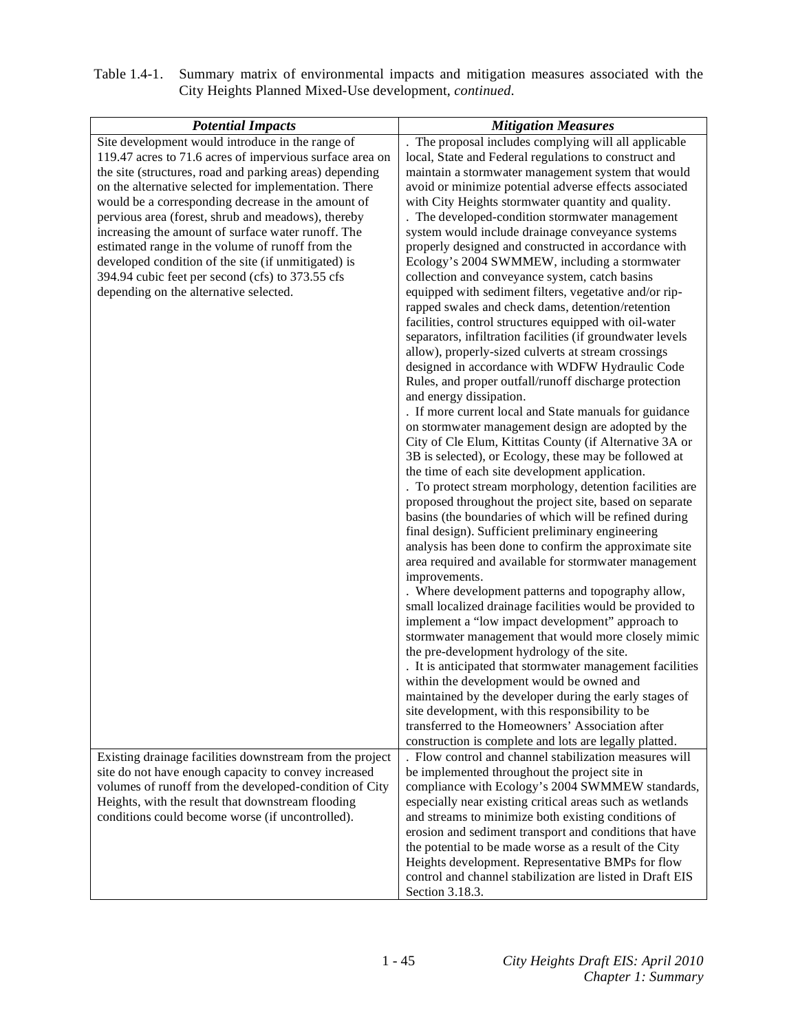| Table 1.4-1. Summary matrix of environmental impacts and mitigation measures associated with the |
|--------------------------------------------------------------------------------------------------|
| City Heights Planned Mixed-Use development, <i>continued</i> .                                   |

| <b>Potential Impacts</b>                                 | <b>Mitigation Measures</b>                                                                                    |
|----------------------------------------------------------|---------------------------------------------------------------------------------------------------------------|
| Site development would introduce in the range of         | The proposal includes complying will all applicable                                                           |
| 119.47 acres to 71.6 acres of impervious surface area on | local, State and Federal regulations to construct and                                                         |
| the site (structures, road and parking areas) depending  | maintain a stormwater management system that would                                                            |
| on the alternative selected for implementation. There    | avoid or minimize potential adverse effects associated                                                        |
| would be a corresponding decrease in the amount of       | with City Heights stormwater quantity and quality.                                                            |
| pervious area (forest, shrub and meadows), thereby       | . The developed-condition stormwater management                                                               |
| increasing the amount of surface water runoff. The       | system would include drainage conveyance systems                                                              |
| estimated range in the volume of runoff from the         | properly designed and constructed in accordance with                                                          |
| developed condition of the site (if unmitigated) is      | Ecology's 2004 SWMMEW, including a stormwater                                                                 |
| 394.94 cubic feet per second (cfs) to 373.55 cfs         | collection and conveyance system, catch basins                                                                |
| depending on the alternative selected.                   | equipped with sediment filters, vegetative and/or rip-                                                        |
|                                                          | rapped swales and check dams, detention/retention                                                             |
|                                                          | facilities, control structures equipped with oil-water                                                        |
|                                                          | separators, infiltration facilities (if groundwater levels                                                    |
|                                                          | allow), properly-sized culverts at stream crossings                                                           |
|                                                          | designed in accordance with WDFW Hydraulic Code                                                               |
|                                                          | Rules, and proper outfall/runoff discharge protection                                                         |
|                                                          | and energy dissipation.                                                                                       |
|                                                          | . If more current local and State manuals for guidance                                                        |
|                                                          | on stormwater management design are adopted by the<br>City of Cle Elum, Kittitas County (if Alternative 3A or |
|                                                          | 3B is selected), or Ecology, these may be followed at                                                         |
|                                                          | the time of each site development application.                                                                |
|                                                          | . To protect stream morphology, detention facilities are                                                      |
|                                                          | proposed throughout the project site, based on separate                                                       |
|                                                          | basins (the boundaries of which will be refined during                                                        |
|                                                          | final design). Sufficient preliminary engineering                                                             |
|                                                          | analysis has been done to confirm the approximate site                                                        |
|                                                          | area required and available for stormwater management                                                         |
|                                                          | improvements.                                                                                                 |
|                                                          | . Where development patterns and topography allow,                                                            |
|                                                          | small localized drainage facilities would be provided to                                                      |
|                                                          | implement a "low impact development" approach to                                                              |
|                                                          | stormwater management that would more closely mimic                                                           |
|                                                          | the pre-development hydrology of the site.                                                                    |
|                                                          | . It is anticipated that stormwater management facilities                                                     |
|                                                          | within the development would be owned and<br>maintained by the developer during the early stages of           |
|                                                          | site development, with this responsibility to be                                                              |
|                                                          | transferred to the Homeowners' Association after                                                              |
|                                                          | construction is complete and lots are legally platted.                                                        |
| Existing drainage facilities downstream from the project | . Flow control and channel stabilization measures will                                                        |
| site do not have enough capacity to convey increased     | be implemented throughout the project site in                                                                 |
| volumes of runoff from the developed-condition of City   | compliance with Ecology's 2004 SWMMEW standards,                                                              |
| Heights, with the result that downstream flooding        | especially near existing critical areas such as wetlands                                                      |
| conditions could become worse (if uncontrolled).         | and streams to minimize both existing conditions of                                                           |
|                                                          | erosion and sediment transport and conditions that have                                                       |
|                                                          | the potential to be made worse as a result of the City                                                        |
|                                                          | Heights development. Representative BMPs for flow                                                             |
|                                                          | control and channel stabilization are listed in Draft EIS                                                     |
|                                                          | Section 3.18.3.                                                                                               |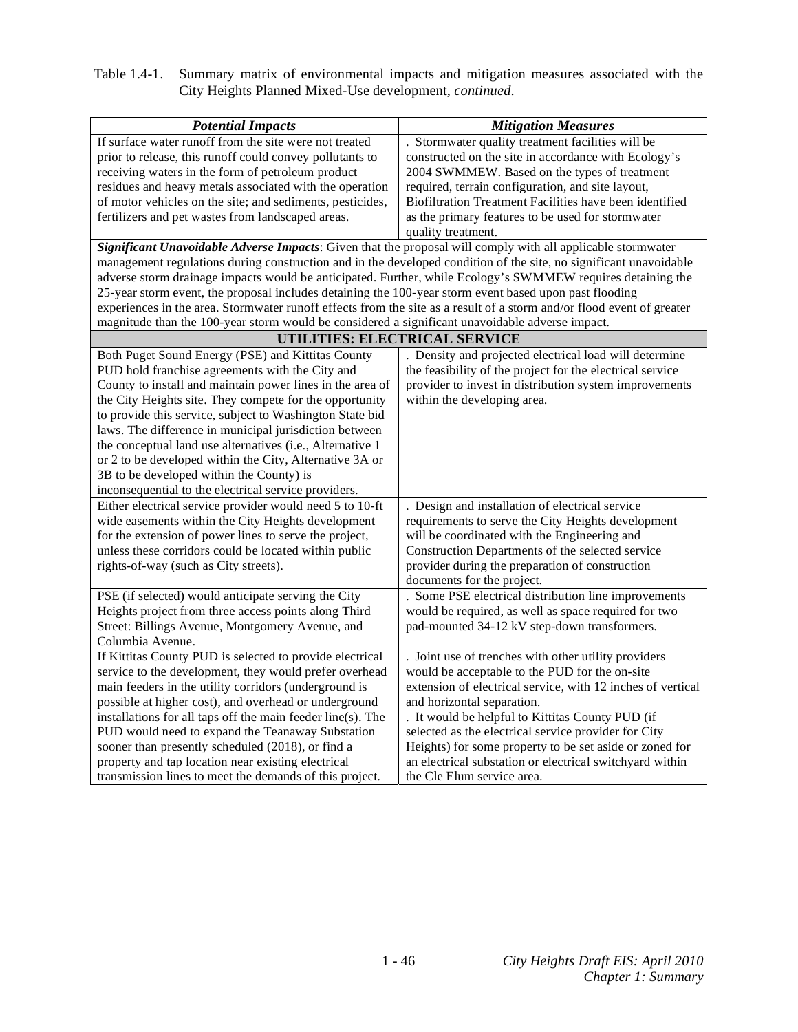| Table 1.4-1. Summary matrix of environmental impacts and mitigation measures associated with the |
|--------------------------------------------------------------------------------------------------|
| City Heights Planned Mixed-Use development, <i>continued</i> .                                   |

| <b>Potential Impacts</b>                                                                                              | <b>Mitigation Measures</b>                                  |
|-----------------------------------------------------------------------------------------------------------------------|-------------------------------------------------------------|
| If surface water runoff from the site were not treated                                                                | Stormwater quality treatment facilities will be             |
| prior to release, this runoff could convey pollutants to                                                              | constructed on the site in accordance with Ecology's        |
| receiving waters in the form of petroleum product                                                                     | 2004 SWMMEW. Based on the types of treatment                |
| residues and heavy metals associated with the operation                                                               | required, terrain configuration, and site layout,           |
| of motor vehicles on the site; and sediments, pesticides,                                                             | Biofiltration Treatment Facilities have been identified     |
| fertilizers and pet wastes from landscaped areas.                                                                     | as the primary features to be used for stormwater           |
|                                                                                                                       | quality treatment.                                          |
| Significant Unavoidable Adverse Impacts: Given that the proposal will comply with all applicable stormwater           |                                                             |
| management regulations during construction and in the developed condition of the site, no significant unavoidable     |                                                             |
| adverse storm drainage impacts would be anticipated. Further, while Ecology's SWMMEW requires detaining the           |                                                             |
| 25-year storm event, the proposal includes detaining the 100-year storm event based upon past flooding                |                                                             |
| experiences in the area. Stormwater runoff effects from the site as a result of a storm and/or flood event of greater |                                                             |
| magnitude than the 100-year storm would be considered a significant unavoidable adverse impact.                       |                                                             |
|                                                                                                                       | UTILITIES: ELECTRICAL SERVICE                               |
| Both Puget Sound Energy (PSE) and Kittitas County                                                                     | . Density and projected electrical load will determine      |
| PUD hold franchise agreements with the City and                                                                       | the feasibility of the project for the electrical service   |
| County to install and maintain power lines in the area of                                                             | provider to invest in distribution system improvements      |
| the City Heights site. They compete for the opportunity                                                               | within the developing area.                                 |
| to provide this service, subject to Washington State bid                                                              |                                                             |
| laws. The difference in municipal jurisdiction between                                                                |                                                             |
| the conceptual land use alternatives (i.e., Alternative 1                                                             |                                                             |
| or 2 to be developed within the City, Alternative 3A or                                                               |                                                             |
| 3B to be developed within the County) is                                                                              |                                                             |
| inconsequential to the electrical service providers.                                                                  |                                                             |
| Either electrical service provider would need 5 to 10-ft                                                              | . Design and installation of electrical service             |
| wide easements within the City Heights development                                                                    | requirements to serve the City Heights development          |
| for the extension of power lines to serve the project,                                                                | will be coordinated with the Engineering and                |
| unless these corridors could be located within public                                                                 | Construction Departments of the selected service            |
| rights-of-way (such as City streets).                                                                                 | provider during the preparation of construction             |
|                                                                                                                       | documents for the project.                                  |
| PSE (if selected) would anticipate serving the City                                                                   | . Some PSE electrical distribution line improvements        |
| Heights project from three access points along Third                                                                  | would be required, as well as space required for two        |
| Street: Billings Avenue, Montgomery Avenue, and                                                                       | pad-mounted 34-12 kV step-down transformers.                |
| Columbia Avenue.                                                                                                      |                                                             |
| If Kittitas County PUD is selected to provide electrical                                                              | Joint use of trenches with other utility providers          |
| service to the development, they would prefer overhead                                                                | would be acceptable to the PUD for the on-site              |
| main feeders in the utility corridors (underground is                                                                 | extension of electrical service, with 12 inches of vertical |
| possible at higher cost), and overhead or underground                                                                 | and horizontal separation.                                  |
| installations for all taps off the main feeder line(s). The                                                           | . It would be helpful to Kittitas County PUD (if            |
| PUD would need to expand the Teanaway Substation                                                                      | selected as the electrical service provider for City        |
| sooner than presently scheduled (2018), or find a                                                                     | Heights) for some property to be set aside or zoned for     |
| property and tap location near existing electrical                                                                    | an electrical substation or electrical switchyard within    |
| transmission lines to meet the demands of this project.                                                               | the Cle Elum service area.                                  |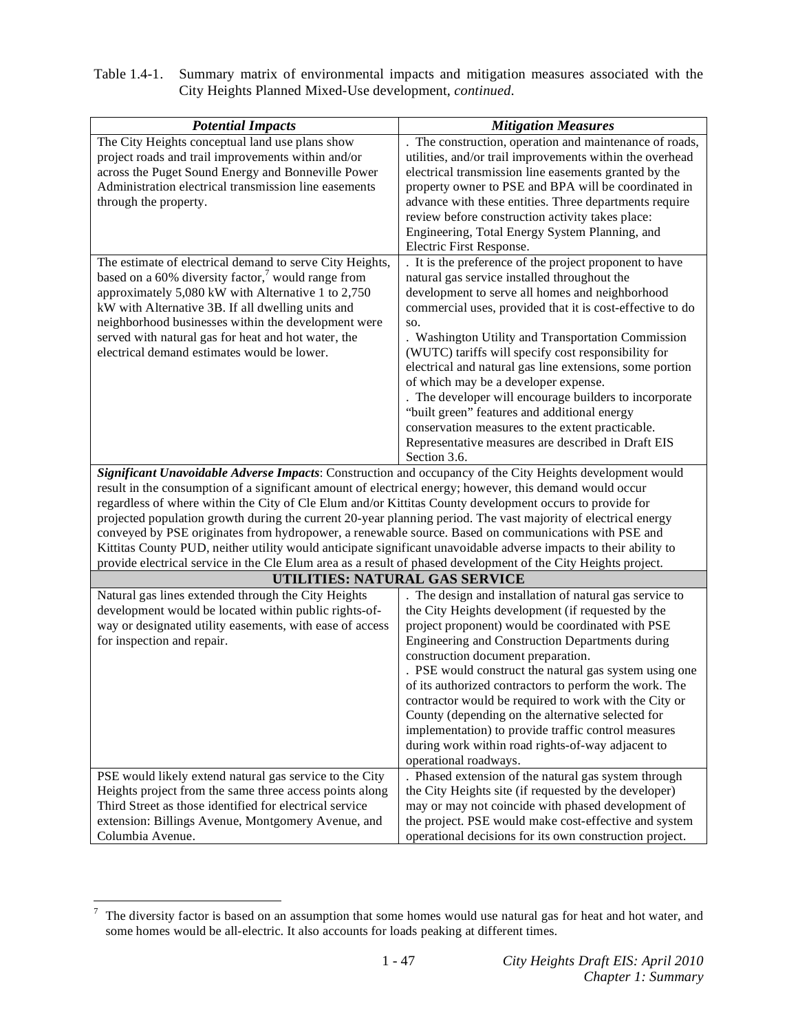| Table 1.4-1. Summary matrix of environmental impacts and mitigation measures associated with the |
|--------------------------------------------------------------------------------------------------|
| City Heights Planned Mixed-Use development, <i>continued</i> .                                   |

| <b>Potential Impacts</b>                                                                                                   | <b>Mitigation Measures</b>                                                                      |
|----------------------------------------------------------------------------------------------------------------------------|-------------------------------------------------------------------------------------------------|
| The City Heights conceptual land use plans show                                                                            | . The construction, operation and maintenance of roads,                                         |
| project roads and trail improvements within and/or                                                                         | utilities, and/or trail improvements within the overhead                                        |
| across the Puget Sound Energy and Bonneville Power                                                                         | electrical transmission line easements granted by the                                           |
| Administration electrical transmission line easements                                                                      | property owner to PSE and BPA will be coordinated in                                            |
| through the property.                                                                                                      | advance with these entities. Three departments require                                          |
|                                                                                                                            | review before construction activity takes place:                                                |
|                                                                                                                            | Engineering, Total Energy System Planning, and                                                  |
|                                                                                                                            | Electric First Response.                                                                        |
| The estimate of electrical demand to serve City Heights,<br>based on a 60% diversity factor, <sup>7</sup> would range from | . It is the preference of the project proponent to have                                         |
| approximately 5,080 kW with Alternative 1 to 2,750                                                                         | natural gas service installed throughout the<br>development to serve all homes and neighborhood |
| kW with Alternative 3B. If all dwelling units and                                                                          | commercial uses, provided that it is cost-effective to do                                       |
| neighborhood businesses within the development were                                                                        |                                                                                                 |
| served with natural gas for heat and hot water, the                                                                        | SO.<br>. Washington Utility and Transportation Commission                                       |
| electrical demand estimates would be lower.                                                                                | (WUTC) tariffs will specify cost responsibility for                                             |
|                                                                                                                            | electrical and natural gas line extensions, some portion                                        |
|                                                                                                                            | of which may be a developer expense.                                                            |
|                                                                                                                            | . The developer will encourage builders to incorporate                                          |
|                                                                                                                            | "built green" features and additional energy                                                    |
|                                                                                                                            | conservation measures to the extent practicable.                                                |
|                                                                                                                            | Representative measures are described in Draft EIS                                              |
|                                                                                                                            | Section 3.6.                                                                                    |
| Significant Unavoidable Adverse Impacts: Construction and occupancy of the City Heights development would                  |                                                                                                 |
| result in the consumption of a significant amount of electrical energy; however, this demand would occur                   |                                                                                                 |
| regardless of where within the City of Cle Elum and/or Kittitas County development occurs to provide for                   |                                                                                                 |
| projected population growth during the current 20-year planning period. The vast majority of electrical energy             |                                                                                                 |
| conveyed by PSE originates from hydropower, a renewable source. Based on communications with PSE and                       |                                                                                                 |
| Kittitas County PUD, neither utility would anticipate significant unavoidable adverse impacts to their ability to          |                                                                                                 |
| provide electrical service in the Cle Elum area as a result of phased development of the City Heights project.             |                                                                                                 |
|                                                                                                                            | UTILITIES: NATURAL GAS SERVICE                                                                  |
| Natural gas lines extended through the City Heights                                                                        | . The design and installation of natural gas service to                                         |
| development would be located within public rights-of-                                                                      | the City Heights development (if requested by the                                               |
| way or designated utility easements, with ease of access                                                                   | project proponent) would be coordinated with PSE                                                |
| for inspection and repair.                                                                                                 | Engineering and Construction Departments during                                                 |
|                                                                                                                            | construction document preparation.                                                              |
|                                                                                                                            | . PSE would construct the natural gas system using one                                          |
|                                                                                                                            | of its authorized contractors to perform the work. The                                          |
|                                                                                                                            | contractor would be required to work with the City or                                           |
|                                                                                                                            | County (depending on the alternative selected for                                               |
|                                                                                                                            | implementation) to provide traffic control measures                                             |
|                                                                                                                            | during work within road rights-of-way adjacent to                                               |
| PSE would likely extend natural gas service to the City                                                                    | operational roadways.<br>. Phased extension of the natural gas system through                   |
| Heights project from the same three access points along                                                                    | the City Heights site (if requested by the developer)                                           |
| Third Street as those identified for electrical service                                                                    | may or may not coincide with phased development of                                              |
| extension: Billings Avenue, Montgomery Avenue, and                                                                         | the project. PSE would make cost-effective and system                                           |
| Columbia Avenue.                                                                                                           | operational decisions for its own construction project.                                         |

<sup>&</sup>lt;sup>7</sup> The diversity factor is based on an assumption that some homes would use natural gas for heat and hot water, and some homes would be all-electric. It also accounts for loads peaking at different times.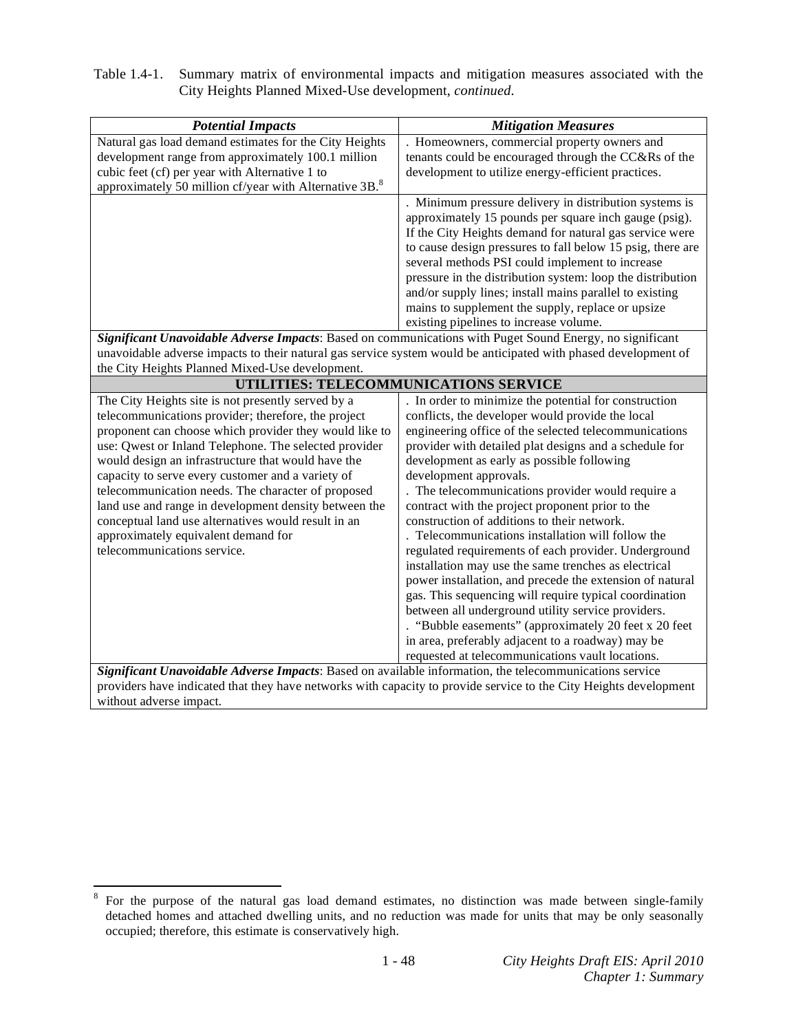| <b>Potential Impacts</b>                                                                                        | <b>Mitigation Measures</b>                                 |  |
|-----------------------------------------------------------------------------------------------------------------|------------------------------------------------------------|--|
| Natural gas load demand estimates for the City Heights                                                          | . Homeowners, commercial property owners and               |  |
| development range from approximately 100.1 million                                                              | tenants could be encouraged through the CC&Rs of the       |  |
| cubic feet (cf) per year with Alternative 1 to                                                                  | development to utilize energy-efficient practices.         |  |
| approximately 50 million cf/year with Alternative 3B. <sup>8</sup>                                              |                                                            |  |
|                                                                                                                 | . Minimum pressure delivery in distribution systems is     |  |
|                                                                                                                 | approximately 15 pounds per square inch gauge (psig).      |  |
|                                                                                                                 | If the City Heights demand for natural gas service were    |  |
|                                                                                                                 | to cause design pressures to fall below 15 psig, there are |  |
|                                                                                                                 | several methods PSI could implement to increase            |  |
|                                                                                                                 | pressure in the distribution system: loop the distribution |  |
|                                                                                                                 | and/or supply lines; install mains parallel to existing    |  |
|                                                                                                                 | mains to supplement the supply, replace or upsize          |  |
|                                                                                                                 | existing pipelines to increase volume.                     |  |
| Significant Unavoidable Adverse Impacts: Based on communications with Puget Sound Energy, no significant        |                                                            |  |
| unavoidable adverse impacts to their natural gas service system would be anticipated with phased development of |                                                            |  |
| the City Heights Planned Mixed-Use development.                                                                 |                                                            |  |
|                                                                                                                 | UTILITIES: TELECOMMUNICATIONS SERVICE                      |  |
| The City Heights site is not presently served by a                                                              | . In order to minimize the potential for construction      |  |
| telecommunications provider; therefore, the project                                                             | conflicts, the developer would provide the local           |  |
| proponent can choose which provider they would like to                                                          | engineering office of the selected telecommunications      |  |
| use: Qwest or Inland Telephone. The selected provider                                                           | provider with detailed plat designs and a schedule for     |  |
| would design an infrastructure that would have the                                                              | development as early as possible following                 |  |
| capacity to serve every customer and a variety of                                                               | development approvals.                                     |  |
| telecommunication needs. The character of proposed                                                              | . The telecommunications provider would require a          |  |
| land use and range in development density between the                                                           | contract with the project proponent prior to the           |  |
| conceptual land use alternatives would result in an                                                             | construction of additions to their network.                |  |
| approximately equivalent demand for                                                                             | . Telecommunications installation will follow the          |  |
| telecommunications service.                                                                                     | regulated requirements of each provider. Underground       |  |
|                                                                                                                 | installation may use the same trenches as electrical       |  |
|                                                                                                                 | power installation, and precede the extension of natural   |  |
|                                                                                                                 | gas. This sequencing will require typical coordination     |  |
|                                                                                                                 | between all underground utility service providers.         |  |
|                                                                                                                 | "Bubble easements" (approximately 20 feet x 20 feet        |  |
|                                                                                                                 | in area, preferably adjacent to a roadway) may be          |  |
|                                                                                                                 | requested at telecommunications vault locations.           |  |
| Significant Unavoidable Adverse Impacts: Based on available information, the telecommunications service         |                                                            |  |

providers have indicated that they have networks with capacity to provide service to the City Heights development without adverse impact.

<sup>8</sup> For the purpose of the natural gas load demand estimates, no distinction was made between single-family detached homes and attached dwelling units, and no reduction was made for units that may be only seasonally occupied; therefore, this estimate is conservatively high.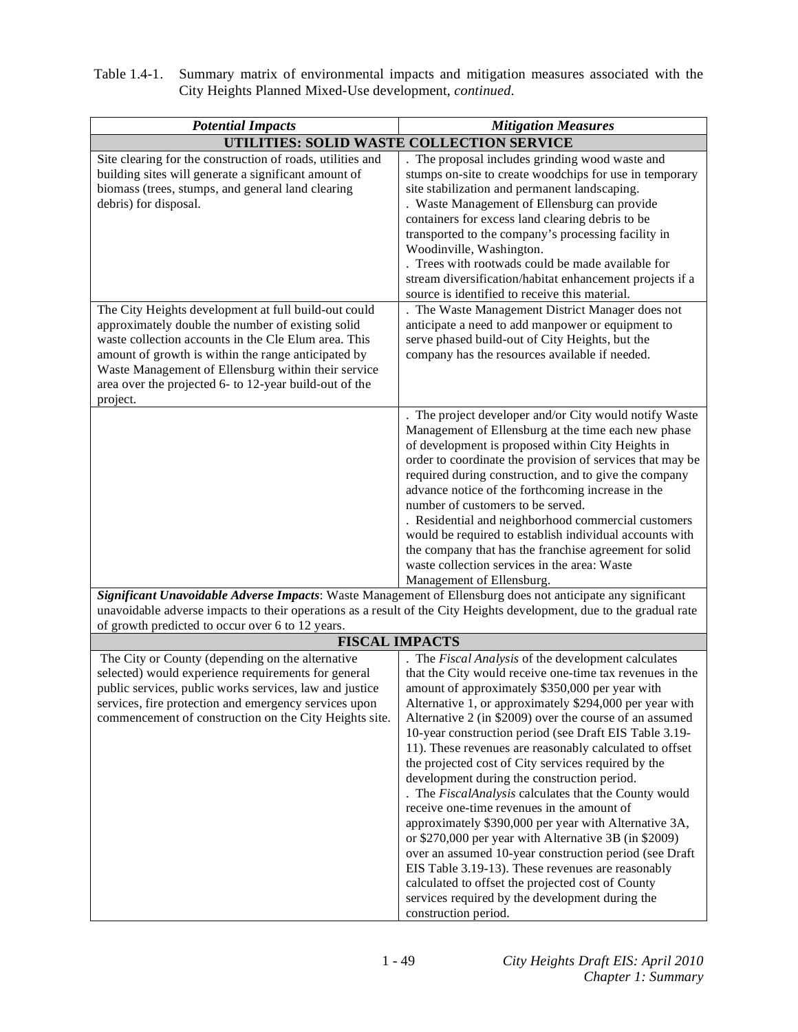| Table 1.4-1. Summary matrix of environmental impacts and mitigation measures associated with the |
|--------------------------------------------------------------------------------------------------|
| City Heights Planned Mixed-Use development, continued.                                           |

| <b>Potential Impacts</b>                                                                                             | <b>Mitigation Measures</b>                                |
|----------------------------------------------------------------------------------------------------------------------|-----------------------------------------------------------|
|                                                                                                                      | UTILITIES: SOLID WASTE COLLECTION SERVICE                 |
| Site clearing for the construction of roads, utilities and                                                           | The proposal includes grinding wood waste and             |
| building sites will generate a significant amount of                                                                 | stumps on-site to create woodchips for use in temporary   |
| biomass (trees, stumps, and general land clearing                                                                    | site stabilization and permanent landscaping.             |
| debris) for disposal.                                                                                                | . Waste Management of Ellensburg can provide              |
|                                                                                                                      | containers for excess land clearing debris to be          |
|                                                                                                                      | transported to the company's processing facility in       |
|                                                                                                                      | Woodinville, Washington.                                  |
|                                                                                                                      | Trees with rootwads could be made available for           |
|                                                                                                                      | stream diversification/habitat enhancement projects if a  |
|                                                                                                                      | source is identified to receive this material.            |
| The City Heights development at full build-out could                                                                 | The Waste Management District Manager does not            |
| approximately double the number of existing solid                                                                    | anticipate a need to add manpower or equipment to         |
| waste collection accounts in the Cle Elum area. This                                                                 | serve phased build-out of City Heights, but the           |
| amount of growth is within the range anticipated by                                                                  | company has the resources available if needed.            |
| Waste Management of Ellensburg within their service                                                                  |                                                           |
| area over the projected 6- to 12-year build-out of the                                                               |                                                           |
| project.                                                                                                             |                                                           |
|                                                                                                                      | The project developer and/or City would notify Waste      |
|                                                                                                                      |                                                           |
|                                                                                                                      | Management of Ellensburg at the time each new phase       |
|                                                                                                                      | of development is proposed within City Heights in         |
|                                                                                                                      | order to coordinate the provision of services that may be |
|                                                                                                                      | required during construction, and to give the company     |
|                                                                                                                      | advance notice of the forthcoming increase in the         |
|                                                                                                                      | number of customers to be served.                         |
|                                                                                                                      | . Residential and neighborhood commercial customers       |
|                                                                                                                      | would be required to establish individual accounts with   |
|                                                                                                                      | the company that has the franchise agreement for solid    |
|                                                                                                                      | waste collection services in the area: Waste              |
|                                                                                                                      | Management of Ellensburg.                                 |
| Significant Unavoidable Adverse Impacts: Waste Management of Ellensburg does not anticipate any significant          |                                                           |
| unavoidable adverse impacts to their operations as a result of the City Heights development, due to the gradual rate |                                                           |
| of growth predicted to occur over 6 to 12 years.                                                                     |                                                           |
|                                                                                                                      | <b>FISCAL IMPACTS</b>                                     |
| The City or County (depending on the alternative                                                                     | The Fiscal Analysis of the development calculates         |
| selected) would experience requirements for general                                                                  | that the City would receive one-time tax revenues in the  |
| public services, public works services, law and justice                                                              | amount of approximately \$350,000 per year with           |
| services, fire protection and emergency services upon                                                                | Alternative 1, or approximately \$294,000 per year with   |
| commencement of construction on the City Heights site.                                                               | Alternative 2 (in \$2009) over the course of an assumed   |
|                                                                                                                      | 10-year construction period (see Draft EIS Table 3.19-    |
|                                                                                                                      | 11). These revenues are reasonably calculated to offset   |
|                                                                                                                      | the projected cost of City services required by the       |
|                                                                                                                      | development during the construction period.               |
|                                                                                                                      | . The FiscalAnalysis calculates that the County would     |
|                                                                                                                      | receive one-time revenues in the amount of                |
|                                                                                                                      | approximately \$390,000 per year with Alternative 3A,     |
|                                                                                                                      | or \$270,000 per year with Alternative 3B (in \$2009)     |
|                                                                                                                      | over an assumed 10-year construction period (see Draft    |
|                                                                                                                      | EIS Table 3.19-13). These revenues are reasonably         |
|                                                                                                                      | calculated to offset the projected cost of County         |
|                                                                                                                      | services required by the development during the           |
|                                                                                                                      | construction period.                                      |
|                                                                                                                      |                                                           |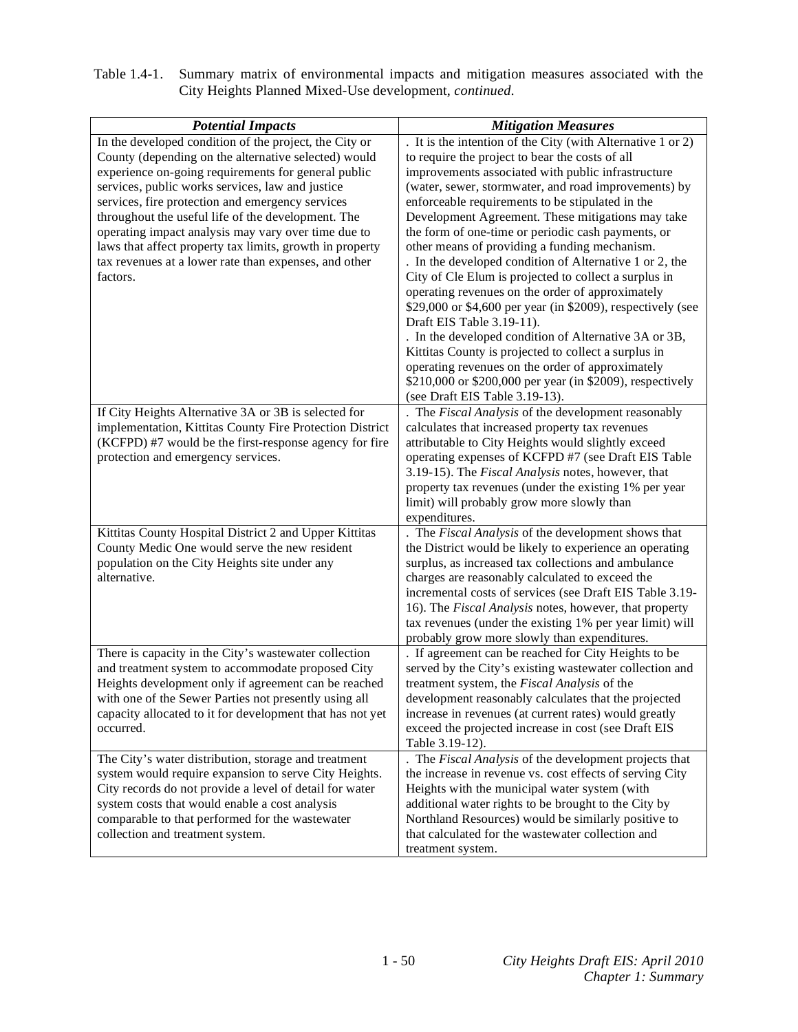| Table 1.4-1. Summary matrix of environmental impacts and mitigation measures associated with the |
|--------------------------------------------------------------------------------------------------|
| City Heights Planned Mixed-Use development, <i>continued</i> .                                   |

| <b>Potential Impacts</b>                                  | <b>Mitigation Measures</b>                                  |
|-----------------------------------------------------------|-------------------------------------------------------------|
| In the developed condition of the project, the City or    | . It is the intention of the City (with Alternative 1 or 2) |
| County (depending on the alternative selected) would      | to require the project to bear the costs of all             |
| experience on-going requirements for general public       | improvements associated with public infrastructure          |
| services, public works services, law and justice          | (water, sewer, stormwater, and road improvements) by        |
| services, fire protection and emergency services          | enforceable requirements to be stipulated in the            |
| throughout the useful life of the development. The        | Development Agreement. These mitigations may take           |
| operating impact analysis may vary over time due to       | the form of one-time or periodic cash payments, or          |
| laws that affect property tax limits, growth in property  | other means of providing a funding mechanism.               |
| tax revenues at a lower rate than expenses, and other     | . In the developed condition of Alternative 1 or 2, the     |
| factors.                                                  | City of Cle Elum is projected to collect a surplus in       |
|                                                           | operating revenues on the order of approximately            |
|                                                           | \$29,000 or \$4,600 per year (in \$2009), respectively (see |
|                                                           | Draft EIS Table 3.19-11).                                   |
|                                                           | . In the developed condition of Alternative 3A or 3B,       |
|                                                           | Kittitas County is projected to collect a surplus in        |
|                                                           | operating revenues on the order of approximately            |
|                                                           | \$210,000 or \$200,000 per year (in \$2009), respectively   |
|                                                           | (see Draft EIS Table 3.19-13).                              |
| If City Heights Alternative 3A or 3B is selected for      | . The Fiscal Analysis of the development reasonably         |
| implementation, Kittitas County Fire Protection District  | calculates that increased property tax revenues             |
| (KCFPD) #7 would be the first-response agency for fire    | attributable to City Heights would slightly exceed          |
| protection and emergency services.                        | operating expenses of KCFPD #7 (see Draft EIS Table         |
|                                                           | 3.19-15). The Fiscal Analysis notes, however, that          |
|                                                           | property tax revenues (under the existing 1% per year       |
|                                                           | limit) will probably grow more slowly than                  |
|                                                           | expenditures.                                               |
| Kittitas County Hospital District 2 and Upper Kittitas    | . The Fiscal Analysis of the development shows that         |
| County Medic One would serve the new resident             | the District would be likely to experience an operating     |
| population on the City Heights site under any             | surplus, as increased tax collections and ambulance         |
| alternative.                                              | charges are reasonably calculated to exceed the             |
|                                                           | incremental costs of services (see Draft EIS Table 3.19-    |
|                                                           | 16). The Fiscal Analysis notes, however, that property      |
|                                                           | tax revenues (under the existing 1% per year limit) will    |
|                                                           | probably grow more slowly than expenditures.                |
| There is capacity in the City's wastewater collection     | . If agreement can be reached for City Heights to be        |
| and treatment system to accommodate proposed City         | served by the City's existing wastewater collection and     |
| Heights development only if agreement can be reached      | treatment system, the Fiscal Analysis of the                |
| with one of the Sewer Parties not presently using all     | development reasonably calculates that the projected        |
| capacity allocated to it for development that has not yet | increase in revenues (at current rates) would greatly       |
| occurred.                                                 | exceed the projected increase in cost (see Draft EIS        |
|                                                           | Table 3.19-12).                                             |
| The City's water distribution, storage and treatment      | . The Fiscal Analysis of the development projects that      |
| system would require expansion to serve City Heights.     | the increase in revenue vs. cost effects of serving City    |
| City records do not provide a level of detail for water   | Heights with the municipal water system (with               |
| system costs that would enable a cost analysis            | additional water rights to be brought to the City by        |
| comparable to that performed for the wastewater           | Northland Resources) would be similarly positive to         |
| collection and treatment system.                          | that calculated for the wastewater collection and           |
|                                                           | treatment system.                                           |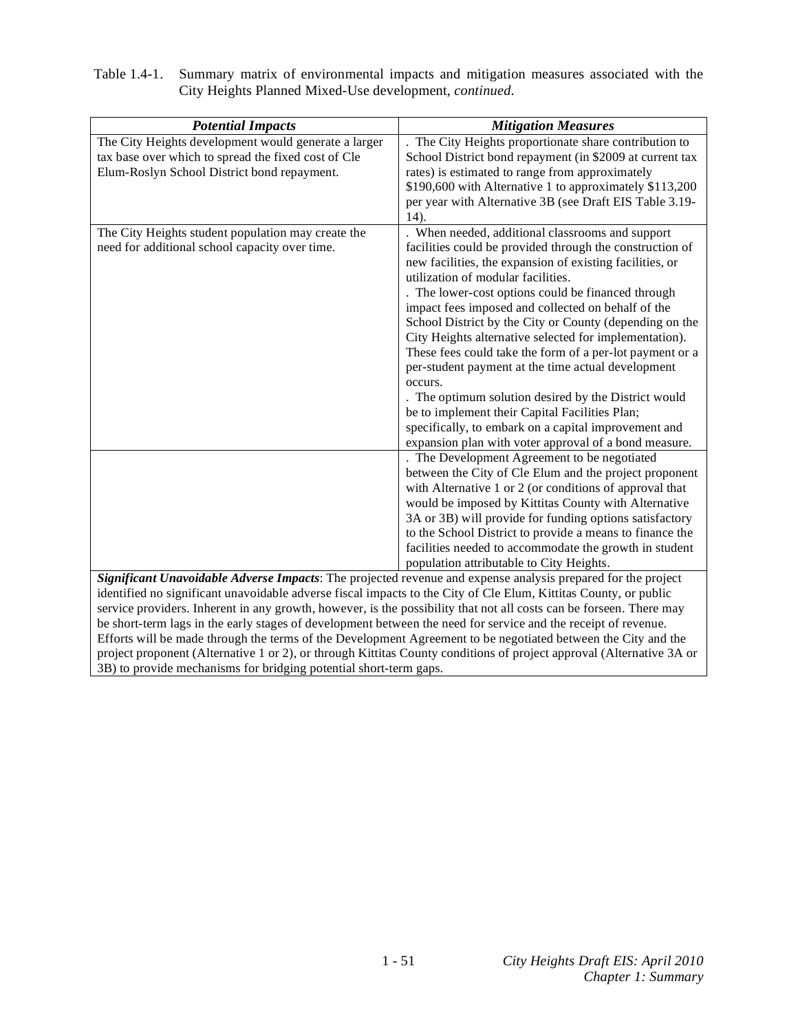| <b>Potential Impacts</b>                                                                                             | <b>Mitigation Measures</b>                                                                                         |
|----------------------------------------------------------------------------------------------------------------------|--------------------------------------------------------------------------------------------------------------------|
| The City Heights development would generate a larger<br>tax base over which to spread the fixed cost of Cle          | . The City Heights proportionate share contribution to<br>School District bond repayment (in \$2009 at current tax |
| Elum-Roslyn School District bond repayment.                                                                          | rates) is estimated to range from approximately                                                                    |
|                                                                                                                      | \$190,600 with Alternative 1 to approximately \$113,200                                                            |
|                                                                                                                      | per year with Alternative 3B (see Draft EIS Table 3.19-<br>14).                                                    |
| The City Heights student population may create the                                                                   | . When needed, additional classrooms and support                                                                   |
| need for additional school capacity over time.                                                                       | facilities could be provided through the construction of                                                           |
|                                                                                                                      | new facilities, the expansion of existing facilities, or                                                           |
|                                                                                                                      | utilization of modular facilities.                                                                                 |
|                                                                                                                      | . The lower-cost options could be financed through<br>impact fees imposed and collected on behalf of the           |
|                                                                                                                      | School District by the City or County (depending on the                                                            |
|                                                                                                                      | City Heights alternative selected for implementation).                                                             |
|                                                                                                                      | These fees could take the form of a per-lot payment or a                                                           |
|                                                                                                                      | per-student payment at the time actual development                                                                 |
|                                                                                                                      | occurs.                                                                                                            |
|                                                                                                                      | . The optimum solution desired by the District would                                                               |
|                                                                                                                      | be to implement their Capital Facilities Plan;                                                                     |
|                                                                                                                      | specifically, to embark on a capital improvement and                                                               |
|                                                                                                                      | expansion plan with voter approval of a bond measure.                                                              |
|                                                                                                                      | . The Development Agreement to be negotiated                                                                       |
|                                                                                                                      | between the City of Cle Elum and the project proponent                                                             |
|                                                                                                                      | with Alternative 1 or 2 (or conditions of approval that                                                            |
|                                                                                                                      | would be imposed by Kittitas County with Alternative                                                               |
|                                                                                                                      | 3A or 3B) will provide for funding options satisfactory                                                            |
|                                                                                                                      | to the School District to provide a means to finance the                                                           |
|                                                                                                                      | facilities needed to accommodate the growth in student<br>population attributable to City Heights.                 |
| Significant Unavoidable Adverse Impacts: The projected revenue and expense analysis prepared for the project         |                                                                                                                    |
| identified no significant unavoidable adverse fiscal impacts to the City of Cle Elum, Kittitas County, or public     |                                                                                                                    |
| service providers. Inherent in any growth, however, is the possibility that not all costs can be forseen. There may  |                                                                                                                    |
| be short-term lags in the early stages of development between the need for service and the receipt of revenue.       |                                                                                                                    |
| Efforts will be made through the terms of the Development Agreement to be negotiated between the City and the        |                                                                                                                    |
| project proponent (Alternative 1 or 2), or through Kittitas County conditions of project approval (Alternative 3A or |                                                                                                                    |

3B) to provide mechanisms for bridging potential short-term gaps.

| Table 1.4-1. Summary matrix of environmental impacts and mitigation measures associated with the |
|--------------------------------------------------------------------------------------------------|
| City Heights Planned Mixed-Use development, <i>continued</i> .                                   |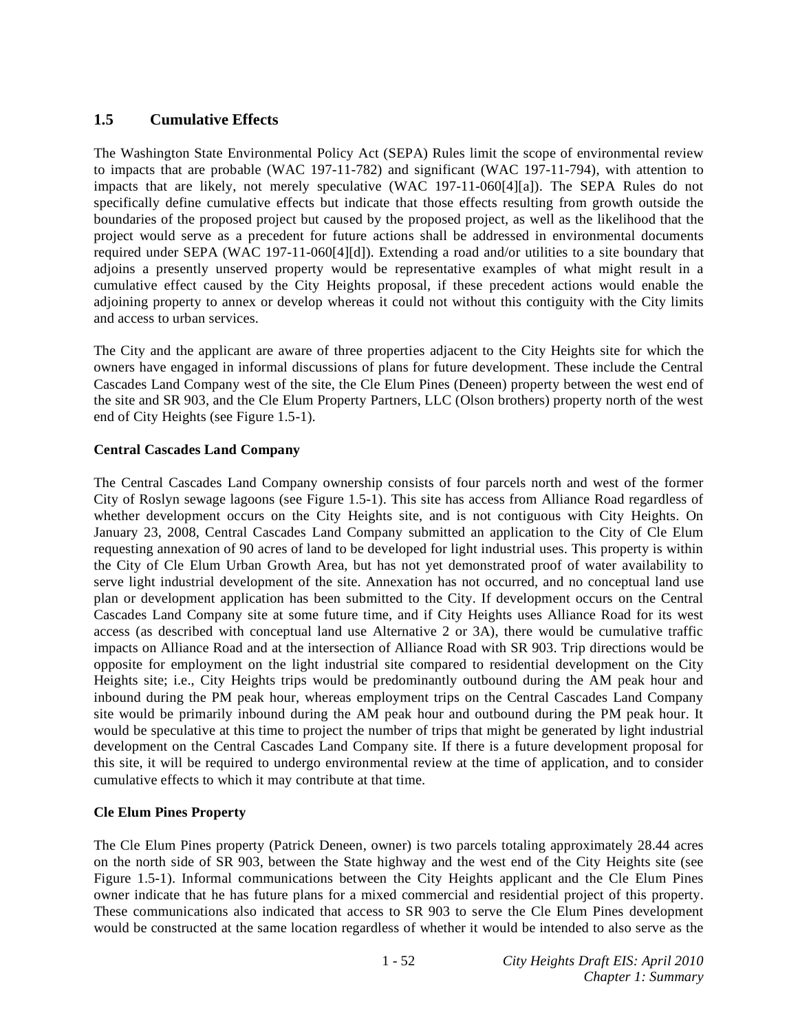# **1.5 Cumulative Effects**

The Washington State Environmental Policy Act (SEPA) Rules limit the scope of environmental review to impacts that are probable (WAC 197-11-782) and significant (WAC 197-11-794), with attention to impacts that are likely, not merely speculative (WAC 197-11-060[4][a]). The SEPA Rules do not specifically define cumulative effects but indicate that those effects resulting from growth outside the boundaries of the proposed project but caused by the proposed project, as well as the likelihood that the project would serve as a precedent for future actions shall be addressed in environmental documents required under SEPA (WAC 197-11-060[4][d]). Extending a road and/or utilities to a site boundary that adjoins a presently unserved property would be representative examples of what might result in a cumulative effect caused by the City Heights proposal, if these precedent actions would enable the adjoining property to annex or develop whereas it could not without this contiguity with the City limits and access to urban services.

The City and the applicant are aware of three properties adjacent to the City Heights site for which the owners have engaged in informal discussions of plans for future development. These include the Central Cascades Land Company west of the site, the Cle Elum Pines (Deneen) property between the west end of the site and SR 903, and the Cle Elum Property Partners, LLC (Olson brothers) property north of the west end of City Heights (see Figure 1.5-1).

#### **Central Cascades Land Company**

The Central Cascades Land Company ownership consists of four parcels north and west of the former City of Roslyn sewage lagoons (see Figure 1.5-1). This site has access from Alliance Road regardless of whether development occurs on the City Heights site, and is not contiguous with City Heights. On January 23, 2008, Central Cascades Land Company submitted an application to the City of Cle Elum requesting annexation of 90 acres of land to be developed for light industrial uses. This property is within the City of Cle Elum Urban Growth Area, but has not yet demonstrated proof of water availability to serve light industrial development of the site. Annexation has not occurred, and no conceptual land use plan or development application has been submitted to the City. If development occurs on the Central Cascades Land Company site at some future time, and if City Heights uses Alliance Road for its west access (as described with conceptual land use Alternative 2 or 3A), there would be cumulative traffic impacts on Alliance Road and at the intersection of Alliance Road with SR 903. Trip directions would be opposite for employment on the light industrial site compared to residential development on the City Heights site; i.e., City Heights trips would be predominantly outbound during the AM peak hour and inbound during the PM peak hour, whereas employment trips on the Central Cascades Land Company site would be primarily inbound during the AM peak hour and outbound during the PM peak hour. It would be speculative at this time to project the number of trips that might be generated by light industrial development on the Central Cascades Land Company site. If there is a future development proposal for this site, it will be required to undergo environmental review at the time of application, and to consider cumulative effects to which it may contribute at that time.

### **Cle Elum Pines Property**

The Cle Elum Pines property (Patrick Deneen, owner) is two parcels totaling approximately 28.44 acres on the north side of SR 903, between the State highway and the west end of the City Heights site (see Figure 1.5-1). Informal communications between the City Heights applicant and the Cle Elum Pines owner indicate that he has future plans for a mixed commercial and residential project of this property. These communications also indicated that access to SR 903 to serve the Cle Elum Pines development would be constructed at the same location regardless of whether it would be intended to also serve as the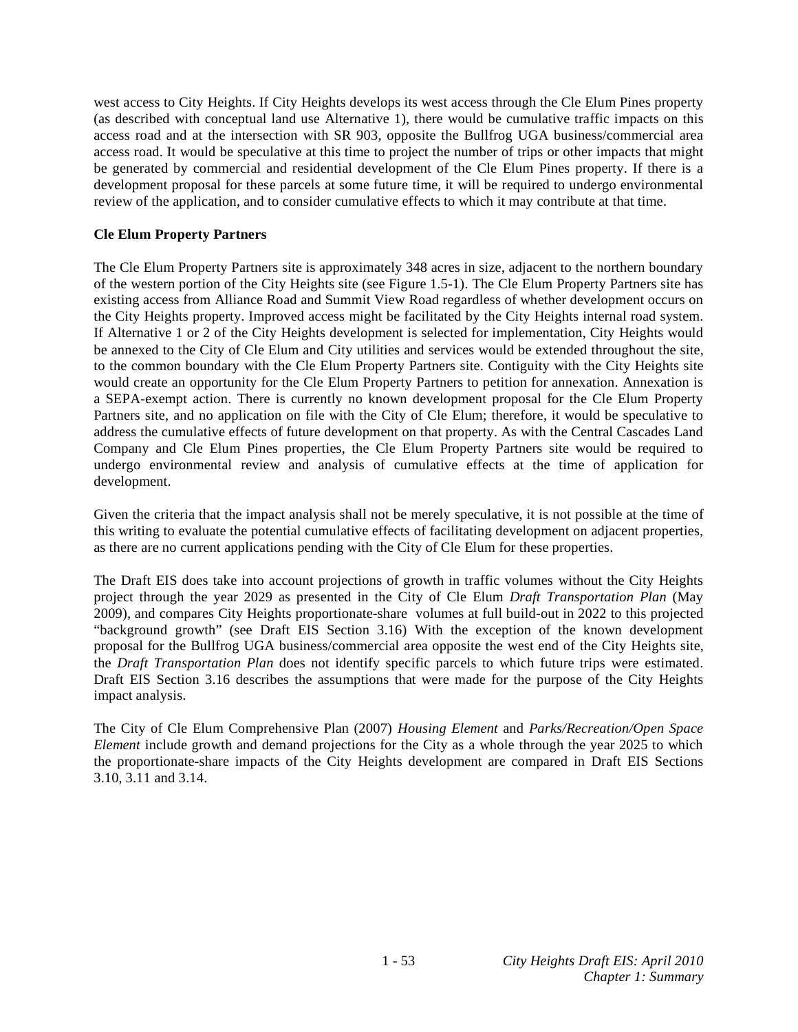west access to City Heights. If City Heights develops its west access through the Cle Elum Pines property (as described with conceptual land use Alternative 1), there would be cumulative traffic impacts on this access road and at the intersection with SR 903, opposite the Bullfrog UGA business/commercial area access road. It would be speculative at this time to project the number of trips or other impacts that might be generated by commercial and residential development of the Cle Elum Pines property. If there is a development proposal for these parcels at some future time, it will be required to undergo environmental review of the application, and to consider cumulative effects to which it may contribute at that time.

### **Cle Elum Property Partners**

The Cle Elum Property Partners site is approximately 348 acres in size, adjacent to the northern boundary of the western portion of the City Heights site (see Figure 1.5-1). The Cle Elum Property Partners site has existing access from Alliance Road and Summit View Road regardless of whether development occurs on the City Heights property. Improved access might be facilitated by the City Heights internal road system. If Alternative 1 or 2 of the City Heights development is selected for implementation, City Heights would be annexed to the City of Cle Elum and City utilities and services would be extended throughout the site, to the common boundary with the Cle Elum Property Partners site. Contiguity with the City Heights site would create an opportunity for the Cle Elum Property Partners to petition for annexation. Annexation is a SEPA-exempt action. There is currently no known development proposal for the Cle Elum Property Partners site, and no application on file with the City of Cle Elum; therefore, it would be speculative to address the cumulative effects of future development on that property. As with the Central Cascades Land Company and Cle Elum Pines properties, the Cle Elum Property Partners site would be required to undergo environmental review and analysis of cumulative effects at the time of application for development.

Given the criteria that the impact analysis shall not be merely speculative, it is not possible at the time of this writing to evaluate the potential cumulative effects of facilitating development on adjacent properties, as there are no current applications pending with the City of Cle Elum for these properties.

The Draft EIS does take into account projections of growth in traffic volumes without the City Heights project through the year 2029 as presented in the City of Cle Elum *Draft Transportation Plan* (May 2009), and compares City Heights proportionate-share volumes at full build-out in 2022 to this projected "background growth" (see Draft EIS Section 3.16) With the exception of the known development proposal for the Bullfrog UGA business/commercial area opposite the west end of the City Heights site, the *Draft Transportation Plan* does not identify specific parcels to which future trips were estimated. Draft EIS Section 3.16 describes the assumptions that were made for the purpose of the City Heights impact analysis.

The City of Cle Elum Comprehensive Plan (2007) *Housing Element* and *Parks/Recreation/Open Space Element* include growth and demand projections for the City as a whole through the year 2025 to which the proportionate-share impacts of the City Heights development are compared in Draft EIS Sections 3.10, 3.11 and 3.14.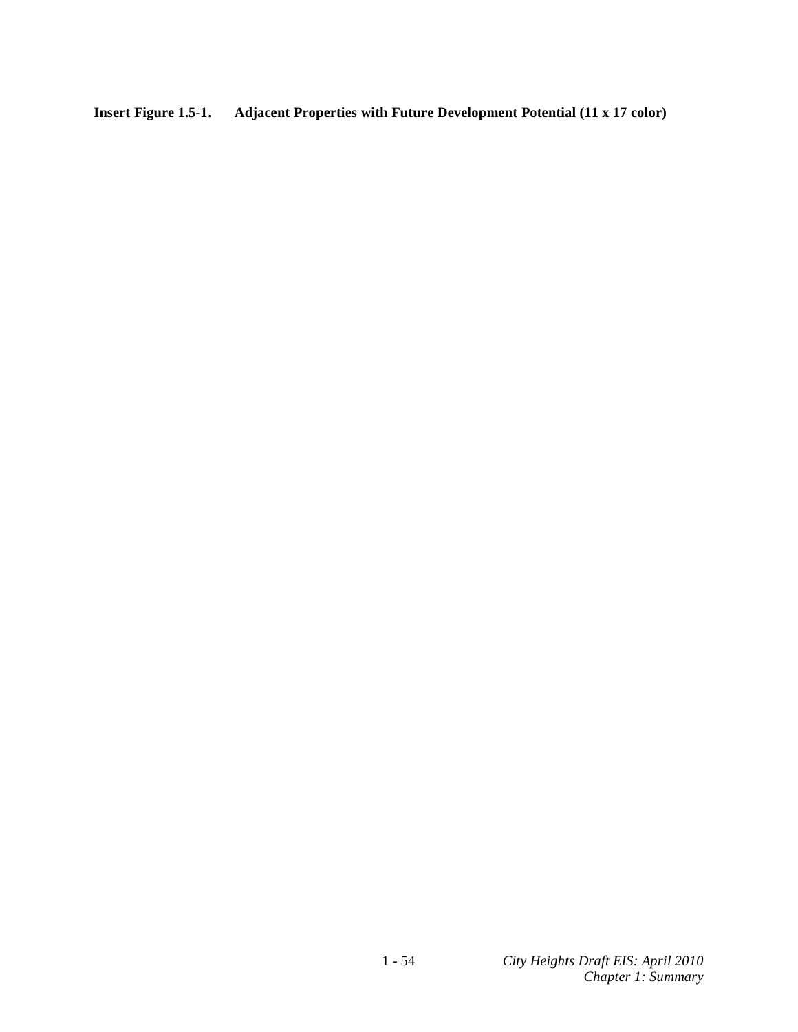**Insert Figure 1.5-1. Adjacent Properties with Future Development Potential (11 x 17 color)**